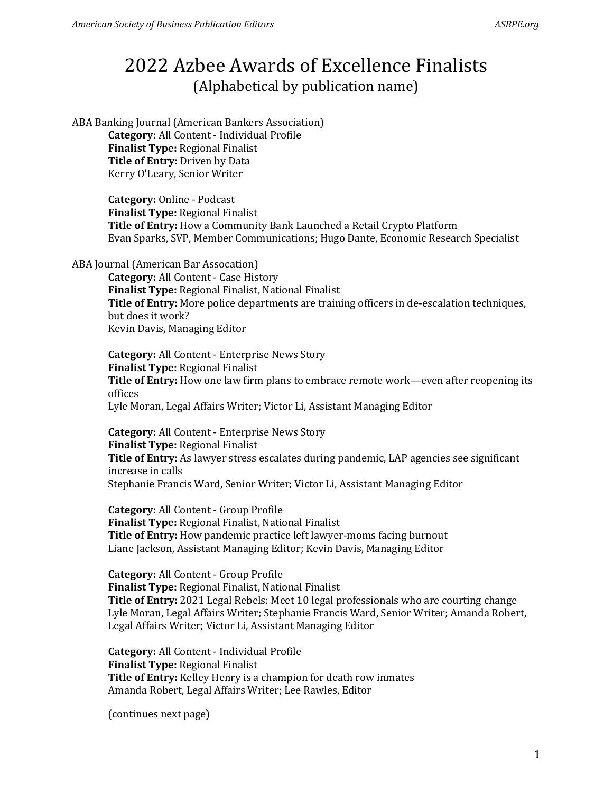ABA Banking Journal (American Bankers Association) **Category:** All Content - Individual Profile **Finalist Type:** Regional Finalist **Title of Entry:** Driven by Data Kerry O'Leary, Senior Writer

> **Category:** Online - Podcast **Finalist Type:** Regional Finalist **Title of Entry:** How a Community Bank Launched a Retail Crypto Platform Evan Sparks, SVP, Member Communications; Hugo Dante, Economic Research Specialist

ABA Journal (American Bar Assocation)

**Category:** All Content - Case History **Finalist Type:** Regional Finalist, National Finalist **Title of Entry:** More police departments are training officers in de-escalation techniques, but does it work? Kevin Davis, Managing Editor

**Category:** All Content - Enterprise News Story **Finalist Type:** Regional Finalist **Title of Entry:** How one law firm plans to embrace remote work—even after reopening its offices Lyle Moran, Legal Affairs Writer; Victor Li, Assistant Managing Editor

**Category:** All Content - Enterprise News Story **Finalist Type:** Regional Finalist **Title of Entry:** As lawyer stress escalates during pandemic, LAP agencies see significant increase in calls Stephanie Francis Ward, Senior Writer; Victor Li, Assistant Managing Editor

**Category:** All Content - Group Profile **Finalist Type:** Regional Finalist, National Finalist **Title of Entry:** How pandemic practice left lawyer-moms facing burnout Liane Jackson, Assistant Managing Editor; Kevin Davis, Managing Editor

**Category:** All Content - Group Profile **Finalist Type:** Regional Finalist, National Finalist **Title of Entry:** 2021 Legal Rebels: Meet 10 legal professionals who are courting change Lyle Moran, Legal Affairs Writer; Stephanie Francis Ward, Senior Writer; Amanda Robert, Legal Affairs Writer; Victor Li, Assistant Managing Editor

**Category:** All Content - Individual Profile **Finalist Type:** Regional Finalist **Title of Entry:** Kelley Henry is a champion for death row inmates Amanda Robert, Legal Affairs Writer; Lee Rawles, Editor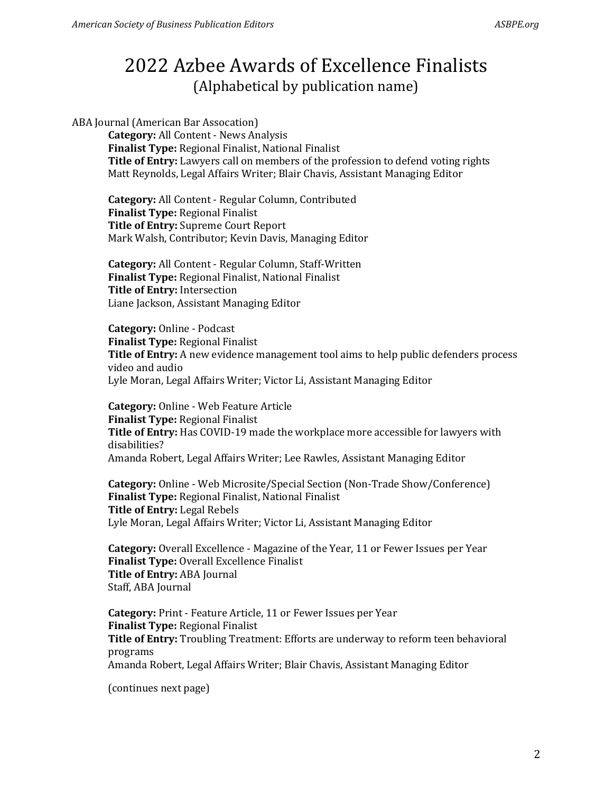ABA Journal (American Bar Assocation)

**Category:** All Content - News Analysis **Finalist Type:** Regional Finalist, National Finalist **Title of Entry:** Lawyers call on members of the profession to defend voting rights Matt Reynolds, Legal Affairs Writer; Blair Chavis, Assistant Managing Editor

**Category:** All Content - Regular Column, Contributed **Finalist Type:** Regional Finalist **Title of Entry:** Supreme Court Report Mark Walsh, Contributor; Kevin Davis, Managing Editor

**Category:** All Content - Regular Column, Staff-Written **Finalist Type:** Regional Finalist, National Finalist **Title of Entry:** Intersection Liane Jackson, Assistant Managing Editor

**Category:** Online - Podcast **Finalist Type:** Regional Finalist **Title of Entry:** A new evidence management tool aims to help public defenders process video and audio Lyle Moran, Legal Affairs Writer; Victor Li, Assistant Managing Editor

**Category:** Online - Web Feature Article **Finalist Type:** Regional Finalist **Title of Entry:** Has COVID-19 made the workplace more accessible for lawyers with disabilities? Amanda Robert, Legal Affairs Writer; Lee Rawles, Assistant Managing Editor

**Category:** Online - Web Microsite/Special Section (Non-Trade Show/Conference) **Finalist Type:** Regional Finalist, National Finalist **Title of Entry:** Legal Rebels Lyle Moran, Legal Affairs Writer; Victor Li, Assistant Managing Editor

**Category:** Overall Excellence - Magazine of the Year, 11 or Fewer Issues per Year **Finalist Type:** Overall Excellence Finalist **Title of Entry:** ABA Journal Staff, ABA Journal

**Category:** Print - Feature Article, 11 or Fewer Issues per Year **Finalist Type:** Regional Finalist **Title of Entry:** Troubling Treatment: Efforts are underway to reform teen behavioral programs Amanda Robert, Legal Affairs Writer; Blair Chavis, Assistant Managing Editor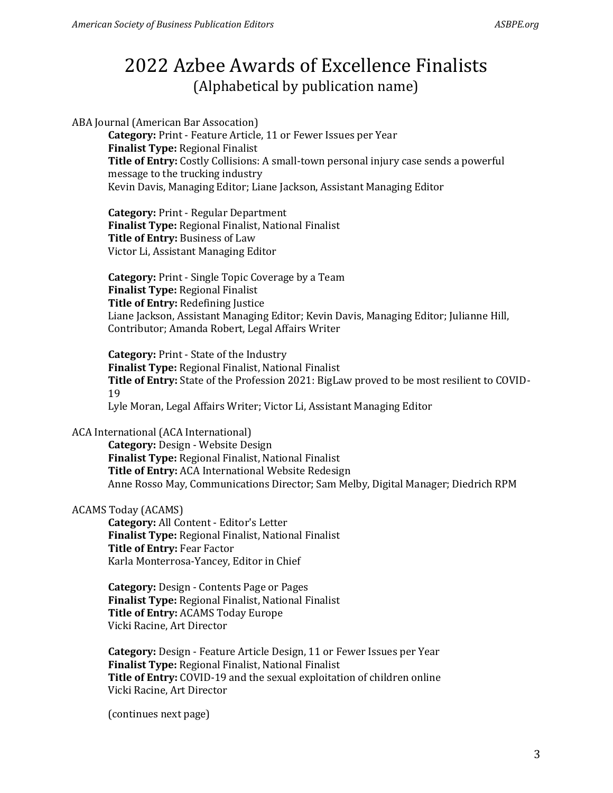ABA Journal (American Bar Assocation)

**Category:** Print - Feature Article, 11 or Fewer Issues per Year **Finalist Type:** Regional Finalist **Title of Entry:** Costly Collisions: A small-town personal injury case sends a powerful message to the trucking industry Kevin Davis, Managing Editor; Liane Jackson, Assistant Managing Editor

**Category:** Print - Regular Department **Finalist Type:** Regional Finalist, National Finalist **Title of Entry:** Business of Law Victor Li, Assistant Managing Editor

**Category:** Print - Single Topic Coverage by a Team **Finalist Type:** Regional Finalist **Title of Entry:** Redefining Justice Liane Jackson, Assistant Managing Editor; Kevin Davis, Managing Editor; Julianne Hill, Contributor; Amanda Robert, Legal Affairs Writer

**Category:** Print - State of the Industry **Finalist Type:** Regional Finalist, National Finalist **Title of Entry:** State of the Profession 2021: BigLaw proved to be most resilient to COVID-19 Lyle Moran, Legal Affairs Writer; Victor Li, Assistant Managing Editor

### ACA International (ACA International)

**Category:** Design - Website Design **Finalist Type:** Regional Finalist, National Finalist **Title of Entry:** ACA International Website Redesign Anne Rosso May, Communications Director; Sam Melby, Digital Manager; Diedrich RPM

### ACAMS Today (ACAMS)

**Category:** All Content - Editor's Letter **Finalist Type:** Regional Finalist, National Finalist **Title of Entry:** Fear Factor Karla Monterrosa-Yancey, Editor in Chief

**Category:** Design - Contents Page or Pages **Finalist Type:** Regional Finalist, National Finalist **Title of Entry:** ACAMS Today Europe Vicki Racine, Art Director

**Category:** Design - Feature Article Design, 11 or Fewer Issues per Year **Finalist Type:** Regional Finalist, National Finalist **Title of Entry:** COVID-19 and the sexual exploitation of children online Vicki Racine, Art Director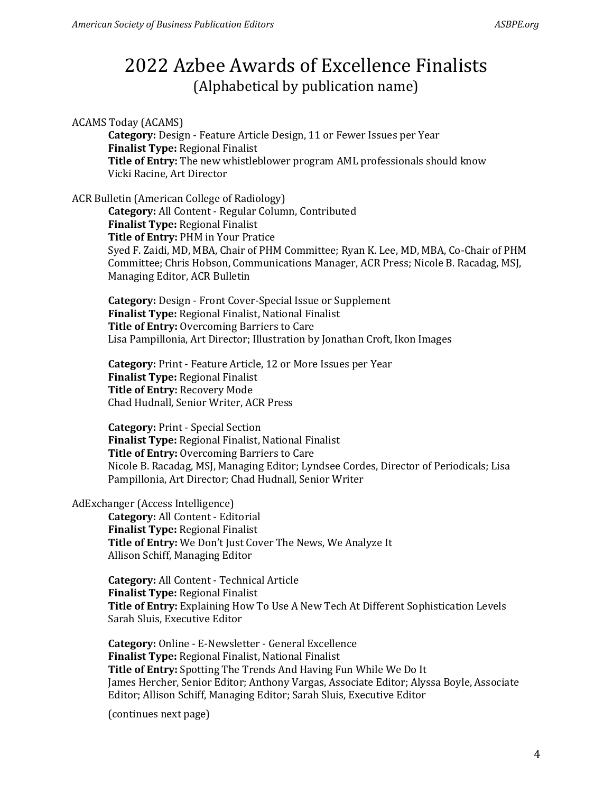ACAMS Today (ACAMS)

**Category:** Design - Feature Article Design, 11 or Fewer Issues per Year **Finalist Type:** Regional Finalist **Title of Entry:** The new whistleblower program AML professionals should know Vicki Racine, Art Director

### ACR Bulletin (American College of Radiology)

**Category:** All Content - Regular Column, Contributed **Finalist Type:** Regional Finalist **Title of Entry:** PHM in Your Pratice Syed F. Zaidi, MD, MBA, Chair of PHM Committee; Ryan K. Lee, MD, MBA, Co-Chair of PHM Committee; Chris Hobson, Communications Manager, ACR Press; Nicole B. Racadag, MSJ, Managing Editor, ACR Bulletin

**Category:** Design - Front Cover-Special Issue or Supplement **Finalist Type:** Regional Finalist, National Finalist **Title of Entry:** Overcoming Barriers to Care Lisa Pampillonia, Art Director; Illustration by Jonathan Croft, Ikon Images

**Category:** Print - Feature Article, 12 or More Issues per Year **Finalist Type:** Regional Finalist **Title of Entry:** Recovery Mode Chad Hudnall, Senior Writer, ACR Press

**Category:** Print - Special Section **Finalist Type:** Regional Finalist, National Finalist **Title of Entry:** Overcoming Barriers to Care Nicole B. Racadag, MSJ, Managing Editor; Lyndsee Cordes, Director of Periodicals; Lisa Pampillonia, Art Director; Chad Hudnall, Senior Writer

#### AdExchanger (Access Intelligence)

**Category:** All Content - Editorial **Finalist Type:** Regional Finalist **Title of Entry:** We Don't Just Cover The News, We Analyze It Allison Schiff, Managing Editor

**Category:** All Content - Technical Article **Finalist Type:** Regional Finalist **Title of Entry:** Explaining How To Use A New Tech At Different Sophistication Levels Sarah Sluis, Executive Editor

**Category:** Online - E-Newsletter - General Excellence **Finalist Type:** Regional Finalist, National Finalist **Title of Entry:** Spotting The Trends And Having Fun While We Do It James Hercher, Senior Editor; Anthony Vargas, Associate Editor; Alyssa Boyle, Associate Editor; Allison Schiff, Managing Editor; Sarah Sluis, Executive Editor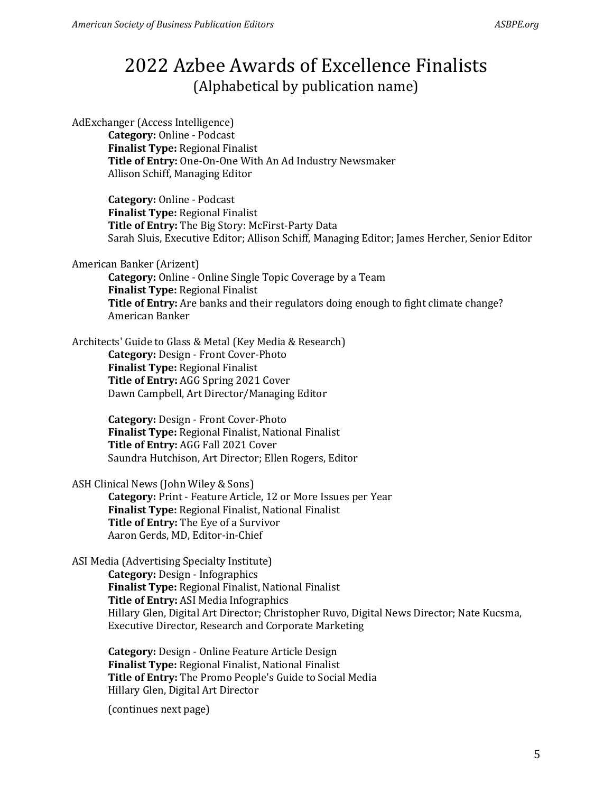AdExchanger (Access Intelligence) **Category:** Online - Podcast **Finalist Type:** Regional Finalist **Title of Entry:** One-On-One With An Ad Industry Newsmaker Allison Schiff, Managing Editor

> **Category:** Online - Podcast **Finalist Type:** Regional Finalist **Title of Entry:** The Big Story: McFirst-Party Data Sarah Sluis, Executive Editor; Allison Schiff, Managing Editor; James Hercher, Senior Editor

American Banker (Arizent)

**Category:** Online - Online Single Topic Coverage by a Team **Finalist Type:** Regional Finalist **Title of Entry:** Are banks and their regulators doing enough to fight climate change? American Banker

Architects' Guide to Glass & Metal (Key Media & Research) **Category:** Design - Front Cover-Photo **Finalist Type:** Regional Finalist **Title of Entry:** AGG Spring 2021 Cover Dawn Campbell, Art Director/Managing Editor

> **Category:** Design - Front Cover-Photo **Finalist Type:** Regional Finalist, National Finalist **Title of Entry:** AGG Fall 2021 Cover Saundra Hutchison, Art Director; Ellen Rogers, Editor

ASH Clinical News (John Wiley & Sons)

**Category:** Print - Feature Article, 12 or More Issues per Year **Finalist Type:** Regional Finalist, National Finalist **Title of Entry:** The Eye of a Survivor Aaron Gerds, MD, Editor-in-Chief

ASI Media (Advertising Specialty Institute)

**Category:** Design - Infographics **Finalist Type:** Regional Finalist, National Finalist **Title of Entry:** ASI Media Infographics Hillary Glen, Digital Art Director; Christopher Ruvo, Digital News Director; Nate Kucsma, Executive Director, Research and Corporate Marketing

**Category:** Design - Online Feature Article Design **Finalist Type:** Regional Finalist, National Finalist **Title of Entry:** The Promo People's Guide to Social Media Hillary Glen, Digital Art Director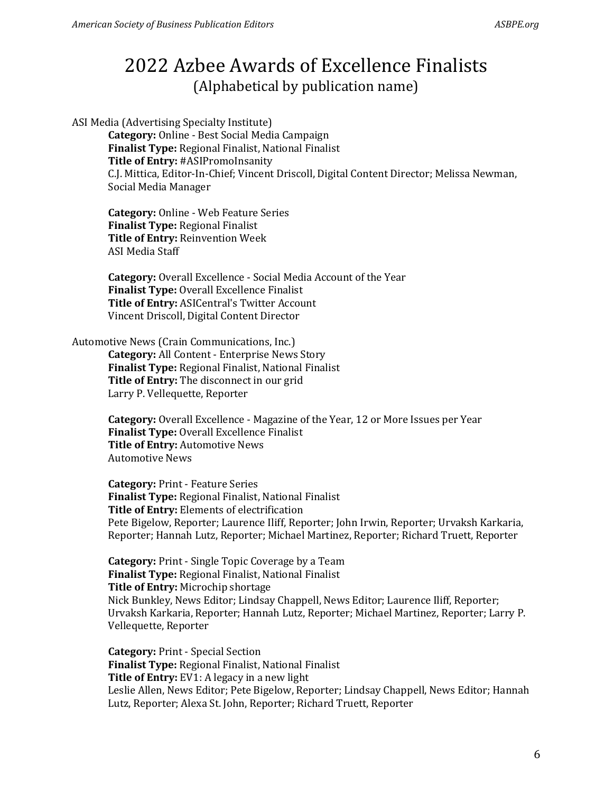ASI Media (Advertising Specialty Institute)

**Category:** Online - Best Social Media Campaign **Finalist Type:** Regional Finalist, National Finalist **Title of Entry:** #ASIPromoInsanity C.J. Mittica, Editor-In-Chief; Vincent Driscoll, Digital Content Director; Melissa Newman, Social Media Manager

**Category:** Online - Web Feature Series **Finalist Type:** Regional Finalist **Title of Entry:** Reinvention Week ASI Media Staff

**Category:** Overall Excellence - Social Media Account of the Year **Finalist Type:** Overall Excellence Finalist **Title of Entry:** ASICentral's Twitter Account Vincent Driscoll, Digital Content Director

#### Automotive News (Crain Communications, Inc.)

**Category:** All Content - Enterprise News Story **Finalist Type:** Regional Finalist, National Finalist **Title of Entry:** The disconnect in our grid Larry P. Vellequette, Reporter

**Category:** Overall Excellence - Magazine of the Year, 12 or More Issues per Year **Finalist Type:** Overall Excellence Finalist **Title of Entry:** Automotive News Automotive News

**Category:** Print - Feature Series **Finalist Type:** Regional Finalist, National Finalist **Title of Entry:** Elements of electrification Pete Bigelow, Reporter; Laurence Iliff, Reporter; John Irwin, Reporter; Urvaksh Karkaria, Reporter; Hannah Lutz, Reporter; Michael Martinez, Reporter; Richard Truett, Reporter

**Category:** Print - Single Topic Coverage by a Team **Finalist Type:** Regional Finalist, National Finalist **Title of Entry:** Microchip shortage Nick Bunkley, News Editor; Lindsay Chappell, News Editor; Laurence Iliff, Reporter; Urvaksh Karkaria, Reporter; Hannah Lutz, Reporter; Michael Martinez, Reporter; Larry P. Vellequette, Reporter

**Category:** Print - Special Section **Finalist Type:** Regional Finalist, National Finalist **Title of Entry:** EV1: A legacy in a new light Leslie Allen, News Editor; Pete Bigelow, Reporter; Lindsay Chappell, News Editor; Hannah Lutz, Reporter; Alexa St. John, Reporter; Richard Truett, Reporter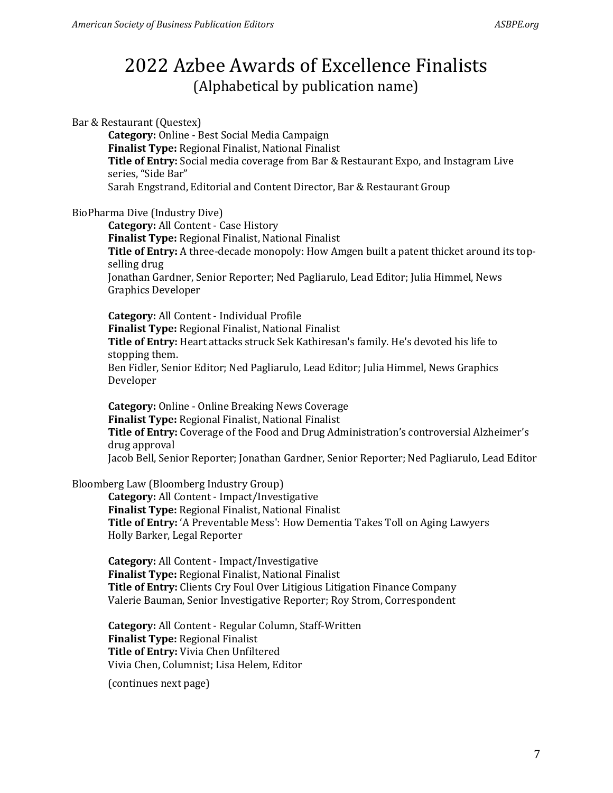Bar & Restaurant (Questex) **Category:** Online - Best Social Media Campaign **Finalist Type:** Regional Finalist, National Finalist **Title of Entry:** Social media coverage from Bar & Restaurant Expo, and Instagram Live series, "Side Bar" Sarah Engstrand, Editorial and Content Director, Bar & Restaurant Group BioPharma Dive (Industry Dive) **Category:** All Content - Case History **Finalist Type:** Regional Finalist, National Finalist **Title of Entry:** A three-decade monopoly: How Amgen built a patent thicket around its topselling drug Jonathan Gardner, Senior Reporter; Ned Pagliarulo, Lead Editor; Julia Himmel, News Graphics Developer **Category:** All Content - Individual Profile **Finalist Type:** Regional Finalist, National Finalist **Title of Entry:** Heart attacks struck Sek Kathiresan's family. He's devoted his life to stopping them. Ben Fidler, Senior Editor; Ned Pagliarulo, Lead Editor; Julia Himmel, News Graphics Developer **Category:** Online - Online Breaking News Coverage **Finalist Type:** Regional Finalist, National Finalist **Title of Entry:** Coverage of the Food and Drug Administration's controversial Alzheimer's drug approval Jacob Bell, Senior Reporter; Jonathan Gardner, Senior Reporter; Ned Pagliarulo, Lead Editor Bloomberg Law (Bloomberg Industry Group) **Category:** All Content - Impact/Investigative **Finalist Type:** Regional Finalist, National Finalist **Title of Entry:** 'A Preventable Mess': How Dementia Takes Toll on Aging Lawyers Holly Barker, Legal Reporter **Category:** All Content - Impact/Investigative

**Finalist Type:** Regional Finalist, National Finalist **Title of Entry:** Clients Cry Foul Over Litigious Litigation Finance Company Valerie Bauman, Senior Investigative Reporter; Roy Strom, Correspondent

**Category:** All Content - Regular Column, Staff-Written **Finalist Type:** Regional Finalist **Title of Entry:** Vivia Chen Unfiltered Vivia Chen, Columnist; Lisa Helem, Editor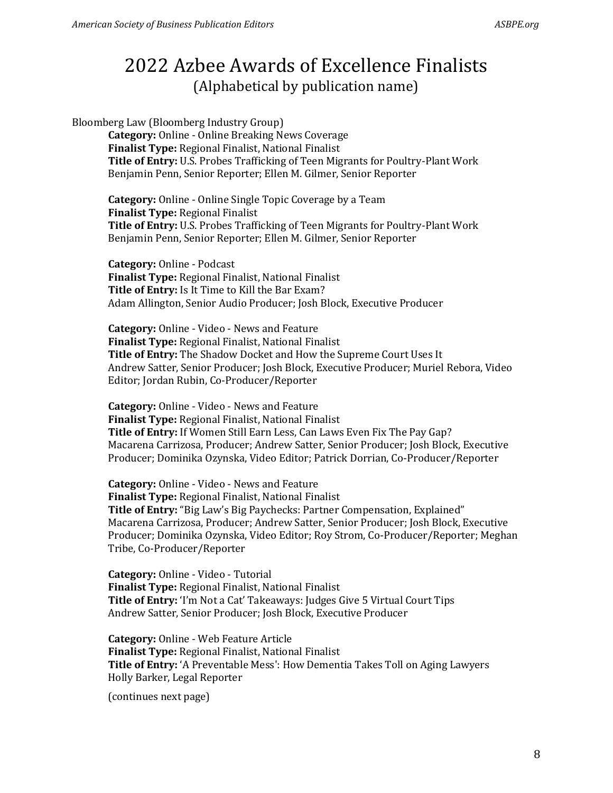Bloomberg Law (Bloomberg Industry Group) **Category:** Online - Online Breaking News Coverage **Finalist Type:** Regional Finalist, National Finalist **Title of Entry:** U.S. Probes Trafficking of Teen Migrants for Poultry-Plant Work Benjamin Penn, Senior Reporter; Ellen M. Gilmer, Senior Reporter

**Category:** Online - Online Single Topic Coverage by a Team **Finalist Type:** Regional Finalist **Title of Entry:** U.S. Probes Trafficking of Teen Migrants for Poultry-Plant Work Benjamin Penn, Senior Reporter; Ellen M. Gilmer, Senior Reporter

**Category:** Online - Podcast **Finalist Type:** Regional Finalist, National Finalist **Title of Entry:** Is It Time to Kill the Bar Exam? Adam Allington, Senior Audio Producer; Josh Block, Executive Producer

**Category:** Online - Video - News and Feature **Finalist Type:** Regional Finalist, National Finalist **Title of Entry:** The Shadow Docket and How the Supreme Court Uses It Andrew Satter, Senior Producer; Josh Block, Executive Producer; Muriel Rebora, Video Editor; Jordan Rubin, Co-Producer/Reporter

**Category:** Online - Video - News and Feature **Finalist Type:** Regional Finalist, National Finalist **Title of Entry:** If Women Still Earn Less, Can Laws Even Fix The Pay Gap? Macarena Carrizosa, Producer; Andrew Satter, Senior Producer; Josh Block, Executive Producer; Dominika Ozynska, Video Editor; Patrick Dorrian, Co-Producer/Reporter

**Category:** Online - Video - News and Feature **Finalist Type:** Regional Finalist, National Finalist **Title of Entry:** "Big Law's Big Paychecks: Partner Compensation, Explained" Macarena Carrizosa, Producer; Andrew Satter, Senior Producer; Josh Block, Executive Producer; Dominika Ozynska, Video Editor; Roy Strom, Co-Producer/Reporter; Meghan Tribe, Co-Producer/Reporter

**Category:** Online - Video - Tutorial **Finalist Type:** Regional Finalist, National Finalist **Title of Entry:** 'I'm Not a Cat' Takeaways: Judges Give 5 Virtual Court Tips Andrew Satter, Senior Producer; Josh Block, Executive Producer

**Category:** Online - Web Feature Article **Finalist Type:** Regional Finalist, National Finalist **Title of Entry:** 'A Preventable Mess': How Dementia Takes Toll on Aging Lawyers Holly Barker, Legal Reporter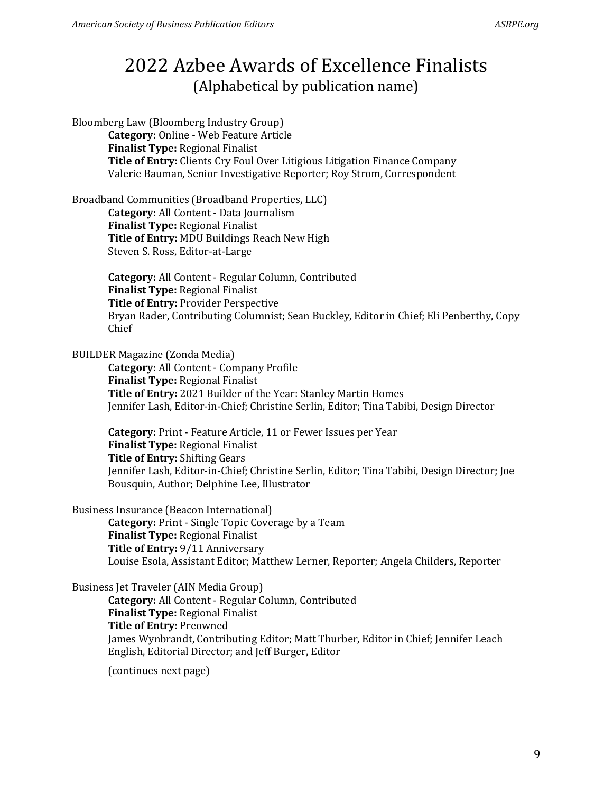Bloomberg Law (Bloomberg Industry Group) **Category:** Online - Web Feature Article **Finalist Type:** Regional Finalist **Title of Entry:** Clients Cry Foul Over Litigious Litigation Finance Company Valerie Bauman, Senior Investigative Reporter; Roy Strom, Correspondent

Broadband Communities (Broadband Properties, LLC) **Category:** All Content - Data Journalism **Finalist Type:** Regional Finalist **Title of Entry:** MDU Buildings Reach New High Steven S. Ross, Editor-at-Large

> **Category:** All Content - Regular Column, Contributed **Finalist Type:** Regional Finalist **Title of Entry:** Provider Perspective Bryan Rader, Contributing Columnist; Sean Buckley, Editor in Chief; Eli Penberthy, Copy Chief

BUILDER Magazine (Zonda Media)

**Category:** All Content - Company Profile **Finalist Type:** Regional Finalist **Title of Entry:** 2021 Builder of the Year: Stanley Martin Homes Jennifer Lash, Editor-in-Chief; Christine Serlin, Editor; Tina Tabibi, Design Director

**Category:** Print - Feature Article, 11 or Fewer Issues per Year **Finalist Type:** Regional Finalist **Title of Entry:** Shifting Gears Jennifer Lash, Editor-in-Chief; Christine Serlin, Editor; Tina Tabibi, Design Director; Joe Bousquin, Author; Delphine Lee, Illustrator

Business Insurance (Beacon International)

**Category:** Print - Single Topic Coverage by a Team **Finalist Type:** Regional Finalist **Title of Entry:** 9/11 Anniversary Louise Esola, Assistant Editor; Matthew Lerner, Reporter; Angela Childers, Reporter

Business Jet Traveler (AIN Media Group)

**Category:** All Content - Regular Column, Contributed **Finalist Type:** Regional Finalist **Title of Entry:** Preowned James Wynbrandt, Contributing Editor; Matt Thurber, Editor in Chief; Jennifer Leach English, Editorial Director; and Jeff Burger, Editor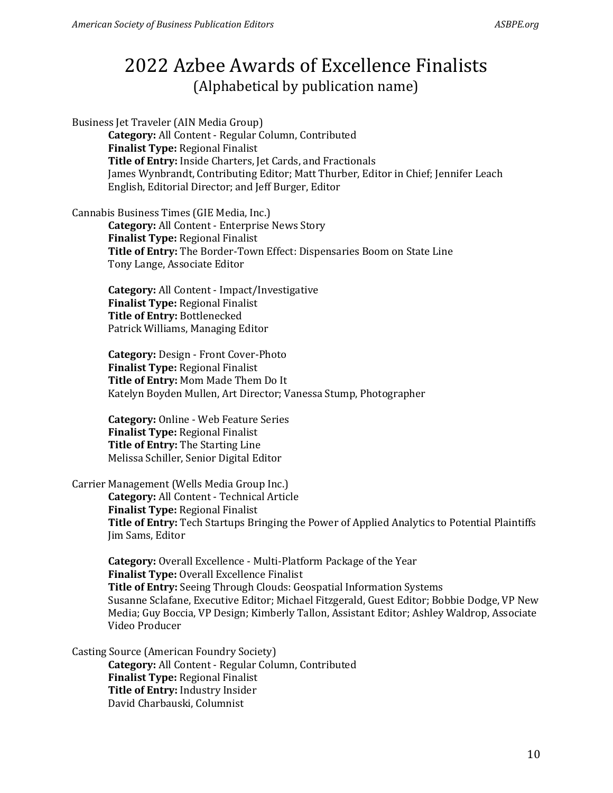Business Jet Traveler (AIN Media Group) **Category:** All Content - Regular Column, Contributed **Finalist Type:** Regional Finalist **Title of Entry:** Inside Charters, Jet Cards, and Fractionals James Wynbrandt, Contributing Editor; Matt Thurber, Editor in Chief; Jennifer Leach English, Editorial Director; and Jeff Burger, Editor

Cannabis Business Times (GIE Media, Inc.)

**Category:** All Content - Enterprise News Story **Finalist Type:** Regional Finalist **Title of Entry:** The Border-Town Effect: Dispensaries Boom on State Line Tony Lange, Associate Editor

**Category:** All Content - Impact/Investigative **Finalist Type:** Regional Finalist **Title of Entry:** Bottlenecked Patrick Williams, Managing Editor

**Category:** Design - Front Cover-Photo **Finalist Type:** Regional Finalist **Title of Entry:** Mom Made Them Do It Katelyn Boyden Mullen, Art Director; Vanessa Stump, Photographer

**Category:** Online - Web Feature Series **Finalist Type:** Regional Finalist **Title of Entry:** The Starting Line Melissa Schiller, Senior Digital Editor

Carrier Management (Wells Media Group Inc.)

**Category:** All Content - Technical Article **Finalist Type:** Regional Finalist **Title of Entry:** Tech Startups Bringing the Power of Applied Analytics to Potential Plaintiffs Jim Sams, Editor

**Category:** Overall Excellence - Multi-Platform Package of the Year **Finalist Type:** Overall Excellence Finalist **Title of Entry:** Seeing Through Clouds: Geospatial Information Systems Susanne Sclafane, Executive Editor; Michael Fitzgerald, Guest Editor; Bobbie Dodge, VP New Media; Guy Boccia, VP Design; Kimberly Tallon, Assistant Editor; Ashley Waldrop, Associate Video Producer

Casting Source (American Foundry Society) **Category:** All Content - Regular Column, Contributed **Finalist Type:** Regional Finalist **Title of Entry:** Industry Insider David Charbauski, Columnist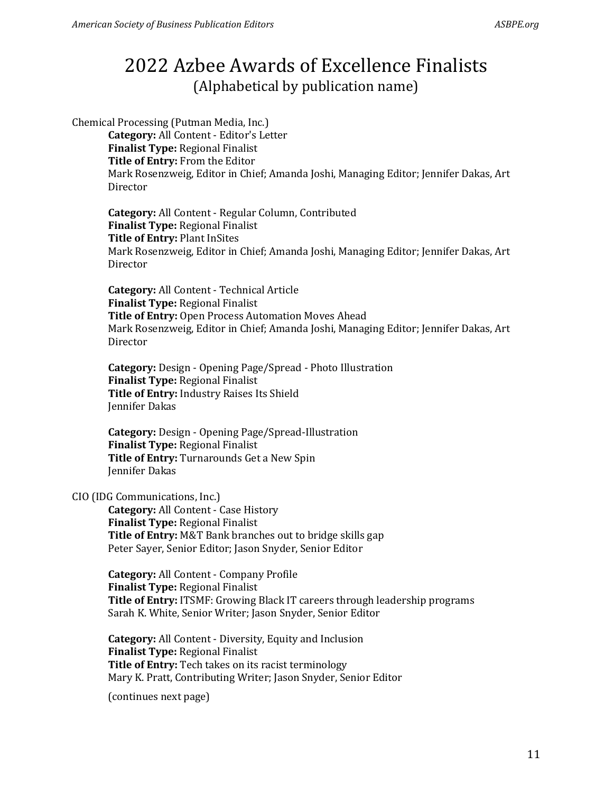Chemical Processing (Putman Media, Inc.)

**Category:** All Content - Editor's Letter **Finalist Type:** Regional Finalist **Title of Entry:** From the Editor Mark Rosenzweig, Editor in Chief; Amanda Joshi, Managing Editor; Jennifer Dakas, Art Director

**Category:** All Content - Regular Column, Contributed **Finalist Type:** Regional Finalist **Title of Entry:** Plant InSites Mark Rosenzweig, Editor in Chief; Amanda Joshi, Managing Editor; Jennifer Dakas, Art Director

**Category:** All Content - Technical Article **Finalist Type:** Regional Finalist **Title of Entry:** Open Process Automation Moves Ahead Mark Rosenzweig, Editor in Chief; Amanda Joshi, Managing Editor; Jennifer Dakas, Art **Director** 

**Category:** Design - Opening Page/Spread - Photo Illustration **Finalist Type:** Regional Finalist **Title of Entry:** Industry Raises Its Shield Jennifer Dakas

**Category:** Design - Opening Page/Spread-Illustration **Finalist Type:** Regional Finalist **Title of Entry:** Turnarounds Get a New Spin Jennifer Dakas

### CIO (IDG Communications, Inc.)

**Category:** All Content - Case History **Finalist Type:** Regional Finalist **Title of Entry:** M&T Bank branches out to bridge skills gap Peter Sayer, Senior Editor; Jason Snyder, Senior Editor

**Category:** All Content - Company Profile **Finalist Type:** Regional Finalist **Title of Entry:** ITSMF: Growing Black IT careers through leadership programs Sarah K. White, Senior Writer; Jason Snyder, Senior Editor

**Category:** All Content - Diversity, Equity and Inclusion **Finalist Type:** Regional Finalist **Title of Entry:** Tech takes on its racist terminology Mary K. Pratt, Contributing Writer; Jason Snyder, Senior Editor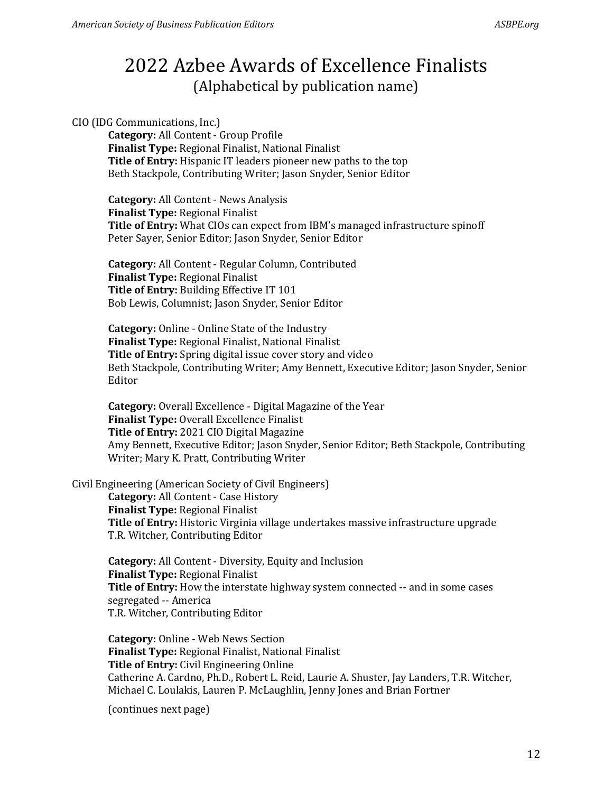### CIO (IDG Communications, Inc.)

**Category:** All Content - Group Profile **Finalist Type:** Regional Finalist, National Finalist **Title of Entry:** Hispanic IT leaders pioneer new paths to the top Beth Stackpole, Contributing Writer; Jason Snyder, Senior Editor

**Category:** All Content - News Analysis **Finalist Type:** Regional Finalist **Title of Entry:** What CIOs can expect from IBM's managed infrastructure spinoff Peter Sayer, Senior Editor; Jason Snyder, Senior Editor

**Category:** All Content - Regular Column, Contributed **Finalist Type:** Regional Finalist **Title of Entry:** Building Effective IT 101 Bob Lewis, Columnist; Jason Snyder, Senior Editor

**Category:** Online - Online State of the Industry **Finalist Type:** Regional Finalist, National Finalist **Title of Entry:** Spring digital issue cover story and video Beth Stackpole, Contributing Writer; Amy Bennett, Executive Editor; Jason Snyder, Senior Editor

**Category:** Overall Excellence - Digital Magazine of the Year **Finalist Type:** Overall Excellence Finalist **Title of Entry:** 2021 CIO Digital Magazine Amy Bennett, Executive Editor; Jason Snyder, Senior Editor; Beth Stackpole, Contributing Writer; Mary K. Pratt, Contributing Writer

#### Civil Engineering (American Society of Civil Engineers)

**Category:** All Content - Case History **Finalist Type:** Regional Finalist **Title of Entry:** Historic Virginia village undertakes massive infrastructure upgrade T.R. Witcher, Contributing Editor

**Category:** All Content - Diversity, Equity and Inclusion **Finalist Type:** Regional Finalist **Title of Entry:** How the interstate highway system connected -- and in some cases segregated -- America T.R. Witcher, Contributing Editor

**Category:** Online - Web News Section **Finalist Type:** Regional Finalist, National Finalist **Title of Entry:** Civil Engineering Online Catherine A. Cardno, Ph.D., Robert L. Reid, Laurie A. Shuster, Jay Landers, T.R. Witcher, Michael C. Loulakis, Lauren P. McLaughlin, Jenny Jones and Brian Fortner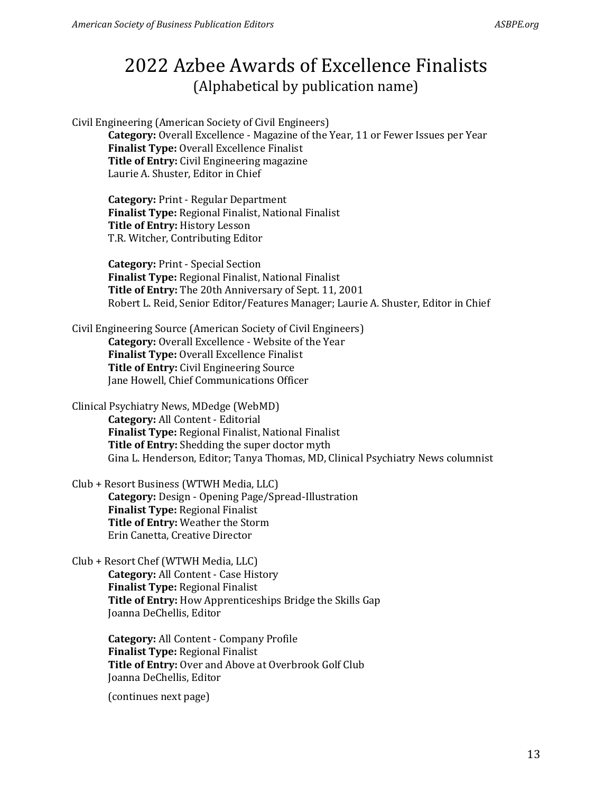Civil Engineering (American Society of Civil Engineers)

**Category:** Overall Excellence - Magazine of the Year, 11 or Fewer Issues per Year **Finalist Type:** Overall Excellence Finalist **Title of Entry:** Civil Engineering magazine Laurie A. Shuster, Editor in Chief

**Category:** Print - Regular Department **Finalist Type:** Regional Finalist, National Finalist **Title of Entry:** History Lesson T.R. Witcher, Contributing Editor

**Category:** Print - Special Section **Finalist Type:** Regional Finalist, National Finalist **Title of Entry:** The 20th Anniversary of Sept. 11, 2001 Robert L. Reid, Senior Editor/Features Manager; Laurie A. Shuster, Editor in Chief

Civil Engineering Source (American Society of Civil Engineers) **Category:** Overall Excellence - Website of the Year **Finalist Type:** Overall Excellence Finalist **Title of Entry:** Civil Engineering Source Jane Howell, Chief Communications Officer

Clinical Psychiatry News, MDedge (WebMD) **Category:** All Content - Editorial **Finalist Type:** Regional Finalist, National Finalist **Title of Entry:** Shedding the super doctor myth Gina L. Henderson, Editor; Tanya Thomas, MD, Clinical Psychiatry News columnist

Club + Resort Business (WTWH Media, LLC) **Category:** Design - Opening Page/Spread-Illustration **Finalist Type:** Regional Finalist **Title of Entry:** Weather the Storm Erin Canetta, Creative Director

Club + Resort Chef (WTWH Media, LLC) **Category:** All Content - Case History **Finalist Type:** Regional Finalist **Title of Entry:** How Apprenticeships Bridge the Skills Gap Joanna DeChellis, Editor

> **Category:** All Content - Company Profile **Finalist Type:** Regional Finalist **Title of Entry:** Over and Above at Overbrook Golf Club Joanna DeChellis, Editor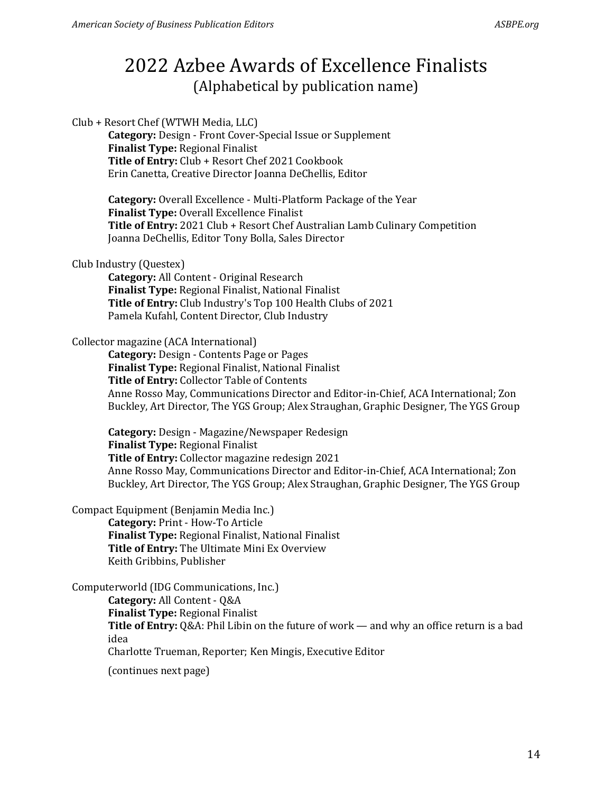Club + Resort Chef (WTWH Media, LLC) **Category:** Design - Front Cover-Special Issue or Supplement **Finalist Type:** Regional Finalist **Title of Entry:** Club + Resort Chef 2021 Cookbook Erin Canetta, Creative Director Joanna DeChellis, Editor

> **Category:** Overall Excellence - Multi-Platform Package of the Year **Finalist Type:** Overall Excellence Finalist **Title of Entry:** 2021 Club + Resort Chef Australian Lamb Culinary Competition Joanna DeChellis, Editor Tony Bolla, Sales Director

#### Club Industry (Questex)

**Category:** All Content - Original Research **Finalist Type:** Regional Finalist, National Finalist **Title of Entry:** Club Industry's Top 100 Health Clubs of 2021 Pamela Kufahl, Content Director, Club Industry

#### Collector magazine (ACA International)

**Category:** Design - Contents Page or Pages **Finalist Type:** Regional Finalist, National Finalist **Title of Entry:** Collector Table of Contents Anne Rosso May, Communications Director and Editor-in-Chief, ACA International; Zon Buckley, Art Director, The YGS Group; Alex Straughan, Graphic Designer, The YGS Group

**Category:** Design - Magazine/Newspaper Redesign **Finalist Type:** Regional Finalist **Title of Entry:** Collector magazine redesign 2021 Anne Rosso May, Communications Director and Editor-in-Chief, ACA International; Zon Buckley, Art Director, The YGS Group; Alex Straughan, Graphic Designer, The YGS Group

Compact Equipment (Benjamin Media Inc.)

**Category:** Print - How-To Article **Finalist Type:** Regional Finalist, National Finalist **Title of Entry:** The Ultimate Mini Ex Overview Keith Gribbins, Publisher

Computerworld (IDG Communications, Inc.)

**Category:** All Content - Q&A

**Finalist Type:** Regional Finalist

Title of Entry: Q&A: Phil Libin on the future of work — and why an office return is a bad idea

Charlotte Trueman, Reporter; Ken Mingis, Executive Editor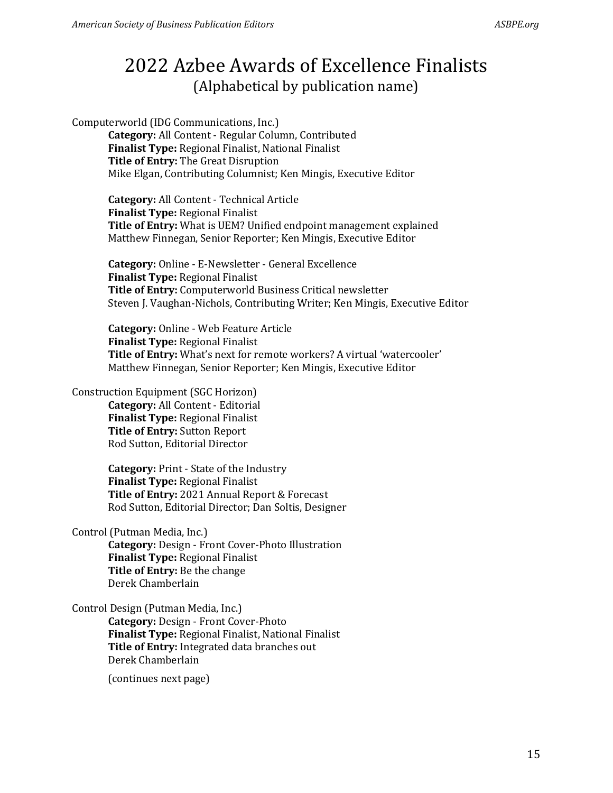Computerworld (IDG Communications, Inc.)

**Category:** All Content - Regular Column, Contributed **Finalist Type:** Regional Finalist, National Finalist **Title of Entry:** The Great Disruption Mike Elgan, Contributing Columnist; Ken Mingis, Executive Editor

**Category:** All Content - Technical Article **Finalist Type:** Regional Finalist **Title of Entry:** What is UEM? Unified endpoint management explained Matthew Finnegan, Senior Reporter; Ken Mingis, Executive Editor

**Category:** Online - E-Newsletter - General Excellence **Finalist Type:** Regional Finalist **Title of Entry:** Computerworld Business Critical newsletter Steven J. Vaughan-Nichols, Contributing Writer; Ken Mingis, Executive Editor

**Category:** Online - Web Feature Article **Finalist Type:** Regional Finalist **Title of Entry:** What's next for remote workers? A virtual 'watercooler' Matthew Finnegan, Senior Reporter; Ken Mingis, Executive Editor

### Construction Equipment (SGC Horizon)

**Category:** All Content - Editorial **Finalist Type:** Regional Finalist **Title of Entry:** Sutton Report Rod Sutton, Editorial Director

**Category:** Print - State of the Industry **Finalist Type:** Regional Finalist **Title of Entry:** 2021 Annual Report & Forecast Rod Sutton, Editorial Director; Dan Soltis, Designer

Control (Putman Media, Inc.)

**Category:** Design - Front Cover-Photo Illustration **Finalist Type:** Regional Finalist **Title of Entry:** Be the change Derek Chamberlain

### Control Design (Putman Media, Inc.)

**Category:** Design - Front Cover-Photo **Finalist Type:** Regional Finalist, National Finalist **Title of Entry:** Integrated data branches out Derek Chamberlain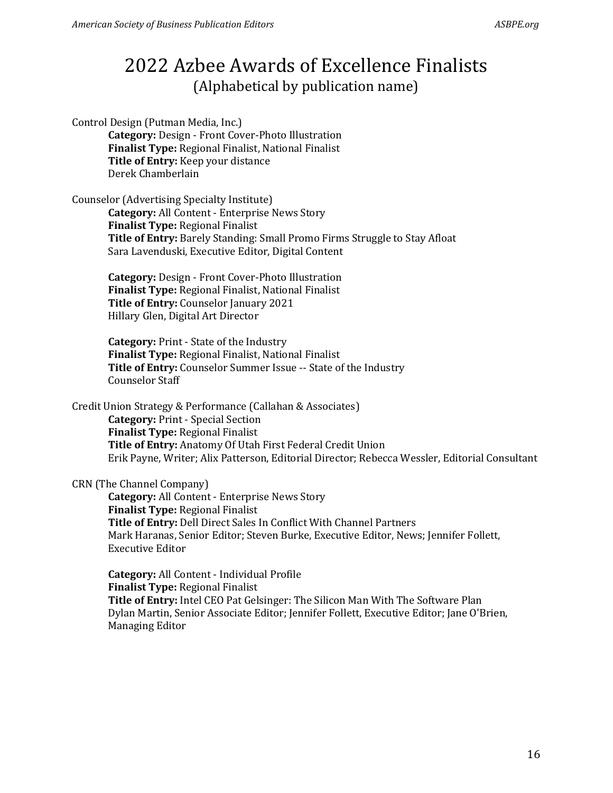Control Design (Putman Media, Inc.)

**Category:** Design - Front Cover-Photo Illustration **Finalist Type:** Regional Finalist, National Finalist **Title of Entry:** Keep your distance Derek Chamberlain

Counselor (Advertising Specialty Institute)

**Category:** All Content - Enterprise News Story **Finalist Type:** Regional Finalist **Title of Entry:** Barely Standing: Small Promo Firms Struggle to Stay Afloat Sara Lavenduski, Executive Editor, Digital Content

**Category:** Design - Front Cover-Photo Illustration **Finalist Type:** Regional Finalist, National Finalist **Title of Entry:** Counselor January 2021 Hillary Glen, Digital Art Director

**Category:** Print - State of the Industry **Finalist Type:** Regional Finalist, National Finalist **Title of Entry:** Counselor Summer Issue -- State of the Industry Counselor Staff

Credit Union Strategy & Performance (Callahan & Associates) **Category:** Print - Special Section **Finalist Type:** Regional Finalist **Title of Entry:** Anatomy Of Utah First Federal Credit Union Erik Payne, Writer; Alix Patterson, Editorial Director; Rebecca Wessler, Editorial Consultant

#### CRN (The Channel Company)

**Category:** All Content - Enterprise News Story **Finalist Type:** Regional Finalist **Title of Entry:** Dell Direct Sales In Conflict With Channel Partners Mark Haranas, Senior Editor; Steven Burke, Executive Editor, News; Jennifer Follett, Executive Editor

**Category:** All Content - Individual Profile **Finalist Type:** Regional Finalist **Title of Entry:** Intel CEO Pat Gelsinger: The Silicon Man With The Software Plan Dylan Martin, Senior Associate Editor; Jennifer Follett, Executive Editor; Jane O'Brien, Managing Editor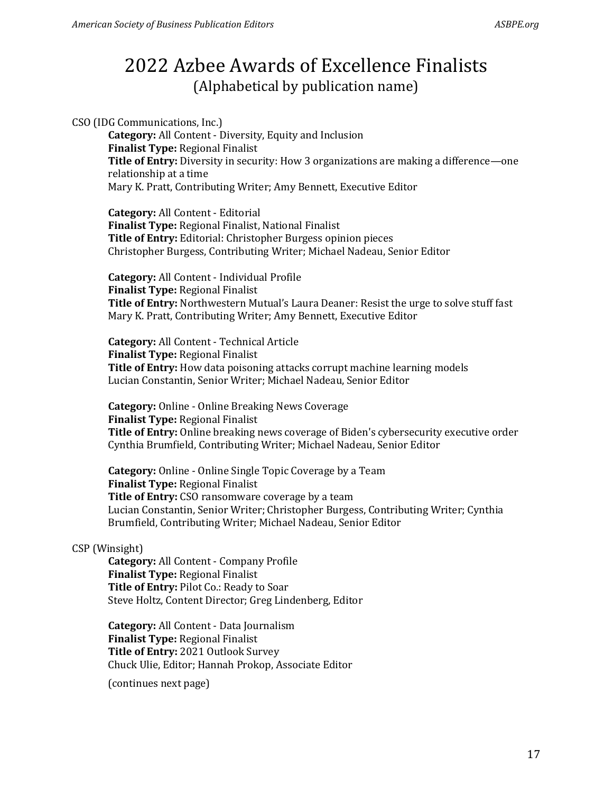CSO (IDG Communications, Inc.)

**Category:** All Content - Diversity, Equity and Inclusion **Finalist Type:** Regional Finalist **Title of Entry:** Diversity in security: How 3 organizations are making a difference—one relationship at a time Mary K. Pratt, Contributing Writer; Amy Bennett, Executive Editor

**Category:** All Content - Editorial **Finalist Type:** Regional Finalist, National Finalist **Title of Entry:** Editorial: Christopher Burgess opinion pieces Christopher Burgess, Contributing Writer; Michael Nadeau, Senior Editor

**Category:** All Content - Individual Profile **Finalist Type:** Regional Finalist **Title of Entry:** Northwestern Mutual's Laura Deaner: Resist the urge to solve stuff fast Mary K. Pratt, Contributing Writer; Amy Bennett, Executive Editor

**Category:** All Content - Technical Article **Finalist Type:** Regional Finalist **Title of Entry:** How data poisoning attacks corrupt machine learning models Lucian Constantin, Senior Writer; Michael Nadeau, Senior Editor

**Category:** Online - Online Breaking News Coverage **Finalist Type:** Regional Finalist **Title of Entry:** Online breaking news coverage of Biden's cybersecurity executive order Cynthia Brumfield, Contributing Writer; Michael Nadeau, Senior Editor

**Category:** Online - Online Single Topic Coverage by a Team **Finalist Type:** Regional Finalist **Title of Entry:** CSO ransomware coverage by a team Lucian Constantin, Senior Writer; Christopher Burgess, Contributing Writer; Cynthia Brumfield, Contributing Writer; Michael Nadeau, Senior Editor

### CSP (Winsight)

**Category:** All Content - Company Profile **Finalist Type:** Regional Finalist **Title of Entry:** Pilot Co.: Ready to Soar Steve Holtz, Content Director; Greg Lindenberg, Editor

**Category:** All Content - Data Journalism **Finalist Type:** Regional Finalist **Title of Entry:** 2021 Outlook Survey Chuck Ulie, Editor; Hannah Prokop, Associate Editor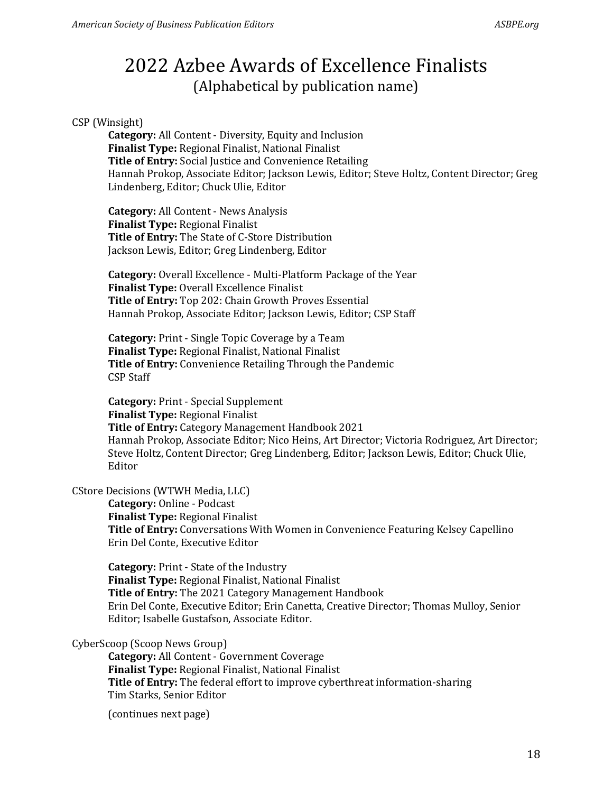### CSP (Winsight)

**Category:** All Content - Diversity, Equity and Inclusion **Finalist Type:** Regional Finalist, National Finalist **Title of Entry:** Social Justice and Convenience Retailing Hannah Prokop, Associate Editor; Jackson Lewis, Editor; Steve Holtz, Content Director; Greg Lindenberg, Editor; Chuck Ulie, Editor

**Category:** All Content - News Analysis **Finalist Type:** Regional Finalist **Title of Entry:** The State of C-Store Distribution Jackson Lewis, Editor; Greg Lindenberg, Editor

**Category:** Overall Excellence - Multi-Platform Package of the Year **Finalist Type:** Overall Excellence Finalist **Title of Entry:** Top 202: Chain Growth Proves Essential Hannah Prokop, Associate Editor; Jackson Lewis, Editor; CSP Staff

**Category:** Print - Single Topic Coverage by a Team **Finalist Type:** Regional Finalist, National Finalist **Title of Entry:** Convenience Retailing Through the Pandemic CSP Staff

**Category:** Print - Special Supplement **Finalist Type:** Regional Finalist **Title of Entry:** Category Management Handbook 2021 Hannah Prokop, Associate Editor; Nico Heins, Art Director; Victoria Rodriguez, Art Director; Steve Holtz, Content Director; Greg Lindenberg, Editor; Jackson Lewis, Editor; Chuck Ulie, Editor

#### CStore Decisions (WTWH Media, LLC)

**Category:** Online - Podcast **Finalist Type:** Regional Finalist **Title of Entry:** Conversations With Women in Convenience Featuring Kelsey Capellino Erin Del Conte, Executive Editor

**Category:** Print - State of the Industry **Finalist Type:** Regional Finalist, National Finalist **Title of Entry:** The 2021 Category Management Handbook Erin Del Conte, Executive Editor; Erin Canetta, Creative Director; Thomas Mulloy, Senior Editor; Isabelle Gustafson, Associate Editor.

#### CyberScoop (Scoop News Group)

**Category:** All Content - Government Coverage **Finalist Type:** Regional Finalist, National Finalist **Title of Entry:** The federal effort to improve cyberthreat information-sharing Tim Starks, Senior Editor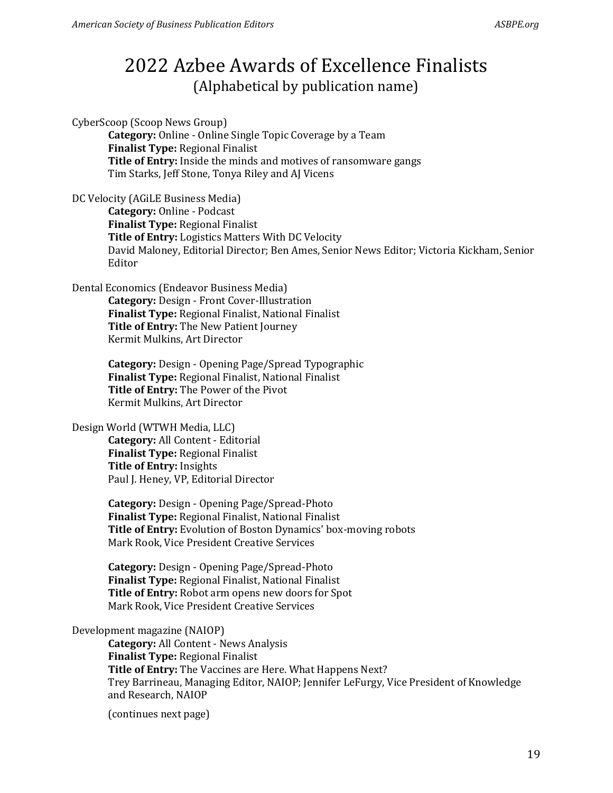CyberScoop (Scoop News Group)

**Category:** Online - Online Single Topic Coverage by a Team **Finalist Type:** Regional Finalist **Title of Entry:** Inside the minds and motives of ransomware gangs Tim Starks, Jeff Stone, Tonya Riley and AJ Vicens

DC Velocity (AGiLE Business Media)

**Category:** Online - Podcast **Finalist Type:** Regional Finalist **Title of Entry:** Logistics Matters With DC Velocity David Maloney, Editorial Director; Ben Ames, Senior News Editor; Victoria Kickham, Senior Editor

Dental Economics (Endeavor Business Media)

**Category:** Design - Front Cover-Illustration **Finalist Type:** Regional Finalist, National Finalist **Title of Entry:** The New Patient Journey Kermit Mulkins, Art Director

**Category:** Design - Opening Page/Spread Typographic **Finalist Type:** Regional Finalist, National Finalist **Title of Entry:** The Power of the Pivot Kermit Mulkins, Art Director

### Design World (WTWH Media, LLC)

**Category:** All Content - Editorial **Finalist Type:** Regional Finalist **Title of Entry:** Insights Paul J. Heney, VP, Editorial Director

**Category:** Design - Opening Page/Spread-Photo **Finalist Type:** Regional Finalist, National Finalist **Title of Entry:** Evolution of Boston Dynamics' box-moving robots Mark Rook, Vice President Creative Services

**Category:** Design - Opening Page/Spread-Photo **Finalist Type:** Regional Finalist, National Finalist **Title of Entry:** Robot arm opens new doors for Spot Mark Rook, Vice President Creative Services

### Development magazine (NAIOP)

**Category:** All Content - News Analysis **Finalist Type:** Regional Finalist **Title of Entry:** The Vaccines are Here. What Happens Next? Trey Barrineau, Managing Editor, NAIOP; Jennifer LeFurgy, Vice President of Knowledge and Research, NAIOP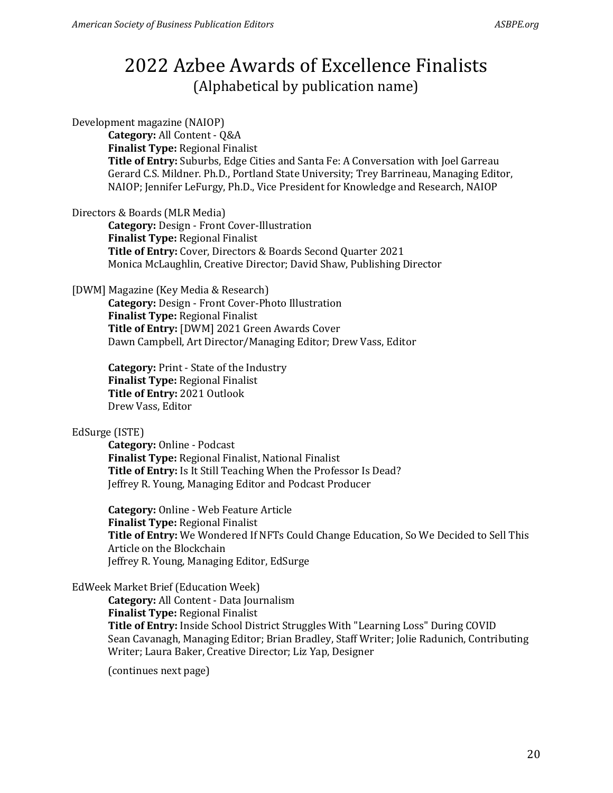Development magazine (NAIOP)

**Category:** All Content - Q&A **Finalist Type:** Regional Finalist **Title of Entry:** Suburbs, Edge Cities and Santa Fe: A Conversation with Joel Garreau Gerard C.S. Mildner. Ph.D., Portland State University; Trey Barrineau, Managing Editor, NAIOP; Jennifer LeFurgy, Ph.D., Vice President for Knowledge and Research, NAIOP

Directors & Boards (MLR Media)

**Category:** Design - Front Cover-Illustration **Finalist Type:** Regional Finalist **Title of Entry:** Cover, Directors & Boards Second Quarter 2021 Monica McLaughlin, Creative Director; David Shaw, Publishing Director

[DWM] Magazine (Key Media & Research)

**Category:** Design - Front Cover-Photo Illustration **Finalist Type:** Regional Finalist **Title of Entry:** [DWM] 2021 Green Awards Cover Dawn Campbell, Art Director/Managing Editor; Drew Vass, Editor

**Category:** Print - State of the Industry **Finalist Type:** Regional Finalist **Title of Entry:** 2021 Outlook Drew Vass, Editor

#### EdSurge (ISTE)

**Category:** Online - Podcast **Finalist Type:** Regional Finalist, National Finalist **Title of Entry:** Is It Still Teaching When the Professor Is Dead? Jeffrey R. Young, Managing Editor and Podcast Producer

**Category:** Online - Web Feature Article **Finalist Type:** Regional Finalist **Title of Entry:** We Wondered If NFTs Could Change Education, So We Decided to Sell This Article on the Blockchain Jeffrey R. Young, Managing Editor, EdSurge

EdWeek Market Brief (Education Week)

**Category:** All Content - Data Journalism **Finalist Type:** Regional Finalist **Title of Entry:** Inside School District Struggles With "Learning Loss" During COVID Sean Cavanagh, Managing Editor; Brian Bradley, Staff Writer; Jolie Radunich, Contributing Writer; Laura Baker, Creative Director; Liz Yap, Designer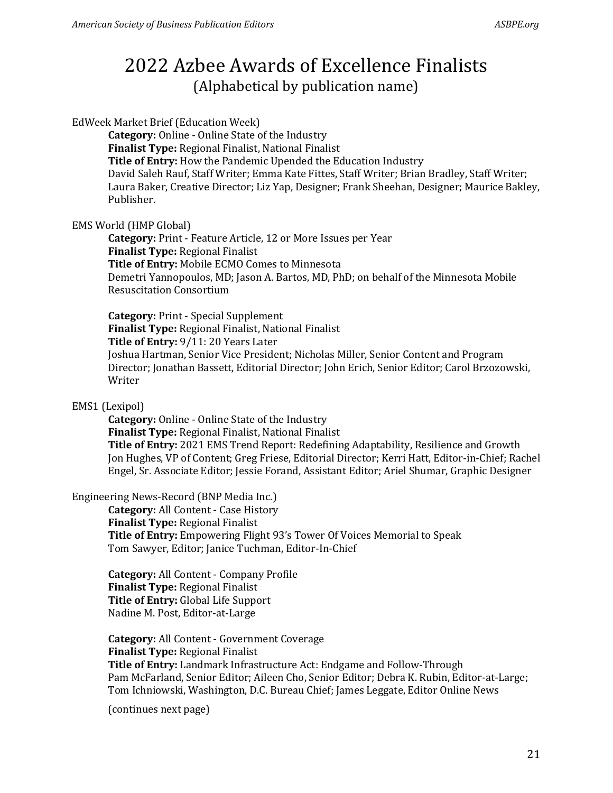EdWeek Market Brief (Education Week)

**Category:** Online - Online State of the Industry **Finalist Type:** Regional Finalist, National Finalist **Title of Entry:** How the Pandemic Upended the Education Industry David Saleh Rauf, Staff Writer; Emma Kate Fittes, Staff Writer; Brian Bradley, Staff Writer; Laura Baker, Creative Director; Liz Yap, Designer; Frank Sheehan, Designer; Maurice Bakley, Publisher.

### EMS World (HMP Global)

**Category:** Print - Feature Article, 12 or More Issues per Year **Finalist Type:** Regional Finalist **Title of Entry:** Mobile ECMO Comes to Minnesota Demetri Yannopoulos, MD; Jason A. Bartos, MD, PhD; on behalf of the Minnesota Mobile Resuscitation Consortium

**Category:** Print - Special Supplement **Finalist Type:** Regional Finalist, National Finalist **Title of Entry:** 9/11: 20 Years Later Joshua Hartman, Senior Vice President; Nicholas Miller, Senior Content and Program Director; Jonathan Bassett, Editorial Director; John Erich, Senior Editor; Carol Brzozowski, Writer

### EMS1 (Lexipol)

**Category:** Online - Online State of the Industry **Finalist Type:** Regional Finalist, National Finalist **Title of Entry:** 2021 EMS Trend Report: Redefining Adaptability, Resilience and Growth Jon Hughes, VP of Content; Greg Friese, Editorial Director; Kerri Hatt, Editor-in-Chief; Rachel Engel, Sr. Associate Editor; Jessie Forand, Assistant Editor; Ariel Shumar, Graphic Designer

### Engineering News-Record (BNP Media Inc.)

**Category:** All Content - Case History **Finalist Type:** Regional Finalist **Title of Entry:** Empowering Flight 93's Tower Of Voices Memorial to Speak Tom Sawyer, Editor; Janice Tuchman, Editor-In-Chief

**Category:** All Content - Company Profile **Finalist Type:** Regional Finalist **Title of Entry:** Global Life Support Nadine M. Post, Editor-at-Large

**Category:** All Content - Government Coverage **Finalist Type:** Regional Finalist **Title of Entry:** Landmark Infrastructure Act: Endgame and Follow-Through Pam McFarland, Senior Editor; Aileen Cho, Senior Editor; Debra K. Rubin, Editor-at-Large; Tom Ichniowski, Washington, D.C. Bureau Chief; James Leggate, Editor Online News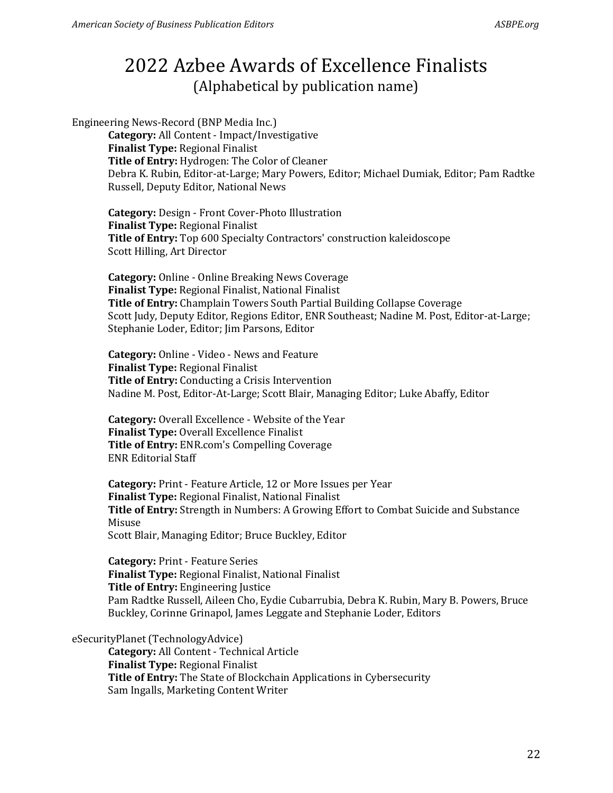Engineering News-Record (BNP Media Inc.) **Category:** All Content - Impact/Investigative **Finalist Type:** Regional Finalist **Title of Entry:** Hydrogen: The Color of Cleaner Debra K. Rubin, Editor-at-Large; Mary Powers, Editor; Michael Dumiak, Editor; Pam Radtke Russell, Deputy Editor, National News

**Category:** Design - Front Cover-Photo Illustration **Finalist Type:** Regional Finalist **Title of Entry:** Top 600 Specialty Contractors' construction kaleidoscope Scott Hilling, Art Director

**Category:** Online - Online Breaking News Coverage **Finalist Type:** Regional Finalist, National Finalist **Title of Entry:** Champlain Towers South Partial Building Collapse Coverage Scott Judy, Deputy Editor, Regions Editor, ENR Southeast; Nadine M. Post, Editor-at-Large; Stephanie Loder, Editor; Jim Parsons, Editor

**Category:** Online - Video - News and Feature **Finalist Type:** Regional Finalist **Title of Entry:** Conducting a Crisis Intervention Nadine M. Post, Editor-At-Large; Scott Blair, Managing Editor; Luke Abaffy, Editor

**Category:** Overall Excellence - Website of the Year **Finalist Type:** Overall Excellence Finalist **Title of Entry:** ENR.com's Compelling Coverage ENR Editorial Staff

**Category:** Print - Feature Article, 12 or More Issues per Year **Finalist Type:** Regional Finalist, National Finalist **Title of Entry:** Strength in Numbers: A Growing Effort to Combat Suicide and Substance Misuse Scott Blair, Managing Editor; Bruce Buckley, Editor

**Category:** Print - Feature Series **Finalist Type:** Regional Finalist, National Finalist **Title of Entry:** Engineering Justice Pam Radtke Russell, Aileen Cho, Eydie Cubarrubia, Debra K. Rubin, Mary B. Powers, Bruce Buckley, Corinne Grinapol, James Leggate and Stephanie Loder, Editors

### eSecurityPlanet (TechnologyAdvice)

**Category:** All Content - Technical Article **Finalist Type:** Regional Finalist **Title of Entry:** The State of Blockchain Applications in Cybersecurity Sam Ingalls, Marketing Content Writer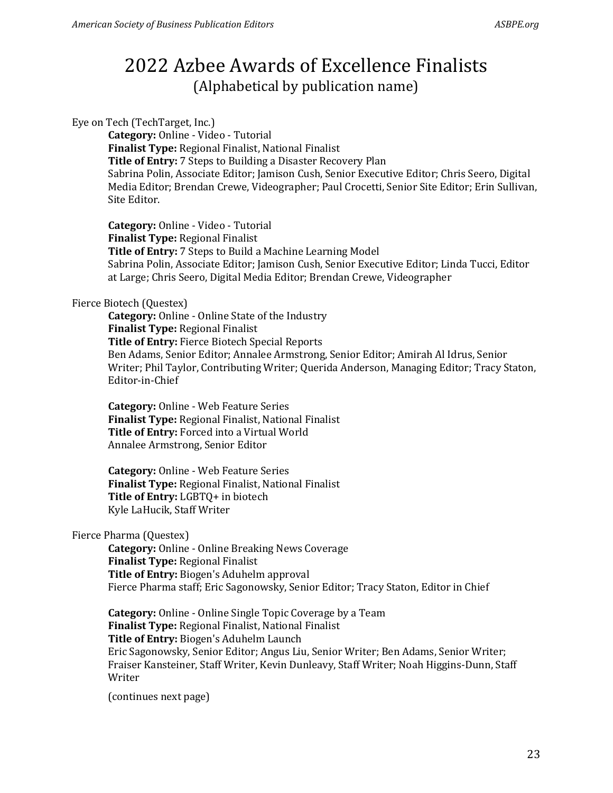#### Eye on Tech (TechTarget, Inc.)

**Category:** Online - Video - Tutorial **Finalist Type:** Regional Finalist, National Finalist **Title of Entry:** 7 Steps to Building a Disaster Recovery Plan Sabrina Polin, Associate Editor; Jamison Cush, Senior Executive Editor; Chris Seero, Digital Media Editor; Brendan Crewe, Videographer; Paul Crocetti, Senior Site Editor; Erin Sullivan, Site Editor.

**Category:** Online - Video - Tutorial **Finalist Type:** Regional Finalist **Title of Entry:** 7 Steps to Build a Machine Learning Model Sabrina Polin, Associate Editor; Jamison Cush, Senior Executive Editor; Linda Tucci, Editor at Large; Chris Seero, Digital Media Editor; Brendan Crewe, Videographer

#### Fierce Biotech (Questex)

**Category:** Online - Online State of the Industry **Finalist Type:** Regional Finalist **Title of Entry:** Fierce Biotech Special Reports Ben Adams, Senior Editor; Annalee Armstrong, Senior Editor; Amirah Al Idrus, Senior Writer; Phil Taylor, Contributing Writer; Querida Anderson, Managing Editor; Tracy Staton, Editor-in-Chief

**Category:** Online - Web Feature Series **Finalist Type:** Regional Finalist, National Finalist **Title of Entry:** Forced into a Virtual World Annalee Armstrong, Senior Editor

**Category:** Online - Web Feature Series **Finalist Type:** Regional Finalist, National Finalist **Title of Entry:** LGBTQ+ in biotech Kyle LaHucik, Staff Writer

#### Fierce Pharma (Questex)

**Category:** Online - Online Breaking News Coverage **Finalist Type:** Regional Finalist **Title of Entry:** Biogen's Aduhelm approval Fierce Pharma staff; Eric Sagonowsky, Senior Editor; Tracy Staton, Editor in Chief

**Category:** Online - Online Single Topic Coverage by a Team **Finalist Type:** Regional Finalist, National Finalist **Title of Entry:** Biogen's Aduhelm Launch Eric Sagonowsky, Senior Editor; Angus Liu, Senior Writer; Ben Adams, Senior Writer; Fraiser Kansteiner, Staff Writer, Kevin Dunleavy, Staff Writer; Noah Higgins-Dunn, Staff Writer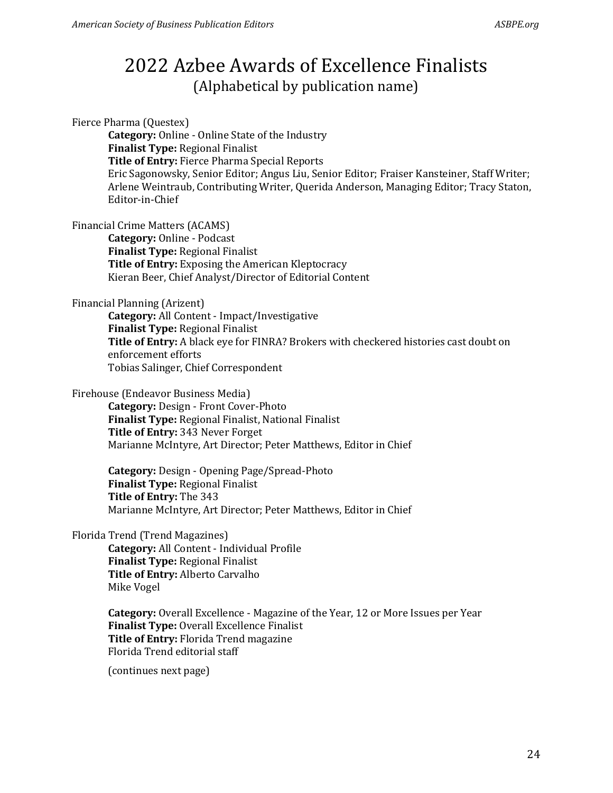Fierce Pharma (Questex) **Category:** Online - Online State of the Industry **Finalist Type:** Regional Finalist **Title of Entry:** Fierce Pharma Special Reports Eric Sagonowsky, Senior Editor; Angus Liu, Senior Editor; Fraiser Kansteiner, Staff Writer; Arlene Weintraub, Contributing Writer, Querida Anderson, Managing Editor; Tracy Staton, Editor-in-Chief

Financial Crime Matters (ACAMS)

**Category:** Online - Podcast **Finalist Type:** Regional Finalist **Title of Entry:** Exposing the American Kleptocracy Kieran Beer, Chief Analyst/Director of Editorial Content

#### Financial Planning (Arizent)

**Category:** All Content - Impact/Investigative **Finalist Type:** Regional Finalist **Title of Entry:** A black eye for FINRA? Brokers with checkered histories cast doubt on enforcement efforts Tobias Salinger, Chief Correspondent

#### Firehouse (Endeavor Business Media)

**Category:** Design - Front Cover-Photo **Finalist Type:** Regional Finalist, National Finalist **Title of Entry:** 343 Never Forget Marianne McIntyre, Art Director; Peter Matthews, Editor in Chief

**Category:** Design - Opening Page/Spread-Photo **Finalist Type:** Regional Finalist **Title of Entry:** The 343 Marianne McIntyre, Art Director; Peter Matthews, Editor in Chief

Florida Trend (Trend Magazines)

**Category:** All Content - Individual Profile **Finalist Type:** Regional Finalist **Title of Entry:** Alberto Carvalho Mike Vogel

**Category:** Overall Excellence - Magazine of the Year, 12 or More Issues per Year **Finalist Type:** Overall Excellence Finalist **Title of Entry:** Florida Trend magazine Florida Trend editorial staff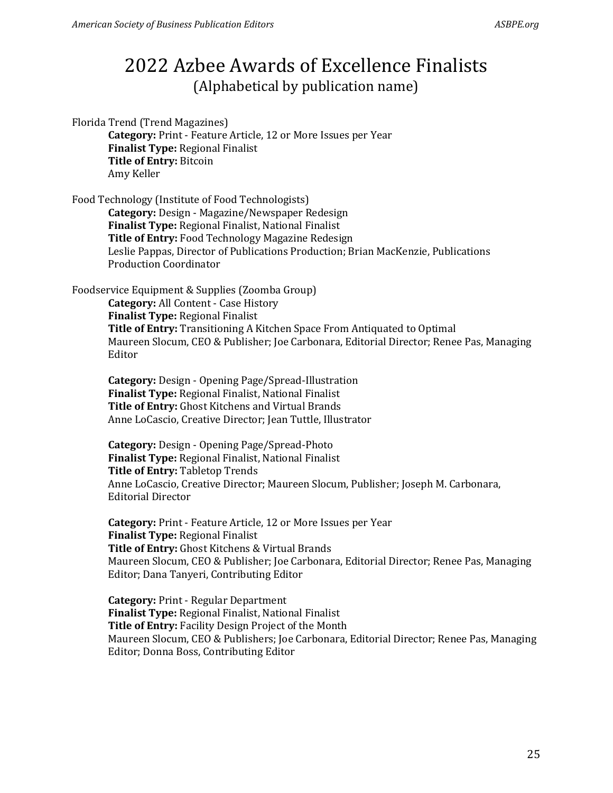Florida Trend (Trend Magazines)

**Category:** Print - Feature Article, 12 or More Issues per Year **Finalist Type:** Regional Finalist **Title of Entry:** Bitcoin Amy Keller

Food Technology (Institute of Food Technologists) **Category:** Design - Magazine/Newspaper Redesign **Finalist Type:** Regional Finalist, National Finalist **Title of Entry:** Food Technology Magazine Redesign Leslie Pappas, Director of Publications Production; Brian MacKenzie, Publications Production Coordinator

Foodservice Equipment & Supplies (Zoomba Group)

**Category:** All Content - Case History **Finalist Type:** Regional Finalist **Title of Entry:** Transitioning A Kitchen Space From Antiquated to Optimal Maureen Slocum, CEO & Publisher; Joe Carbonara, Editorial Director; Renee Pas, Managing Editor

**Category:** Design - Opening Page/Spread-Illustration **Finalist Type:** Regional Finalist, National Finalist **Title of Entry:** Ghost Kitchens and Virtual Brands Anne LoCascio, Creative Director; Jean Tuttle, Illustrator

**Category:** Design - Opening Page/Spread-Photo **Finalist Type:** Regional Finalist, National Finalist **Title of Entry:** Tabletop Trends Anne LoCascio, Creative Director; Maureen Slocum, Publisher; Joseph M. Carbonara, Editorial Director

**Category:** Print - Feature Article, 12 or More Issues per Year **Finalist Type:** Regional Finalist **Title of Entry:** Ghost Kitchens & Virtual Brands Maureen Slocum, CEO & Publisher; Joe Carbonara, Editorial Director; Renee Pas, Managing Editor; Dana Tanyeri, Contributing Editor

**Category:** Print - Regular Department **Finalist Type:** Regional Finalist, National Finalist **Title of Entry:** Facility Design Project of the Month Maureen Slocum, CEO & Publishers; Joe Carbonara, Editorial Director; Renee Pas, Managing Editor; Donna Boss, Contributing Editor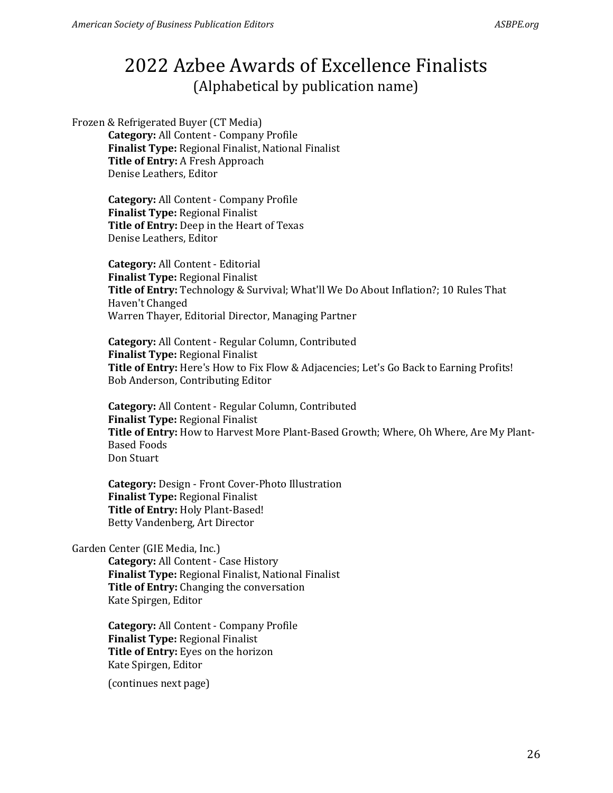Frozen & Refrigerated Buyer (CT Media)

**Category:** All Content - Company Profile **Finalist Type:** Regional Finalist, National Finalist **Title of Entry:** A Fresh Approach Denise Leathers, Editor

**Category:** All Content - Company Profile **Finalist Type:** Regional Finalist **Title of Entry:** Deep in the Heart of Texas Denise Leathers, Editor

**Category:** All Content - Editorial **Finalist Type:** Regional Finalist **Title of Entry:** Technology & Survival; What'll We Do About Inflation?; 10 Rules That Haven't Changed Warren Thayer, Editorial Director, Managing Partner

**Category:** All Content - Regular Column, Contributed **Finalist Type:** Regional Finalist **Title of Entry:** Here's How to Fix Flow & Adjacencies; Let's Go Back to Earning Profits! Bob Anderson, Contributing Editor

**Category:** All Content - Regular Column, Contributed **Finalist Type:** Regional Finalist **Title of Entry:** How to Harvest More Plant-Based Growth; Where, Oh Where, Are My Plant-Based Foods Don Stuart

**Category:** Design - Front Cover-Photo Illustration **Finalist Type:** Regional Finalist **Title of Entry:** Holy Plant-Based! Betty Vandenberg, Art Director

#### Garden Center (GIE Media, Inc.)

**Category:** All Content - Case History **Finalist Type:** Regional Finalist, National Finalist **Title of Entry:** Changing the conversation Kate Spirgen, Editor

**Category:** All Content - Company Profile **Finalist Type:** Regional Finalist **Title of Entry:** Eyes on the horizon Kate Spirgen, Editor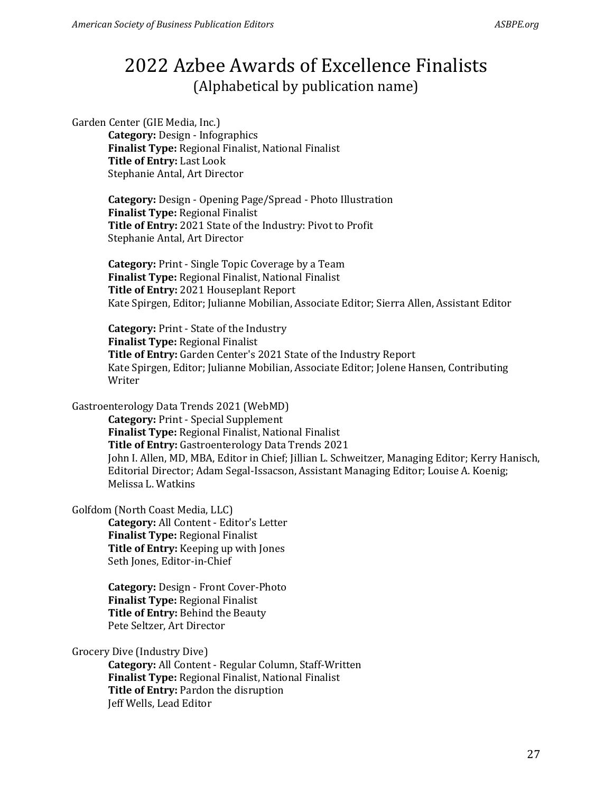Garden Center (GIE Media, Inc.)

**Category:** Design - Infographics **Finalist Type:** Regional Finalist, National Finalist **Title of Entry:** Last Look Stephanie Antal, Art Director

**Category:** Design - Opening Page/Spread - Photo Illustration **Finalist Type:** Regional Finalist **Title of Entry:** 2021 State of the Industry: Pivot to Profit Stephanie Antal, Art Director

**Category:** Print - Single Topic Coverage by a Team **Finalist Type:** Regional Finalist, National Finalist **Title of Entry:** 2021 Houseplant Report Kate Spirgen, Editor; Julianne Mobilian, Associate Editor; Sierra Allen, Assistant Editor

**Category:** Print - State of the Industry **Finalist Type:** Regional Finalist **Title of Entry:** Garden Center's 2021 State of the Industry Report Kate Spirgen, Editor; Julianne Mobilian, Associate Editor; Jolene Hansen, Contributing Writer

Gastroenterology Data Trends 2021 (WebMD)

**Category:** Print - Special Supplement **Finalist Type:** Regional Finalist, National Finalist **Title of Entry:** Gastroenterology Data Trends 2021 John I. Allen, MD, MBA, Editor in Chief; Jillian L. Schweitzer, Managing Editor; Kerry Hanisch, Editorial Director; Adam Segal-Issacson, Assistant Managing Editor; Louise A. Koenig; Melissa L. Watkins

Golfdom (North Coast Media, LLC)

**Category:** All Content - Editor's Letter **Finalist Type:** Regional Finalist **Title of Entry:** Keeping up with Jones Seth Jones, Editor-in-Chief

**Category:** Design - Front Cover-Photo **Finalist Type:** Regional Finalist **Title of Entry:** Behind the Beauty Pete Seltzer, Art Director

Grocery Dive (Industry Dive)

**Category:** All Content - Regular Column, Staff-Written **Finalist Type:** Regional Finalist, National Finalist **Title of Entry:** Pardon the disruption Jeff Wells, Lead Editor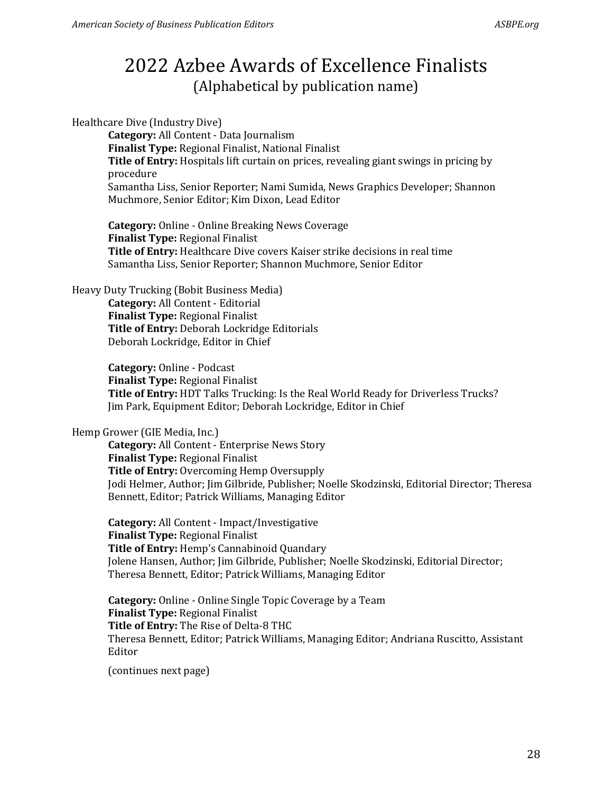Healthcare Dive (Industry Dive)

**Category:** All Content - Data Journalism **Finalist Type:** Regional Finalist, National Finalist **Title of Entry:** Hospitals lift curtain on prices, revealing giant swings in pricing by procedure Samantha Liss, Senior Reporter; Nami Sumida, News Graphics Developer; Shannon Muchmore, Senior Editor; Kim Dixon, Lead Editor

**Category:** Online - Online Breaking News Coverage **Finalist Type:** Regional Finalist **Title of Entry:** Healthcare Dive covers Kaiser strike decisions in real time Samantha Liss, Senior Reporter; Shannon Muchmore, Senior Editor

#### Heavy Duty Trucking (Bobit Business Media)

**Category:** All Content - Editorial **Finalist Type:** Regional Finalist **Title of Entry:** Deborah Lockridge Editorials Deborah Lockridge, Editor in Chief

**Category:** Online - Podcast **Finalist Type:** Regional Finalist **Title of Entry:** HDT Talks Trucking: Is the Real World Ready for Driverless Trucks? Jim Park, Equipment Editor; Deborah Lockridge, Editor in Chief

#### Hemp Grower (GIE Media, Inc.)

**Category:** All Content - Enterprise News Story **Finalist Type:** Regional Finalist **Title of Entry:** Overcoming Hemp Oversupply Jodi Helmer, Author; Jim Gilbride, Publisher; Noelle Skodzinski, Editorial Director; Theresa Bennett, Editor; Patrick Williams, Managing Editor

**Category:** All Content - Impact/Investigative **Finalist Type:** Regional Finalist **Title of Entry:** Hemp's Cannabinoid Quandary Jolene Hansen, Author; Jim Gilbride, Publisher; Noelle Skodzinski, Editorial Director; Theresa Bennett, Editor; Patrick Williams, Managing Editor

**Category:** Online - Online Single Topic Coverage by a Team **Finalist Type:** Regional Finalist **Title of Entry:** The Rise of Delta-8 THC Theresa Bennett, Editor; Patrick Williams, Managing Editor; Andriana Ruscitto, Assistant Editor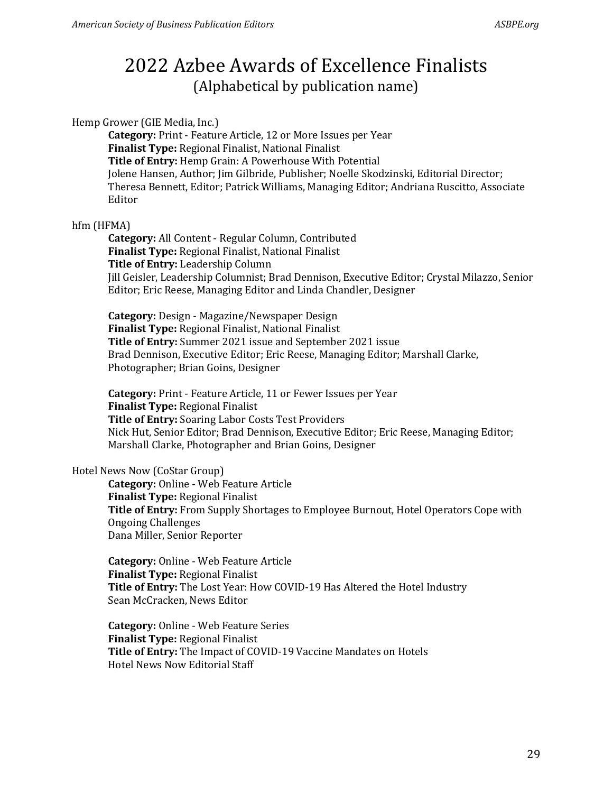#### Hemp Grower (GIE Media, Inc.)

**Category:** Print - Feature Article, 12 or More Issues per Year **Finalist Type:** Regional Finalist, National Finalist **Title of Entry:** Hemp Grain: A Powerhouse With Potential Jolene Hansen, Author; Jim Gilbride, Publisher; Noelle Skodzinski, Editorial Director; Theresa Bennett, Editor; Patrick Williams, Managing Editor; Andriana Ruscitto, Associate Editor

### hfm (HFMA)

**Category:** All Content - Regular Column, Contributed **Finalist Type:** Regional Finalist, National Finalist **Title of Entry:** Leadership Column Jill Geisler, Leadership Columnist; Brad Dennison, Executive Editor; Crystal Milazzo, Senior Editor; Eric Reese, Managing Editor and Linda Chandler, Designer

**Category:** Design - Magazine/Newspaper Design **Finalist Type:** Regional Finalist, National Finalist **Title of Entry:** Summer 2021 issue and September 2021 issue Brad Dennison, Executive Editor; Eric Reese, Managing Editor; Marshall Clarke, Photographer; Brian Goins, Designer

**Category:** Print - Feature Article, 11 or Fewer Issues per Year **Finalist Type:** Regional Finalist **Title of Entry:** Soaring Labor Costs Test Providers Nick Hut, Senior Editor; Brad Dennison, Executive Editor; Eric Reese, Managing Editor; Marshall Clarke, Photographer and Brian Goins, Designer

#### Hotel News Now (CoStar Group)

**Category:** Online - Web Feature Article **Finalist Type:** Regional Finalist **Title of Entry:** From Supply Shortages to Employee Burnout, Hotel Operators Cope with Ongoing Challenges Dana Miller, Senior Reporter

**Category:** Online - Web Feature Article **Finalist Type:** Regional Finalist **Title of Entry:** The Lost Year: How COVID-19 Has Altered the Hotel Industry Sean McCracken, News Editor

**Category:** Online - Web Feature Series **Finalist Type:** Regional Finalist **Title of Entry:** The Impact of COVID-19 Vaccine Mandates on Hotels Hotel News Now Editorial Staff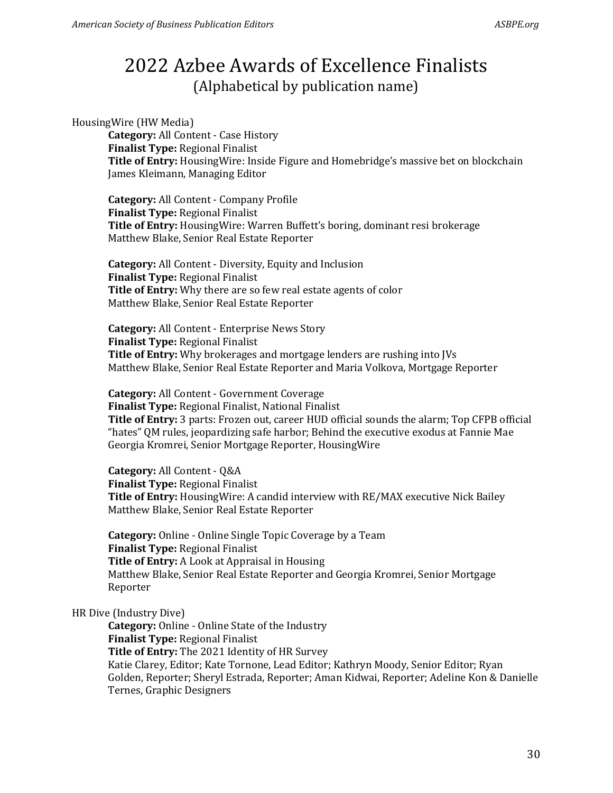#### HousingWire (HW Media)

**Category:** All Content - Case History **Finalist Type:** Regional Finalist **Title of Entry:** HousingWire: Inside Figure and Homebridge's massive bet on blockchain James Kleimann, Managing Editor

**Category:** All Content - Company Profile **Finalist Type:** Regional Finalist **Title of Entry:** HousingWire: Warren Buffett's boring, dominant resi brokerage Matthew Blake, Senior Real Estate Reporter

**Category:** All Content - Diversity, Equity and Inclusion **Finalist Type:** Regional Finalist **Title of Entry:** Why there are so few real estate agents of color Matthew Blake, Senior Real Estate Reporter

**Category:** All Content - Enterprise News Story **Finalist Type:** Regional Finalist **Title of Entry:** Why brokerages and mortgage lenders are rushing into JVs Matthew Blake, Senior Real Estate Reporter and Maria Volkova, Mortgage Reporter

**Category:** All Content - Government Coverage **Finalist Type:** Regional Finalist, National Finalist **Title of Entry:** 3 parts: Frozen out, career HUD official sounds the alarm; Top CFPB official "hates" QM rules, jeopardizing safe harbor; Behind the executive exodus at Fannie Mae Georgia Kromrei, Senior Mortgage Reporter, HousingWire

**Category:** All Content - Q&A **Finalist Type:** Regional Finalist **Title of Entry:** HousingWire: A candid interview with RE/MAX executive Nick Bailey Matthew Blake, Senior Real Estate Reporter

**Category:** Online - Online Single Topic Coverage by a Team **Finalist Type:** Regional Finalist **Title of Entry:** A Look at Appraisal in Housing Matthew Blake, Senior Real Estate Reporter and Georgia Kromrei, Senior Mortgage Reporter

### HR Dive (Industry Dive)

**Category:** Online - Online State of the Industry **Finalist Type:** Regional Finalist **Title of Entry:** The 2021 Identity of HR Survey Katie Clarey, Editor; Kate Tornone, Lead Editor; Kathryn Moody, Senior Editor; Ryan Golden, Reporter; Sheryl Estrada, Reporter; Aman Kidwai, Reporter; Adeline Kon & Danielle Ternes, Graphic Designers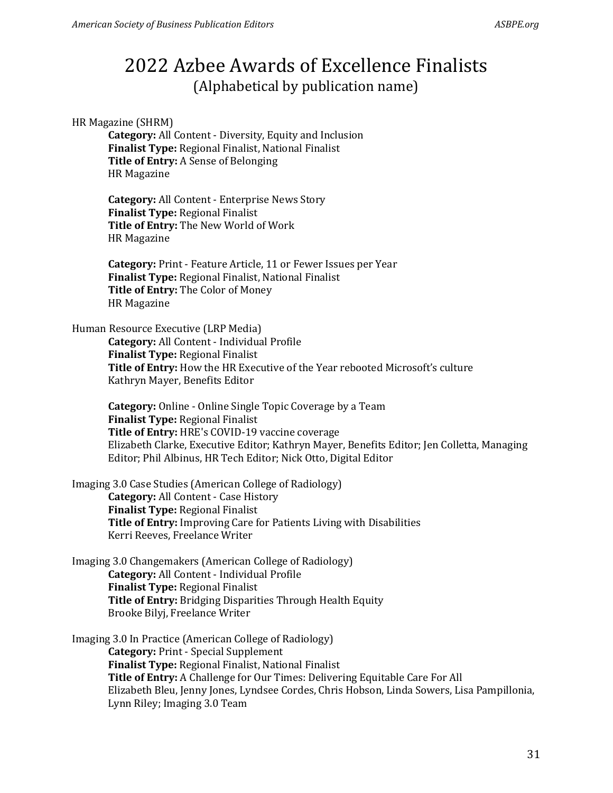### HR Magazine (SHRM)

**Category:** All Content - Diversity, Equity and Inclusion **Finalist Type:** Regional Finalist, National Finalist **Title of Entry:** A Sense of Belonging HR Magazine

**Category:** All Content - Enterprise News Story **Finalist Type:** Regional Finalist **Title of Entry:** The New World of Work HR Magazine

**Category:** Print - Feature Article, 11 or Fewer Issues per Year **Finalist Type:** Regional Finalist, National Finalist **Title of Entry:** The Color of Money HR Magazine

#### Human Resource Executive (LRP Media)

**Category:** All Content - Individual Profile **Finalist Type:** Regional Finalist **Title of Entry:** How the HR Executive of the Year rebooted Microsoft's culture Kathryn Mayer, Benefits Editor

**Category:** Online - Online Single Topic Coverage by a Team **Finalist Type:** Regional Finalist **Title of Entry:** HRE's COVID-19 vaccine coverage Elizabeth Clarke, Executive Editor; Kathryn Mayer, Benefits Editor; Jen Colletta, Managing Editor; Phil Albinus, HR Tech Editor; Nick Otto, Digital Editor

Imaging 3.0 Case Studies (American College of Radiology) **Category:** All Content - Case History **Finalist Type:** Regional Finalist **Title of Entry:** Improving Care for Patients Living with Disabilities Kerri Reeves, Freelance Writer

Imaging 3.0 Changemakers (American College of Radiology) **Category:** All Content - Individual Profile **Finalist Type:** Regional Finalist **Title of Entry:** Bridging Disparities Through Health Equity Brooke Bilyj, Freelance Writer

Imaging 3.0 In Practice (American College of Radiology) **Category:** Print - Special Supplement **Finalist Type:** Regional Finalist, National Finalist **Title of Entry:** A Challenge for Our Times: Delivering Equitable Care For All Elizabeth Bleu, Jenny Jones, Lyndsee Cordes, Chris Hobson, Linda Sowers, Lisa Pampillonia, Lynn Riley; Imaging 3.0 Team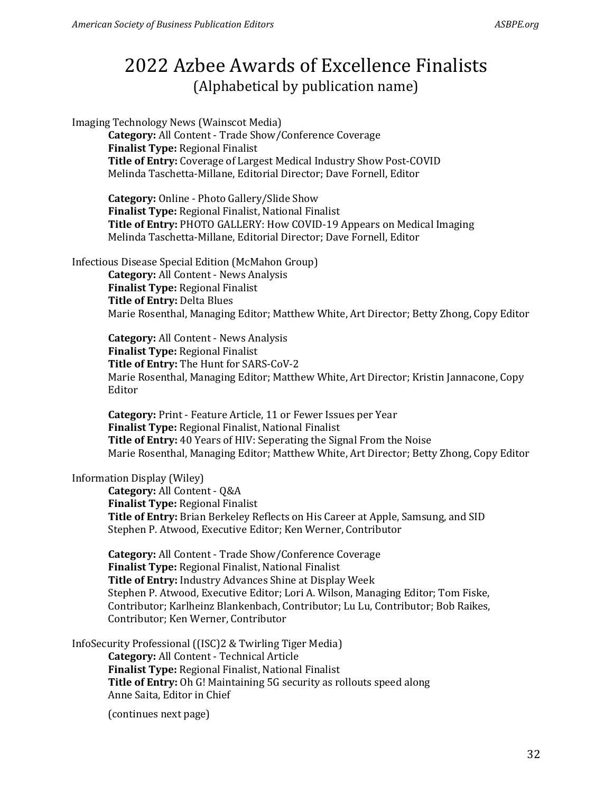Imaging Technology News (Wainscot Media) **Category:** All Content - Trade Show/Conference Coverage **Finalist Type:** Regional Finalist **Title of Entry:** Coverage of Largest Medical Industry Show Post-COVID Melinda Taschetta-Millane, Editorial Director; Dave Fornell, Editor

**Category:** Online - Photo Gallery/Slide Show **Finalist Type:** Regional Finalist, National Finalist **Title of Entry:** PHOTO GALLERY: How COVID-19 Appears on Medical Imaging Melinda Taschetta-Millane, Editorial Director; Dave Fornell, Editor

Infectious Disease Special Edition (McMahon Group)

**Category:** All Content - News Analysis **Finalist Type:** Regional Finalist **Title of Entry:** Delta Blues Marie Rosenthal, Managing Editor; Matthew White, Art Director; Betty Zhong, Copy Editor

**Category:** All Content - News Analysis **Finalist Type:** Regional Finalist **Title of Entry:** The Hunt for SARS-CoV-2 Marie Rosenthal, Managing Editor; Matthew White, Art Director; Kristin Jannacone, Copy Editor

**Category:** Print - Feature Article, 11 or Fewer Issues per Year **Finalist Type:** Regional Finalist, National Finalist **Title of Entry:** 40 Years of HIV: Seperating the Signal From the Noise Marie Rosenthal, Managing Editor; Matthew White, Art Director; Betty Zhong, Copy Editor

### Information Display (Wiley)

**Category:** All Content - Q&A **Finalist Type:** Regional Finalist **Title of Entry:** Brian Berkeley Reflects on His Career at Apple, Samsung, and SID Stephen P. Atwood, Executive Editor; Ken Werner, Contributor

**Category:** All Content - Trade Show/Conference Coverage **Finalist Type:** Regional Finalist, National Finalist **Title of Entry:** Industry Advances Shine at Display Week Stephen P. Atwood, Executive Editor; Lori A. Wilson, Managing Editor; Tom Fiske, Contributor; Karlheinz Blankenbach, Contributor; Lu Lu, Contributor; Bob Raikes, Contributor; Ken Werner, Contributor

InfoSecurity Professional ((ISC)2 & Twirling Tiger Media) **Category:** All Content - Technical Article **Finalist Type:** Regional Finalist, National Finalist **Title of Entry:** Oh G! Maintaining 5G security as rollouts speed along Anne Saita, Editor in Chief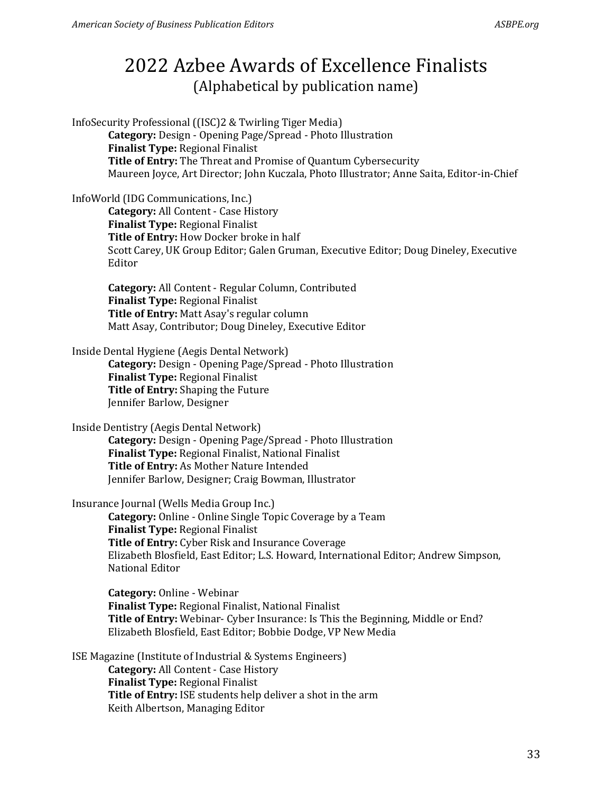InfoSecurity Professional ((ISC)2 & Twirling Tiger Media) **Category:** Design - Opening Page/Spread - Photo Illustration **Finalist Type:** Regional Finalist **Title of Entry:** The Threat and Promise of Quantum Cybersecurity Maureen Joyce, Art Director; John Kuczala, Photo Illustrator; Anne Saita, Editor-in-Chief

### InfoWorld (IDG Communications, Inc.)

**Category:** All Content - Case History **Finalist Type:** Regional Finalist **Title of Entry:** How Docker broke in half Scott Carey, UK Group Editor; Galen Gruman, Executive Editor; Doug Dineley, Executive Editor

**Category:** All Content - Regular Column, Contributed **Finalist Type:** Regional Finalist **Title of Entry:** Matt Asay's regular column Matt Asay, Contributor; Doug Dineley, Executive Editor

### Inside Dental Hygiene (Aegis Dental Network)

**Category:** Design - Opening Page/Spread - Photo Illustration **Finalist Type:** Regional Finalist **Title of Entry:** Shaping the Future Jennifer Barlow, Designer

Inside Dentistry (Aegis Dental Network)

**Category:** Design - Opening Page/Spread - Photo Illustration **Finalist Type:** Regional Finalist, National Finalist **Title of Entry:** As Mother Nature Intended Jennifer Barlow, Designer; Craig Bowman, Illustrator

Insurance Journal (Wells Media Group Inc.)

**Category:** Online - Online Single Topic Coverage by a Team **Finalist Type:** Regional Finalist **Title of Entry:** Cyber Risk and Insurance Coverage Elizabeth Blosfield, East Editor; L.S. Howard, International Editor; Andrew Simpson, National Editor

**Category:** Online - Webinar **Finalist Type:** Regional Finalist, National Finalist **Title of Entry:** Webinar- Cyber Insurance: Is This the Beginning, Middle or End? Elizabeth Blosfield, East Editor; Bobbie Dodge, VP New Media

ISE Magazine (Institute of Industrial & Systems Engineers)

**Category:** All Content - Case History **Finalist Type:** Regional Finalist **Title of Entry:** ISE students help deliver a shot in the arm Keith Albertson, Managing Editor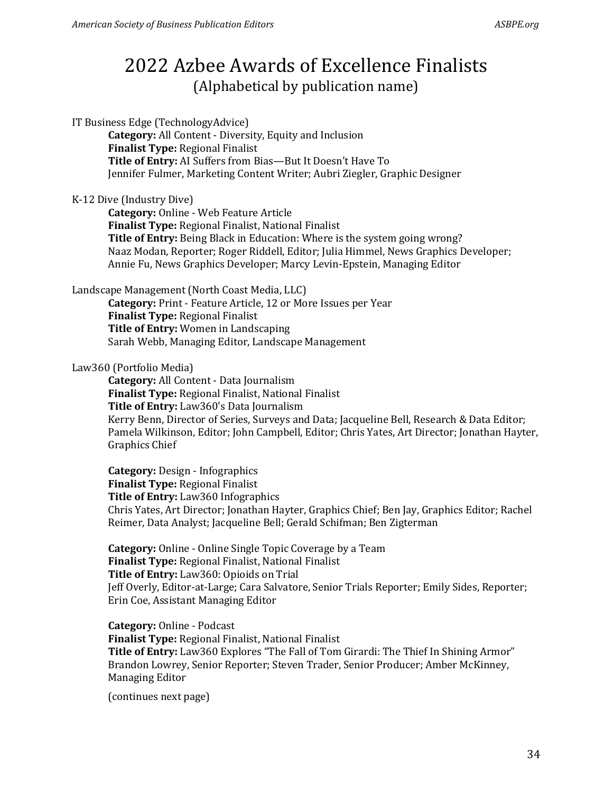IT Business Edge (TechnologyAdvice)

**Category:** All Content - Diversity, Equity and Inclusion **Finalist Type:** Regional Finalist **Title of Entry:** AI Suffers from Bias—But It Doesn't Have To Jennifer Fulmer, Marketing Content Writer; Aubri Ziegler, Graphic Designer

### K-12 Dive (Industry Dive)

**Category:** Online - Web Feature Article **Finalist Type:** Regional Finalist, National Finalist **Title of Entry:** Being Black in Education: Where is the system going wrong? Naaz Modan, Reporter; Roger Riddell, Editor; Julia Himmel, News Graphics Developer; Annie Fu, News Graphics Developer; Marcy Levin-Epstein, Managing Editor

Landscape Management (North Coast Media, LLC)

**Category:** Print - Feature Article, 12 or More Issues per Year **Finalist Type:** Regional Finalist **Title of Entry:** Women in Landscaping Sarah Webb, Managing Editor, Landscape Management

### Law360 (Portfolio Media)

**Category:** All Content - Data Journalism **Finalist Type:** Regional Finalist, National Finalist **Title of Entry:** Law360's Data Journalism Kerry Benn, Director of Series, Surveys and Data; Jacqueline Bell, Research & Data Editor; Pamela Wilkinson, Editor; John Campbell, Editor; Chris Yates, Art Director; Jonathan Hayter, Graphics Chief

**Category:** Design - Infographics **Finalist Type:** Regional Finalist **Title of Entry:** Law360 Infographics Chris Yates, Art Director; Jonathan Hayter, Graphics Chief; Ben Jay, Graphics Editor; Rachel Reimer, Data Analyst; Jacqueline Bell; Gerald Schifman; Ben Zigterman

**Category:** Online - Online Single Topic Coverage by a Team **Finalist Type:** Regional Finalist, National Finalist **Title of Entry:** Law360: Opioids on Trial Jeff Overly, Editor-at-Large; Cara Salvatore, Senior Trials Reporter; Emily Sides, Reporter; Erin Coe, Assistant Managing Editor

**Category:** Online - Podcast **Finalist Type:** Regional Finalist, National Finalist **Title of Entry:** Law360 Explores "The Fall of Tom Girardi: The Thief In Shining Armor" Brandon Lowrey, Senior Reporter; Steven Trader, Senior Producer; Amber McKinney, Managing Editor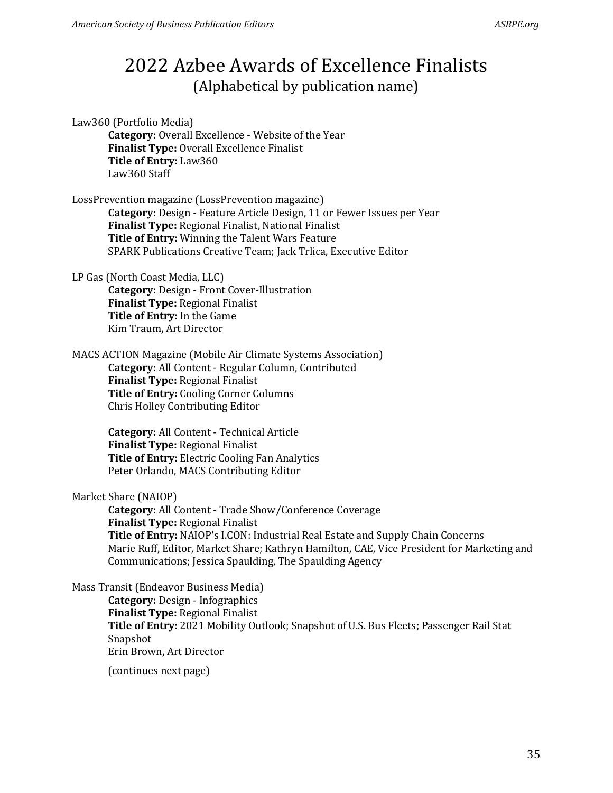Law360 (Portfolio Media) **Category:** Overall Excellence - Website of the Year **Finalist Type:** Overall Excellence Finalist **Title of Entry:** Law360 Law360 Staff

LossPrevention magazine (LossPrevention magazine) **Category:** Design - Feature Article Design, 11 or Fewer Issues per Year **Finalist Type:** Regional Finalist, National Finalist **Title of Entry:** Winning the Talent Wars Feature SPARK Publications Creative Team; Jack Trlica, Executive Editor

LP Gas (North Coast Media, LLC) **Category:** Design - Front Cover-Illustration **Finalist Type:** Regional Finalist **Title of Entry:** In the Game Kim Traum, Art Director

MACS ACTION Magazine (Mobile Air Climate Systems Association) **Category:** All Content - Regular Column, Contributed **Finalist Type:** Regional Finalist **Title of Entry:** Cooling Corner Columns Chris Holley Contributing Editor

> **Category:** All Content - Technical Article **Finalist Type:** Regional Finalist **Title of Entry:** Electric Cooling Fan Analytics Peter Orlando, MACS Contributing Editor

Market Share (NAIOP)

**Category:** All Content - Trade Show/Conference Coverage **Finalist Type:** Regional Finalist **Title of Entry:** NAIOP's I.CON: Industrial Real Estate and Supply Chain Concerns Marie Ruff, Editor, Market Share; Kathryn Hamilton, CAE, Vice President for Marketing and Communications; Jessica Spaulding, The Spaulding Agency

Mass Transit (Endeavor Business Media)

**Category:** Design - Infographics **Finalist Type:** Regional Finalist **Title of Entry:** 2021 Mobility Outlook; Snapshot of U.S. Bus Fleets; Passenger Rail Stat Snapshot Erin Brown, Art Director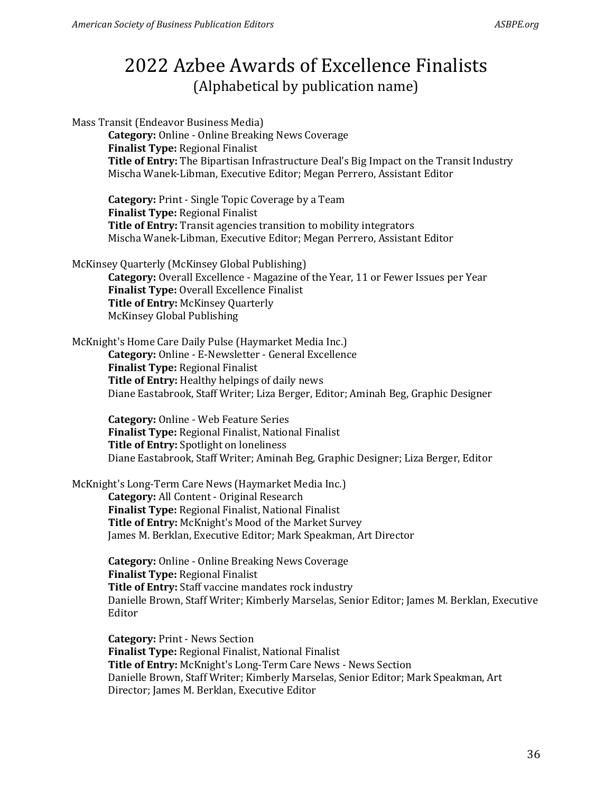Mass Transit (Endeavor Business Media) **Category:** Online - Online Breaking News Coverage **Finalist Type:** Regional Finalist **Title of Entry:** The Bipartisan Infrastructure Deal's Big Impact on the Transit Industry Mischa Wanek-Libman, Executive Editor; Megan Perrero, Assistant Editor

**Category:** Print - Single Topic Coverage by a Team **Finalist Type:** Regional Finalist **Title of Entry:** Transit agencies transition to mobility integrators Mischa Wanek-Libman, Executive Editor; Megan Perrero, Assistant Editor

McKinsey Quarterly (McKinsey Global Publishing)

**Category:** Overall Excellence - Magazine of the Year, 11 or Fewer Issues per Year **Finalist Type:** Overall Excellence Finalist **Title of Entry:** McKinsey Quarterly McKinsey Global Publishing

McKnight's Home Care Daily Pulse (Haymarket Media Inc.) **Category:** Online - E-Newsletter - General Excellence **Finalist Type:** Regional Finalist **Title of Entry:** Healthy helpings of daily news Diane Eastabrook, Staff Writer; Liza Berger, Editor; Aminah Beg, Graphic Designer

**Category:** Online - Web Feature Series **Finalist Type:** Regional Finalist, National Finalist **Title of Entry:** Spotlight on loneliness Diane Eastabrook, Staff Writer; Aminah Beg, Graphic Designer; Liza Berger, Editor

McKnight's Long-Term Care News (Haymarket Media Inc.) **Category:** All Content - Original Research **Finalist Type:** Regional Finalist, National Finalist **Title of Entry:** McKnight's Mood of the Market Survey James M. Berklan, Executive Editor; Mark Speakman, Art Director

> **Category:** Online - Online Breaking News Coverage **Finalist Type:** Regional Finalist **Title of Entry:** Staff vaccine mandates rock industry Danielle Brown, Staff Writer; Kimberly Marselas, Senior Editor; James M. Berklan, Executive Editor

**Category:** Print - News Section **Finalist Type:** Regional Finalist, National Finalist **Title of Entry:** McKnight's Long-Term Care News - News Section Danielle Brown, Staff Writer; Kimberly Marselas, Senior Editor; Mark Speakman, Art Director; James M. Berklan, Executive Editor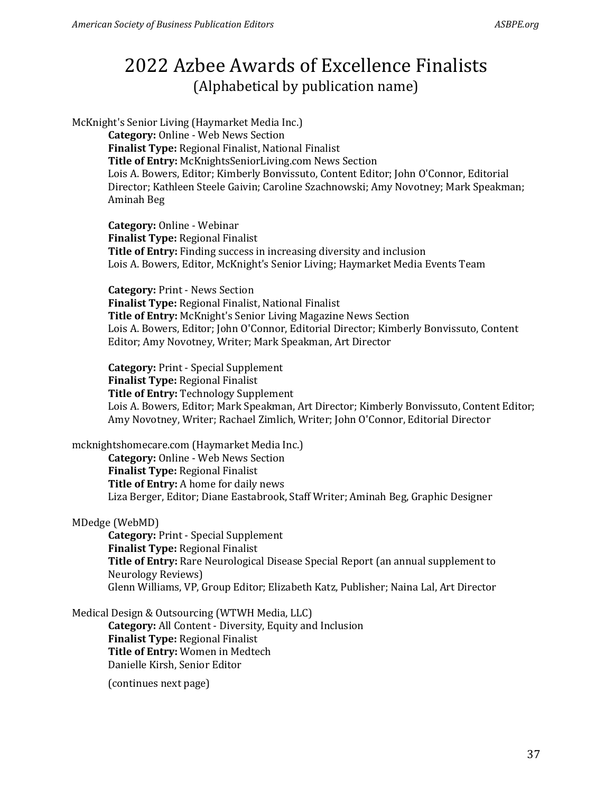McKnight's Senior Living (Haymarket Media Inc.)

**Category:** Online - Web News Section **Finalist Type:** Regional Finalist, National Finalist **Title of Entry:** McKnightsSeniorLiving.com News Section Lois A. Bowers, Editor; Kimberly Bonvissuto, Content Editor; John O'Connor, Editorial Director; Kathleen Steele Gaivin; Caroline Szachnowski; Amy Novotney; Mark Speakman; Aminah Beg

**Category:** Online - Webinar **Finalist Type:** Regional Finalist **Title of Entry:** Finding success in increasing diversity and inclusion Lois A. Bowers, Editor, McKnight's Senior Living; Haymarket Media Events Team

**Category:** Print - News Section **Finalist Type:** Regional Finalist, National Finalist **Title of Entry:** McKnight's Senior Living Magazine News Section Lois A. Bowers, Editor; John O'Connor, Editorial Director; Kimberly Bonvissuto, Content Editor; Amy Novotney, Writer; Mark Speakman, Art Director

**Category:** Print - Special Supplement **Finalist Type:** Regional Finalist **Title of Entry:** Technology Supplement Lois A. Bowers, Editor; Mark Speakman, Art Director; Kimberly Bonvissuto, Content Editor; Amy Novotney, Writer; Rachael Zimlich, Writer; John O'Connor, Editorial Director

mcknightshomecare.com (Haymarket Media Inc.) **Category:** Online - Web News Section **Finalist Type:** Regional Finalist **Title of Entry:** A home for daily news Liza Berger, Editor; Diane Eastabrook, Staff Writer; Aminah Beg, Graphic Designer

MDedge (WebMD)

**Category:** Print - Special Supplement **Finalist Type:** Regional Finalist **Title of Entry:** Rare Neurological Disease Special Report (an annual supplement to Neurology Reviews) Glenn Williams, VP, Group Editor; Elizabeth Katz, Publisher; Naina Lal, Art Director

Medical Design & Outsourcing (WTWH Media, LLC)

**Category:** All Content - Diversity, Equity and Inclusion **Finalist Type:** Regional Finalist **Title of Entry:** Women in Medtech Danielle Kirsh, Senior Editor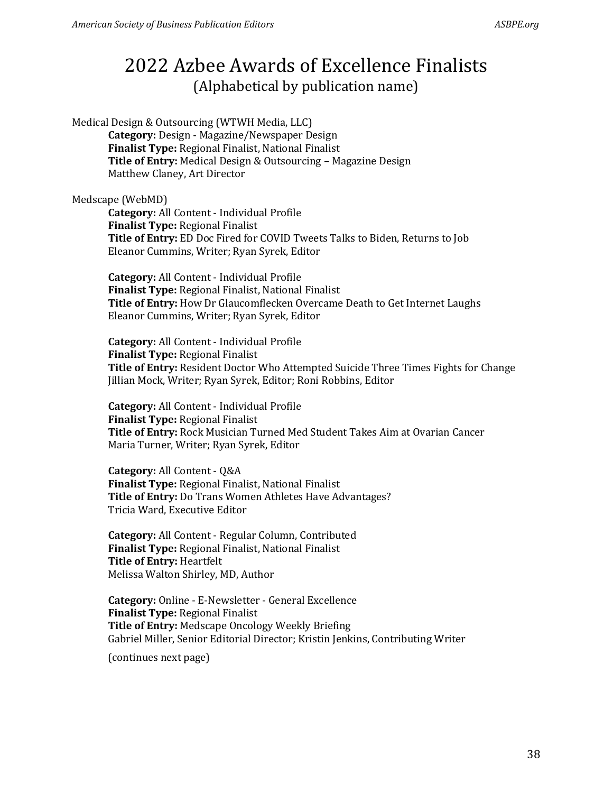Medical Design & Outsourcing (WTWH Media, LLC) **Category:** Design - Magazine/Newspaper Design **Finalist Type:** Regional Finalist, National Finalist **Title of Entry:** Medical Design & Outsourcing – Magazine Design Matthew Claney, Art Director

Medscape (WebMD)

**Category:** All Content - Individual Profile **Finalist Type:** Regional Finalist **Title of Entry:** ED Doc Fired for COVID Tweets Talks to Biden, Returns to Job Eleanor Cummins, Writer; Ryan Syrek, Editor

**Category:** All Content - Individual Profile **Finalist Type:** Regional Finalist, National Finalist **Title of Entry:** How Dr Glaucomflecken Overcame Death to Get Internet Laughs Eleanor Cummins, Writer; Ryan Syrek, Editor

**Category:** All Content - Individual Profile **Finalist Type:** Regional Finalist **Title of Entry:** Resident Doctor Who Attempted Suicide Three Times Fights for Change Jillian Mock, Writer; Ryan Syrek, Editor; Roni Robbins, Editor

**Category:** All Content - Individual Profile **Finalist Type:** Regional Finalist **Title of Entry:** Rock Musician Turned Med Student Takes Aim at Ovarian Cancer Maria Turner, Writer; Ryan Syrek, Editor

**Category:** All Content - Q&A **Finalist Type:** Regional Finalist, National Finalist **Title of Entry:** Do Trans Women Athletes Have Advantages? Tricia Ward, Executive Editor

**Category:** All Content - Regular Column, Contributed **Finalist Type:** Regional Finalist, National Finalist **Title of Entry:** Heartfelt Melissa Walton Shirley, MD, Author

**Category:** Online - E-Newsletter - General Excellence **Finalist Type:** Regional Finalist **Title of Entry:** Medscape Oncology Weekly Briefing Gabriel Miller, Senior Editorial Director; Kristin Jenkins, Contributing Writer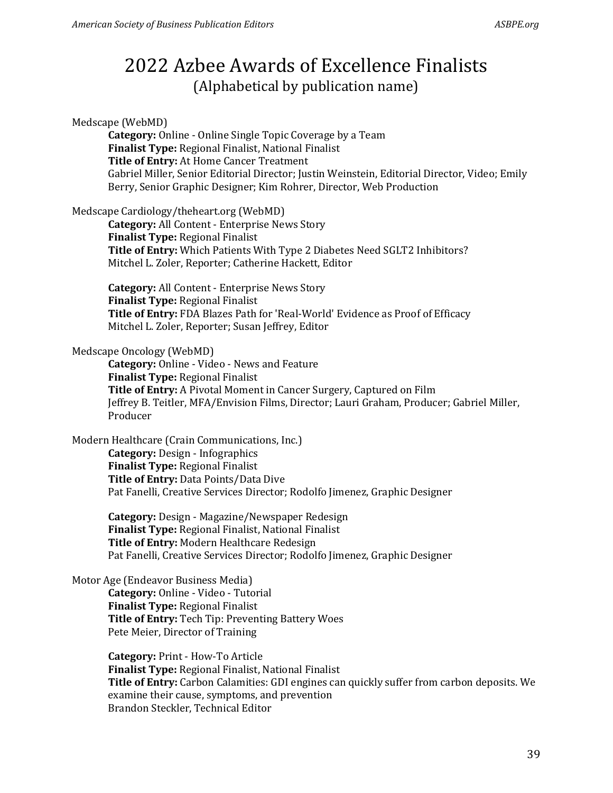#### Medscape (WebMD)

**Category:** Online - Online Single Topic Coverage by a Team **Finalist Type:** Regional Finalist, National Finalist **Title of Entry:** At Home Cancer Treatment Gabriel Miller, Senior Editorial Director; Justin Weinstein, Editorial Director, Video; Emily Berry, Senior Graphic Designer; Kim Rohrer, Director, Web Production

### Medscape Cardiology/theheart.org (WebMD)

**Category:** All Content - Enterprise News Story **Finalist Type:** Regional Finalist **Title of Entry:** Which Patients With Type 2 Diabetes Need SGLT2 Inhibitors? Mitchel L. Zoler, Reporter; Catherine Hackett, Editor

**Category:** All Content - Enterprise News Story **Finalist Type:** Regional Finalist **Title of Entry:** FDA Blazes Path for 'Real-World' Evidence as Proof of Efficacy Mitchel L. Zoler, Reporter; Susan Jeffrey, Editor

### Medscape Oncology (WebMD)

**Category:** Online - Video - News and Feature **Finalist Type:** Regional Finalist **Title of Entry:** A Pivotal Moment in Cancer Surgery, Captured on Film Jeffrey B. Teitler, MFA/Envision Films, Director; Lauri Graham, Producer; Gabriel Miller, Producer

### Modern Healthcare (Crain Communications, Inc.)

**Category:** Design - Infographics **Finalist Type:** Regional Finalist **Title of Entry:** Data Points/Data Dive Pat Fanelli, Creative Services Director; Rodolfo Jimenez, Graphic Designer

**Category:** Design - Magazine/Newspaper Redesign **Finalist Type:** Regional Finalist, National Finalist **Title of Entry:** Modern Healthcare Redesign Pat Fanelli, Creative Services Director; Rodolfo Jimenez, Graphic Designer

#### Motor Age (Endeavor Business Media)

**Category:** Online - Video - Tutorial **Finalist Type:** Regional Finalist **Title of Entry:** Tech Tip: Preventing Battery Woes Pete Meier, Director of Training

**Category:** Print - How-To Article **Finalist Type:** Regional Finalist, National Finalist **Title of Entry:** Carbon Calamities: GDI engines can quickly suffer from carbon deposits. We examine their cause, symptoms, and prevention Brandon Steckler, Technical Editor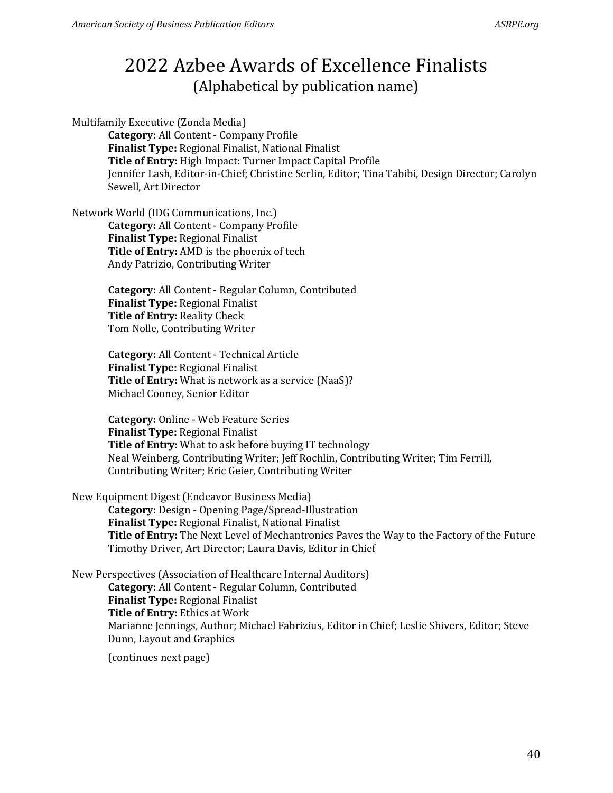Multifamily Executive (Zonda Media)

**Category:** All Content - Company Profile **Finalist Type:** Regional Finalist, National Finalist **Title of Entry:** High Impact: Turner Impact Capital Profile Jennifer Lash, Editor-in-Chief; Christine Serlin, Editor; Tina Tabibi, Design Director; Carolyn Sewell, Art Director

Network World (IDG Communications, Inc.) **Category:** All Content - Company Profile

**Finalist Type:** Regional Finalist **Title of Entry:** AMD is the phoenix of tech Andy Patrizio, Contributing Writer

**Category:** All Content - Regular Column, Contributed **Finalist Type:** Regional Finalist **Title of Entry:** Reality Check Tom Nolle, Contributing Writer

**Category:** All Content - Technical Article **Finalist Type:** Regional Finalist **Title of Entry:** What is network as a service (NaaS)? Michael Cooney, Senior Editor

**Category:** Online - Web Feature Series **Finalist Type:** Regional Finalist **Title of Entry:** What to ask before buying IT technology Neal Weinberg, Contributing Writer; Jeff Rochlin, Contributing Writer; Tim Ferrill, Contributing Writer; Eric Geier, Contributing Writer

New Equipment Digest (Endeavor Business Media)

**Category:** Design - Opening Page/Spread-Illustration **Finalist Type:** Regional Finalist, National Finalist **Title of Entry:** The Next Level of Mechantronics Paves the Way to the Factory of the Future Timothy Driver, Art Director; Laura Davis, Editor in Chief

New Perspectives (Association of Healthcare Internal Auditors) **Category:** All Content - Regular Column, Contributed **Finalist Type:** Regional Finalist **Title of Entry:** Ethics at Work Marianne Jennings, Author; Michael Fabrizius, Editor in Chief; Leslie Shivers, Editor; Steve Dunn, Layout and Graphics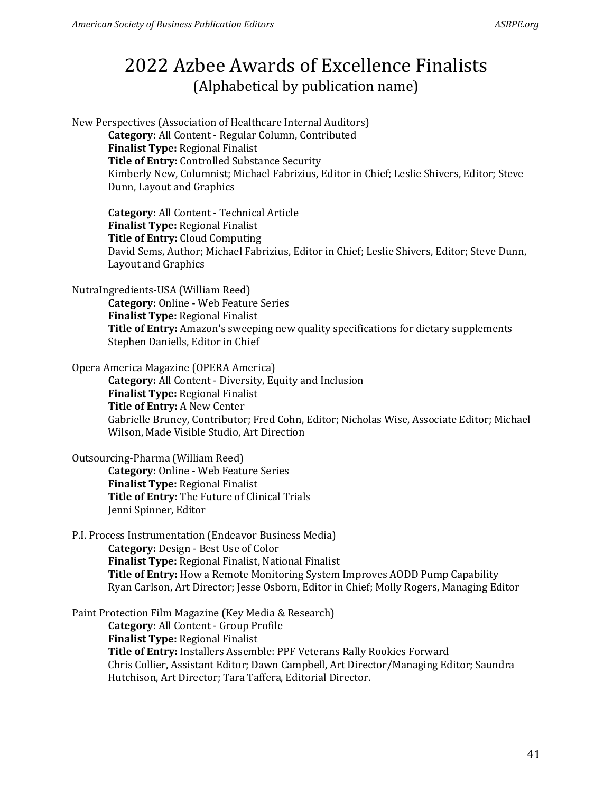New Perspectives (Association of Healthcare Internal Auditors) **Category:** All Content - Regular Column, Contributed **Finalist Type:** Regional Finalist **Title of Entry:** Controlled Substance Security Kimberly New, Columnist; Michael Fabrizius, Editor in Chief; Leslie Shivers, Editor; Steve Dunn, Layout and Graphics

**Category:** All Content - Technical Article **Finalist Type:** Regional Finalist **Title of Entry:** Cloud Computing David Sems, Author; Michael Fabrizius, Editor in Chief; Leslie Shivers, Editor; Steve Dunn, Layout and Graphics

NutraIngredients-USA (William Reed)

**Category:** Online - Web Feature Series **Finalist Type:** Regional Finalist **Title of Entry:** Amazon's sweeping new quality specifications for dietary supplements Stephen Daniells, Editor in Chief

Opera America Magazine (OPERA America)

**Category:** All Content - Diversity, Equity and Inclusion **Finalist Type:** Regional Finalist **Title of Entry:** A New Center Gabrielle Bruney, Contributor; Fred Cohn, Editor; Nicholas Wise, Associate Editor; Michael Wilson, Made Visible Studio, Art Direction

Outsourcing-Pharma (William Reed)

**Category:** Online - Web Feature Series **Finalist Type:** Regional Finalist **Title of Entry:** The Future of Clinical Trials Jenni Spinner, Editor

P.I. Process Instrumentation (Endeavor Business Media) **Category:** Design - Best Use of Color **Finalist Type:** Regional Finalist, National Finalist **Title of Entry:** How a Remote Monitoring System Improves AODD Pump Capability Ryan Carlson, Art Director; Jesse Osborn, Editor in Chief; Molly Rogers, Managing Editor

Paint Protection Film Magazine (Key Media & Research) **Category:** All Content - Group Profile **Finalist Type:** Regional Finalist **Title of Entry:** Installers Assemble: PPF Veterans Rally Rookies Forward Chris Collier, Assistant Editor; Dawn Campbell, Art Director/Managing Editor; Saundra Hutchison, Art Director; Tara Taffera, Editorial Director.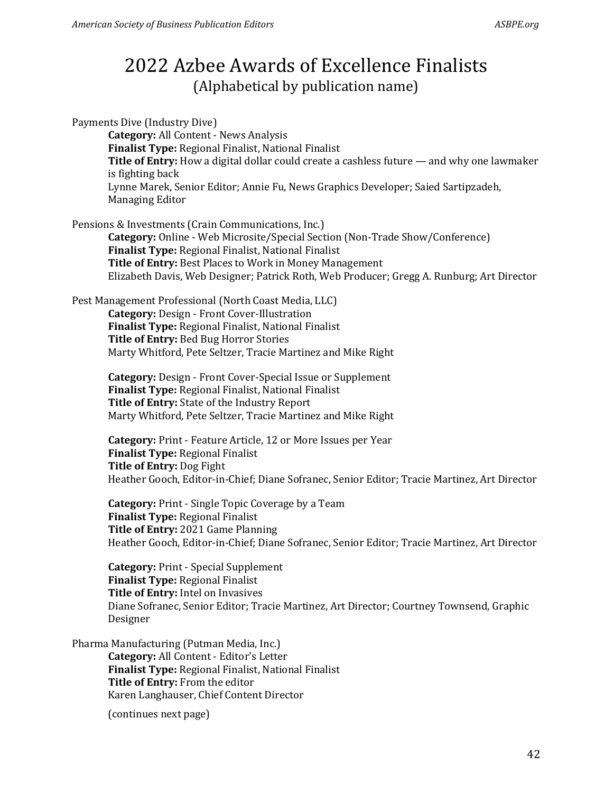Payments Dive (Industry Dive) **Category:** All Content - News Analysis **Finalist Type:** Regional Finalist, National Finalist **Title of Entry:** How a digital dollar could create a cashless future — and why one lawmaker is fighting back Lynne Marek, Senior Editor; Annie Fu, News Graphics Developer; Saied Sartipzadeh, Managing Editor Pensions & Investments (Crain Communications, Inc.) **Category:** Online - Web Microsite/Special Section (Non-Trade Show/Conference) **Finalist Type:** Regional Finalist, National Finalist **Title of Entry:** Best Places to Work in Money Management Elizabeth Davis, Web Designer; Patrick Roth, Web Producer; Gregg A. Runburg; Art Director Pest Management Professional (North Coast Media, LLC) **Category:** Design - Front Cover-Illustration **Finalist Type:** Regional Finalist, National Finalist **Title of Entry:** Bed Bug Horror Stories Marty Whitford, Pete Seltzer, Tracie Martinez and Mike Right **Category:** Design - Front Cover-Special Issue or Supplement **Finalist Type:** Regional Finalist, National Finalist **Title of Entry:** State of the Industry Report Marty Whitford, Pete Seltzer, Tracie Martinez and Mike Right **Category:** Print - Feature Article, 12 or More Issues per Year **Finalist Type:** Regional Finalist **Title of Entry:** Dog Fight Heather Gooch, Editor-in-Chief; Diane Sofranec, Senior Editor; Tracie Martinez, Art Director **Category:** Print - Single Topic Coverage by a Team **Finalist Type:** Regional Finalist **Title of Entry:** 2021 Game Planning Heather Gooch, Editor-in-Chief; Diane Sofranec, Senior Editor; Tracie Martinez, Art Director

**Category:** Print - Special Supplement **Finalist Type:** Regional Finalist **Title of Entry:** Intel on Invasives Diane Sofranec, Senior Editor; Tracie Martinez, Art Director; Courtney Townsend, Graphic Designer

Pharma Manufacturing (Putman Media, Inc.) **Category:** All Content - Editor's Letter **Finalist Type:** Regional Finalist, National Finalist **Title of Entry:** From the editor Karen Langhauser, Chief Content Director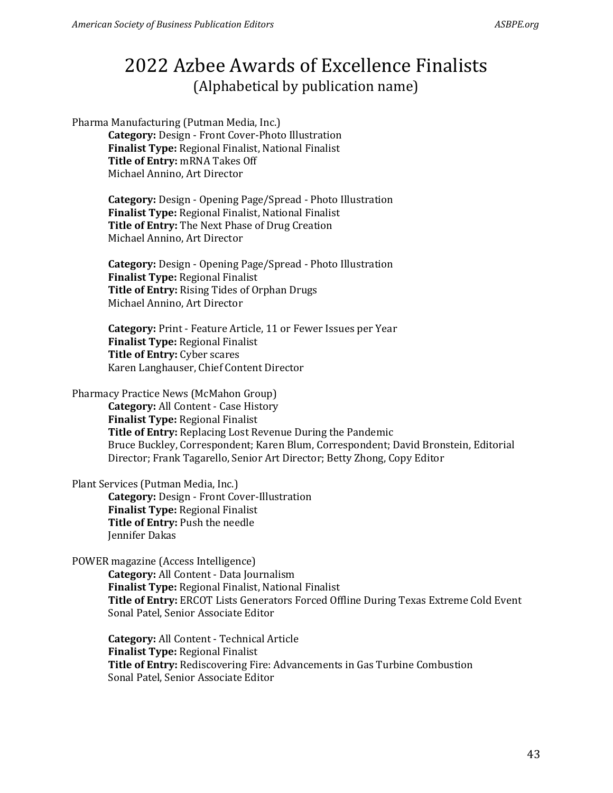Pharma Manufacturing (Putman Media, Inc.) **Category:** Design - Front Cover-Photo Illustration **Finalist Type:** Regional Finalist, National Finalist **Title of Entry:** mRNA Takes Off Michael Annino, Art Director

> **Category:** Design - Opening Page/Spread - Photo Illustration **Finalist Type:** Regional Finalist, National Finalist **Title of Entry:** The Next Phase of Drug Creation Michael Annino, Art Director

> **Category:** Design - Opening Page/Spread - Photo Illustration **Finalist Type:** Regional Finalist **Title of Entry:** Rising Tides of Orphan Drugs Michael Annino, Art Director

> **Category:** Print - Feature Article, 11 or Fewer Issues per Year **Finalist Type:** Regional Finalist **Title of Entry:** Cyber scares Karen Langhauser, Chief Content Director

Pharmacy Practice News (McMahon Group)

**Category:** All Content - Case History **Finalist Type:** Regional Finalist **Title of Entry:** Replacing Lost Revenue During the Pandemic Bruce Buckley, Correspondent; Karen Blum, Correspondent; David Bronstein, Editorial Director; Frank Tagarello, Senior Art Director; Betty Zhong, Copy Editor

Plant Services (Putman Media, Inc.)

**Category:** Design - Front Cover-Illustration **Finalist Type:** Regional Finalist **Title of Entry:** Push the needle Jennifer Dakas

POWER magazine (Access Intelligence)

**Category:** All Content - Data Journalism **Finalist Type:** Regional Finalist, National Finalist **Title of Entry:** ERCOT Lists Generators Forced Offline During Texas Extreme Cold Event Sonal Patel, Senior Associate Editor

**Category:** All Content - Technical Article **Finalist Type:** Regional Finalist **Title of Entry:** Rediscovering Fire: Advancements in Gas Turbine Combustion Sonal Patel, Senior Associate Editor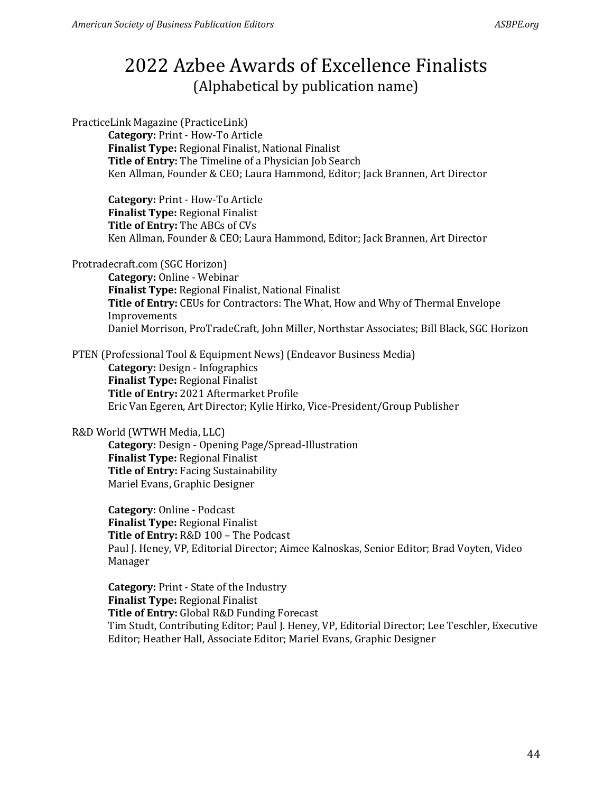PracticeLink Magazine (PracticeLink)

**Category:** Print - How-To Article **Finalist Type:** Regional Finalist, National Finalist **Title of Entry:** The Timeline of a Physician Job Search Ken Allman, Founder & CEO; Laura Hammond, Editor; Jack Brannen, Art Director

**Category:** Print - How-To Article **Finalist Type:** Regional Finalist **Title of Entry:** The ABCs of CVs Ken Allman, Founder & CEO; Laura Hammond, Editor; Jack Brannen, Art Director

Protradecraft.com (SGC Horizon)

**Category:** Online - Webinar **Finalist Type:** Regional Finalist, National Finalist **Title of Entry:** CEUs for Contractors: The What, How and Why of Thermal Envelope Improvements Daniel Morrison, ProTradeCraft, John Miller, Northstar Associates; Bill Black, SGC Horizon

PTEN (Professional Tool & Equipment News) (Endeavor Business Media) **Category:** Design - Infographics **Finalist Type:** Regional Finalist **Title of Entry:** 2021 Aftermarket Profile Eric Van Egeren, Art Director; Kylie Hirko, Vice-President/Group Publisher

### R&D World (WTWH Media, LLC)

**Category:** Design - Opening Page/Spread-Illustration **Finalist Type:** Regional Finalist **Title of Entry:** Facing Sustainability Mariel Evans, Graphic Designer

**Category:** Online - Podcast **Finalist Type:** Regional Finalist **Title of Entry:** R&D 100 – The Podcast Paul J. Heney, VP, Editorial Director; Aimee Kalnoskas, Senior Editor; Brad Voyten, Video Manager

**Category:** Print - State of the Industry **Finalist Type:** Regional Finalist **Title of Entry:** Global R&D Funding Forecast Tim Studt, Contributing Editor; Paul J. Heney, VP, Editorial Director; Lee Teschler, Executive Editor; Heather Hall, Associate Editor; Mariel Evans, Graphic Designer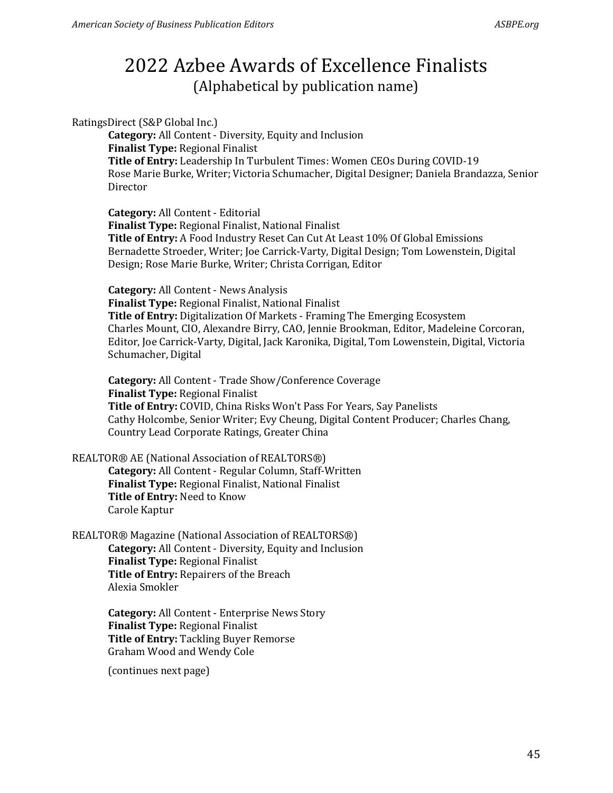RatingsDirect (S&P Global Inc.)

**Category:** All Content - Diversity, Equity and Inclusion **Finalist Type:** Regional Finalist **Title of Entry:** Leadership In Turbulent Times: Women CEOs During COVID-19 Rose Marie Burke, Writer; Victoria Schumacher, Digital Designer; Daniela Brandazza, Senior Director

**Category:** All Content - Editorial **Finalist Type:** Regional Finalist, National Finalist **Title of Entry:** A Food Industry Reset Can Cut At Least 10% Of Global Emissions Bernadette Stroeder, Writer; Joe Carrick-Varty, Digital Design; Tom Lowenstein, Digital Design; Rose Marie Burke, Writer; Christa Corrigan, Editor

**Category:** All Content - News Analysis **Finalist Type:** Regional Finalist, National Finalist **Title of Entry:** Digitalization Of Markets - Framing The Emerging Ecosystem Charles Mount, CIO, Alexandre Birry, CAO, Jennie Brookman, Editor, Madeleine Corcoran, Editor, Joe Carrick-Varty, Digital, Jack Karonika, Digital, Tom Lowenstein, Digital, Victoria Schumacher, Digital

**Category:** All Content - Trade Show/Conference Coverage **Finalist Type:** Regional Finalist **Title of Entry:** COVID, China Risks Won't Pass For Years, Say Panelists Cathy Holcombe, Senior Writer; Evy Cheung, Digital Content Producer; Charles Chang, Country Lead Corporate Ratings, Greater China

REALTOR® AE (National Association of REALTORS®) **Category:** All Content - Regular Column, Staff-Written **Finalist Type:** Regional Finalist, National Finalist **Title of Entry:** Need to Know Carole Kaptur

REALTOR® Magazine (National Association of REALTORS®) **Category:** All Content - Diversity, Equity and Inclusion **Finalist Type:** Regional Finalist **Title of Entry:** Repairers of the Breach Alexia Smokler

> **Category:** All Content - Enterprise News Story **Finalist Type:** Regional Finalist **Title of Entry:** Tackling Buyer Remorse Graham Wood and Wendy Cole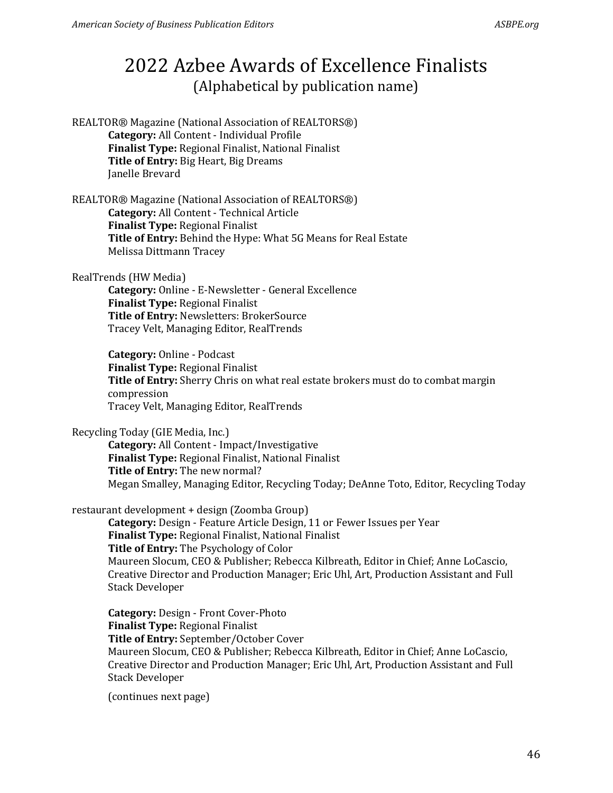REALTOR® Magazine (National Association of REALTORS®) **Category:** All Content - Individual Profile **Finalist Type:** Regional Finalist, National Finalist **Title of Entry:** Big Heart, Big Dreams Janelle Brevard

REALTOR® Magazine (National Association of REALTORS®) **Category:** All Content - Technical Article **Finalist Type:** Regional Finalist **Title of Entry:** Behind the Hype: What 5G Means for Real Estate Melissa Dittmann Tracey

RealTrends (HW Media)

**Category:** Online - E-Newsletter - General Excellence **Finalist Type:** Regional Finalist **Title of Entry:** Newsletters: BrokerSource Tracey Velt, Managing Editor, RealTrends

**Category:** Online - Podcast **Finalist Type:** Regional Finalist **Title of Entry:** Sherry Chris on what real estate brokers must do to combat margin compression Tracey Velt, Managing Editor, RealTrends

Recycling Today (GIE Media, Inc.)

**Category:** All Content - Impact/Investigative **Finalist Type:** Regional Finalist, National Finalist **Title of Entry:** The new normal? Megan Smalley, Managing Editor, Recycling Today; DeAnne Toto, Editor, Recycling Today

restaurant development + design (Zoomba Group)

**Category:** Design - Feature Article Design, 11 or Fewer Issues per Year **Finalist Type:** Regional Finalist, National Finalist **Title of Entry:** The Psychology of Color Maureen Slocum, CEO & Publisher; Rebecca Kilbreath, Editor in Chief; Anne LoCascio, Creative Director and Production Manager; Eric Uhl, Art, Production Assistant and Full Stack Developer

**Category:** Design - Front Cover-Photo **Finalist Type:** Regional Finalist **Title of Entry:** September/October Cover Maureen Slocum, CEO & Publisher; Rebecca Kilbreath, Editor in Chief; Anne LoCascio, Creative Director and Production Manager; Eric Uhl, Art, Production Assistant and Full Stack Developer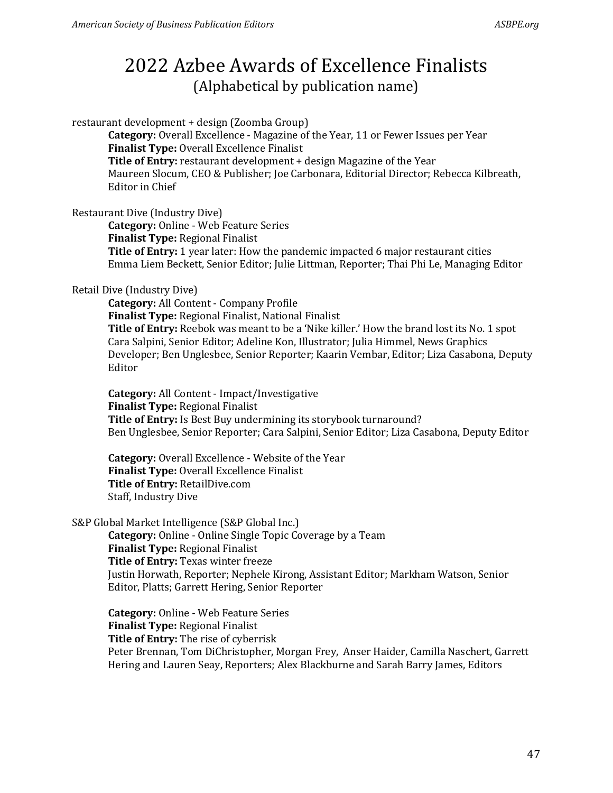restaurant development + design (Zoomba Group)

**Category:** Overall Excellence - Magazine of the Year, 11 or Fewer Issues per Year **Finalist Type:** Overall Excellence Finalist **Title of Entry:** restaurant development + design Magazine of the Year Maureen Slocum, CEO & Publisher; Joe Carbonara, Editorial Director; Rebecca Kilbreath, Editor in Chief

Restaurant Dive (Industry Dive)

**Category:** Online - Web Feature Series

**Finalist Type:** Regional Finalist

**Title of Entry:** 1 year later: How the pandemic impacted 6 major restaurant cities Emma Liem Beckett, Senior Editor; Julie Littman, Reporter; Thai Phi Le, Managing Editor

#### Retail Dive (Industry Dive)

**Category:** All Content - Company Profile **Finalist Type:** Regional Finalist, National Finalist **Title of Entry:** Reebok was meant to be a 'Nike killer.' How the brand lost its No. 1 spot Cara Salpini, Senior Editor; Adeline Kon, Illustrator; Julia Himmel, News Graphics Developer; Ben Unglesbee, Senior Reporter; Kaarin Vembar, Editor; Liza Casabona, Deputy Editor

**Category:** All Content - Impact/Investigative **Finalist Type:** Regional Finalist **Title of Entry:** Is Best Buy undermining its storybook turnaround? Ben Unglesbee, Senior Reporter; Cara Salpini, Senior Editor; Liza Casabona, Deputy Editor

**Category:** Overall Excellence - Website of the Year **Finalist Type:** Overall Excellence Finalist **Title of Entry:** RetailDive.com Staff, Industry Dive

#### S&P Global Market Intelligence (S&P Global Inc.)

**Category:** Online - Online Single Topic Coverage by a Team **Finalist Type:** Regional Finalist **Title of Entry:** Texas winter freeze Justin Horwath, Reporter; Nephele Kirong, Assistant Editor; Markham Watson, Senior Editor, Platts; Garrett Hering, Senior Reporter

**Category:** Online - Web Feature Series **Finalist Type:** Regional Finalist **Title of Entry:** The rise of cyberrisk Peter Brennan, Tom DiChristopher, Morgan Frey, Anser Haider, Camilla Naschert, Garrett Hering and Lauren Seay, Reporters; Alex Blackburne and Sarah Barry James, Editors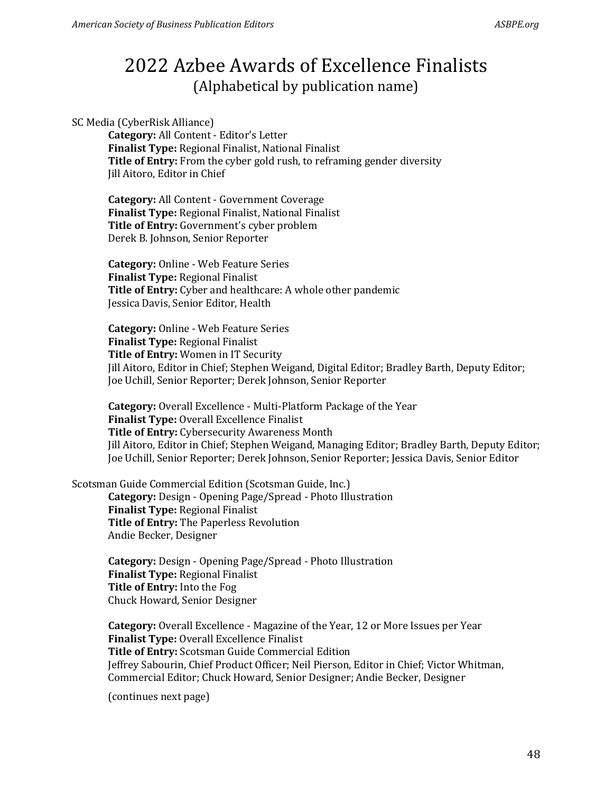#### SC Media (CyberRisk Alliance)

**Category:** All Content - Editor's Letter **Finalist Type:** Regional Finalist, National Finalist **Title of Entry:** From the cyber gold rush, to reframing gender diversity Jill Aitoro, Editor in Chief

**Category:** All Content - Government Coverage **Finalist Type:** Regional Finalist, National Finalist **Title of Entry:** Government's cyber problem Derek B. Johnson, Senior Reporter

**Category:** Online - Web Feature Series **Finalist Type:** Regional Finalist **Title of Entry:** Cyber and healthcare: A whole other pandemic Jessica Davis, Senior Editor, Health

**Category:** Online - Web Feature Series **Finalist Type:** Regional Finalist **Title of Entry:** Women in IT Security Jill Aitoro, Editor in Chief; Stephen Weigand, Digital Editor; Bradley Barth, Deputy Editor; Joe Uchill, Senior Reporter; Derek Johnson, Senior Reporter

**Category:** Overall Excellence - Multi-Platform Package of the Year **Finalist Type:** Overall Excellence Finalist **Title of Entry:** Cybersecurity Awareness Month Jill Aitoro, Editor in Chief; Stephen Weigand, Managing Editor; Bradley Barth, Deputy Editor; Joe Uchill, Senior Reporter; Derek Johnson, Senior Reporter; Jessica Davis, Senior Editor

Scotsman Guide Commercial Edition (Scotsman Guide, Inc.)

**Category:** Design - Opening Page/Spread - Photo Illustration **Finalist Type:** Regional Finalist **Title of Entry:** The Paperless Revolution Andie Becker, Designer

**Category:** Design - Opening Page/Spread - Photo Illustration **Finalist Type:** Regional Finalist **Title of Entry:** Into the Fog Chuck Howard, Senior Designer

**Category:** Overall Excellence - Magazine of the Year, 12 or More Issues per Year **Finalist Type:** Overall Excellence Finalist **Title of Entry:** Scotsman Guide Commercial Edition Jeffrey Sabourin, Chief Product Officer; Neil Pierson, Editor in Chief; Victor Whitman, Commercial Editor; Chuck Howard, Senior Designer; Andie Becker, Designer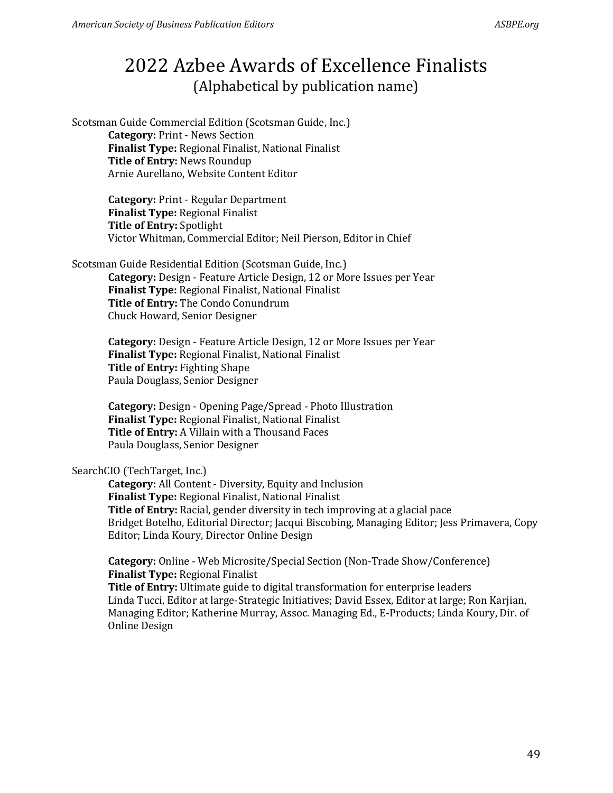Scotsman Guide Commercial Edition (Scotsman Guide, Inc.) **Category:** Print - News Section **Finalist Type:** Regional Finalist, National Finalist **Title of Entry:** News Roundup Arnie Aurellano, Website Content Editor

> **Category:** Print - Regular Department **Finalist Type:** Regional Finalist **Title of Entry:** Spotlight Victor Whitman, Commercial Editor; Neil Pierson, Editor in Chief

Scotsman Guide Residential Edition (Scotsman Guide, Inc.)

**Category:** Design - Feature Article Design, 12 or More Issues per Year **Finalist Type:** Regional Finalist, National Finalist **Title of Entry:** The Condo Conundrum Chuck Howard, Senior Designer

**Category:** Design - Feature Article Design, 12 or More Issues per Year **Finalist Type:** Regional Finalist, National Finalist **Title of Entry:** Fighting Shape Paula Douglass, Senior Designer

**Category:** Design - Opening Page/Spread - Photo Illustration **Finalist Type:** Regional Finalist, National Finalist **Title of Entry:** A Villain with a Thousand Faces Paula Douglass, Senior Designer

### SearchCIO (TechTarget, Inc.)

**Category:** All Content - Diversity, Equity and Inclusion **Finalist Type:** Regional Finalist, National Finalist **Title of Entry:** Racial, gender diversity in tech improving at a glacial pace Bridget Botelho, Editorial Director; Jacqui Biscobing, Managing Editor; Jess Primavera, Copy Editor; Linda Koury, Director Online Design

**Category:** Online - Web Microsite/Special Section (Non-Trade Show/Conference) **Finalist Type:** Regional Finalist

**Title of Entry:** Ultimate guide to digital transformation for enterprise leaders Linda Tucci, Editor at large-Strategic Initiatives; David Essex, Editor at large; Ron Karjian, Managing Editor; Katherine Murray, Assoc. Managing Ed., E-Products; Linda Koury, Dir. of Online Design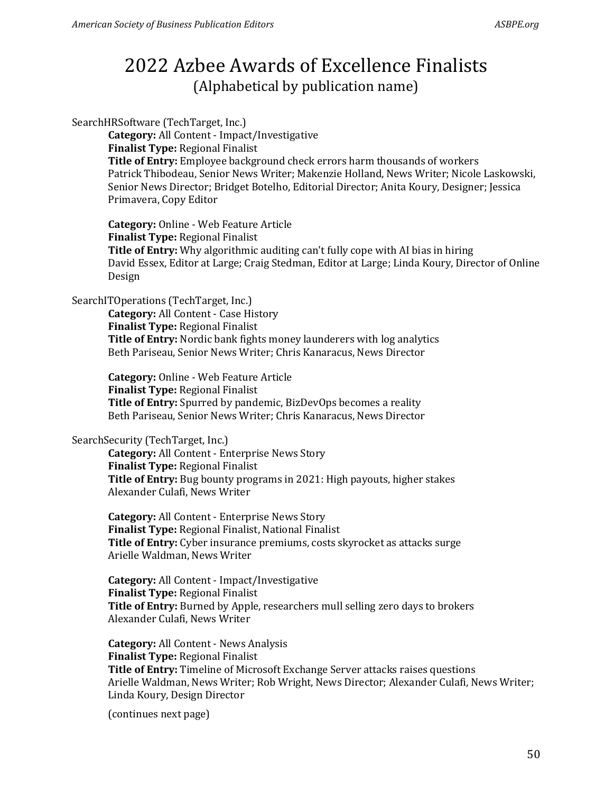#### SearchHRSoftware (TechTarget, Inc.)

**Category:** All Content - Impact/Investigative **Finalist Type:** Regional Finalist **Title of Entry:** Employee background check errors harm thousands of workers Patrick Thibodeau, Senior News Writer; Makenzie Holland, News Writer; Nicole Laskowski, Senior News Director; Bridget Botelho, Editorial Director; Anita Koury, Designer; Jessica Primavera, Copy Editor

**Category:** Online - Web Feature Article **Finalist Type:** Regional Finalist **Title of Entry:** Why algorithmic auditing can't fully cope with AI bias in hiring David Essex, Editor at Large; Craig Stedman, Editor at Large; Linda Koury, Director of Online Design

#### SearchITOperations (TechTarget, Inc.)

**Category:** All Content - Case History **Finalist Type:** Regional Finalist **Title of Entry:** Nordic bank fights money launderers with log analytics Beth Pariseau, Senior News Writer; Chris Kanaracus, News Director

**Category:** Online - Web Feature Article **Finalist Type:** Regional Finalist **Title of Entry:** Spurred by pandemic, BizDevOps becomes a reality Beth Pariseau, Senior News Writer; Chris Kanaracus, News Director

### SearchSecurity (TechTarget, Inc.)

**Category:** All Content - Enterprise News Story **Finalist Type:** Regional Finalist **Title of Entry:** Bug bounty programs in 2021: High payouts, higher stakes Alexander Culafi, News Writer

**Category:** All Content - Enterprise News Story **Finalist Type:** Regional Finalist, National Finalist **Title of Entry:** Cyber insurance premiums, costs skyrocket as attacks surge Arielle Waldman, News Writer

**Category:** All Content - Impact/Investigative **Finalist Type:** Regional Finalist **Title of Entry:** Burned by Apple, researchers mull selling zero days to brokers Alexander Culafi, News Writer

**Category:** All Content - News Analysis **Finalist Type:** Regional Finalist **Title of Entry:** Timeline of Microsoft Exchange Server attacks raises questions Arielle Waldman, News Writer; Rob Wright, News Director; Alexander Culafi, News Writer; Linda Koury, Design Director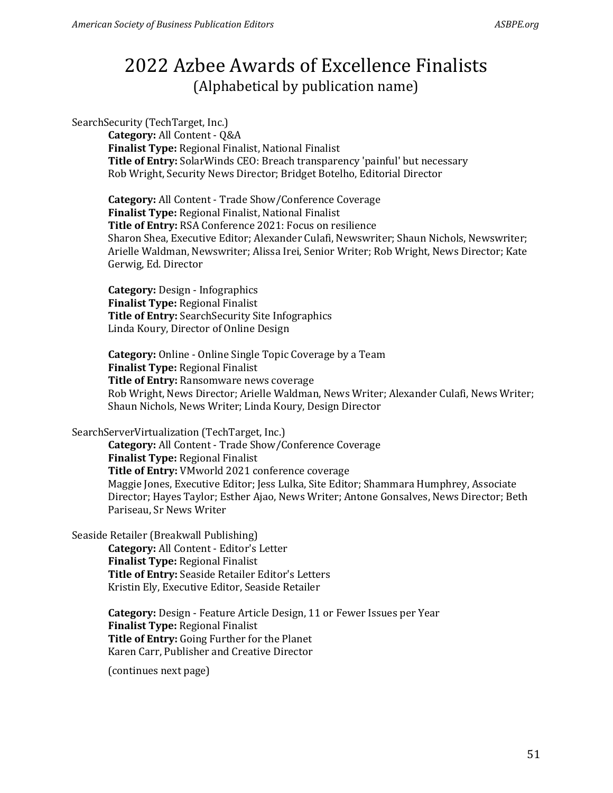SearchSecurity (TechTarget, Inc.)

**Category:** All Content - Q&A **Finalist Type:** Regional Finalist, National Finalist **Title of Entry:** SolarWinds CEO: Breach transparency 'painful' but necessary Rob Wright, Security News Director; Bridget Botelho, Editorial Director

**Category:** All Content - Trade Show/Conference Coverage **Finalist Type:** Regional Finalist, National Finalist **Title of Entry:** RSA Conference 2021: Focus on resilience Sharon Shea, Executive Editor; Alexander Culafi, Newswriter; Shaun Nichols, Newswriter; Arielle Waldman, Newswriter; Alissa Irei, Senior Writer; Rob Wright, News Director; Kate Gerwig, Ed. Director

**Category:** Design - Infographics **Finalist Type:** Regional Finalist **Title of Entry:** SearchSecurity Site Infographics Linda Koury, Director of Online Design

**Category:** Online - Online Single Topic Coverage by a Team **Finalist Type:** Regional Finalist **Title of Entry:** Ransomware news coverage Rob Wright, News Director; Arielle Waldman, News Writer; Alexander Culafi, News Writer; Shaun Nichols, News Writer; Linda Koury, Design Director

#### SearchServerVirtualization (TechTarget, Inc.)

**Category:** All Content - Trade Show/Conference Coverage **Finalist Type:** Regional Finalist **Title of Entry:** VMworld 2021 conference coverage Maggie Jones, Executive Editor; Jess Lulka, Site Editor; Shammara Humphrey, Associate Director; Hayes Taylor; Esther Ajao, News Writer; Antone Gonsalves, News Director; Beth Pariseau, Sr News Writer

Seaside Retailer (Breakwall Publishing)

**Category:** All Content - Editor's Letter **Finalist Type:** Regional Finalist **Title of Entry:** Seaside Retailer Editor's Letters Kristin Ely, Executive Editor, Seaside Retailer

**Category:** Design - Feature Article Design, 11 or Fewer Issues per Year **Finalist Type:** Regional Finalist **Title of Entry:** Going Further for the Planet Karen Carr, Publisher and Creative Director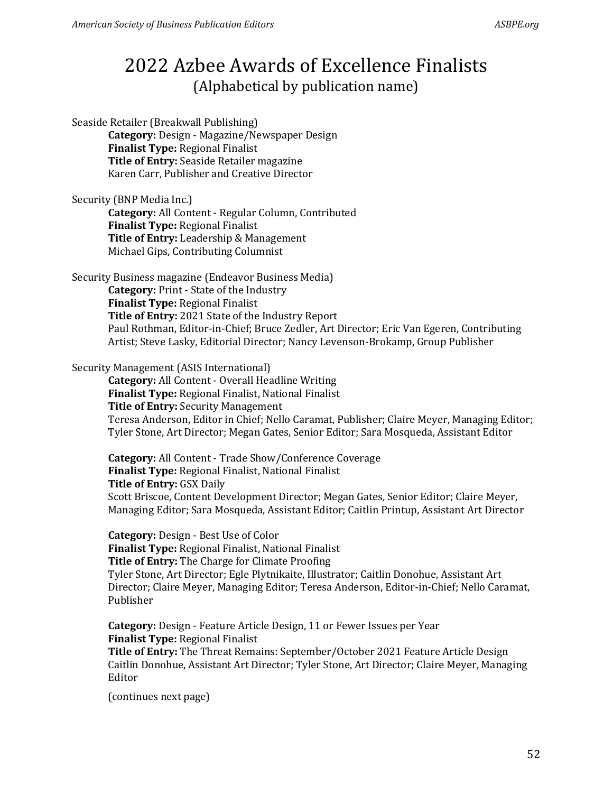Seaside Retailer (Breakwall Publishing) **Category:** Design - Magazine/Newspaper Design **Finalist Type:** Regional Finalist **Title of Entry:** Seaside Retailer magazine Karen Carr, Publisher and Creative Director

### Security (BNP Media Inc.)

**Category:** All Content - Regular Column, Contributed **Finalist Type:** Regional Finalist **Title of Entry:** Leadership & Management Michael Gips, Contributing Columnist

Security Business magazine (Endeavor Business Media)

**Category:** Print - State of the Industry **Finalist Type:** Regional Finalist **Title of Entry:** 2021 State of the Industry Report Paul Rothman, Editor-in-Chief; Bruce Zedler, Art Director; Eric Van Egeren, Contributing Artist; Steve Lasky, Editorial Director; Nancy Levenson-Brokamp, Group Publisher

#### Security Management (ASIS International)

**Category:** All Content - Overall Headline Writing **Finalist Type:** Regional Finalist, National Finalist **Title of Entry:** Security Management Teresa Anderson, Editor in Chief; Nello Caramat, Publisher; Claire Meyer, Managing Editor;

Tyler Stone, Art Director; Megan Gates, Senior Editor; Sara Mosqueda, Assistant Editor

**Category:** All Content - Trade Show/Conference Coverage **Finalist Type:** Regional Finalist, National Finalist **Title of Entry:** GSX Daily Scott Briscoe, Content Development Director; Megan Gates, Senior Editor; Claire Meyer, Managing Editor; Sara Mosqueda, Assistant Editor; Caitlin Printup, Assistant Art Director

**Category:** Design - Best Use of Color **Finalist Type:** Regional Finalist, National Finalist **Title of Entry:** The Charge for Climate Proofing Tyler Stone, Art Director; Egle Plytnikaite, Illustrator; Caitlin Donohue, Assistant Art Director; Claire Meyer, Managing Editor; Teresa Anderson, Editor-in-Chief; Nello Caramat, Publisher

**Category:** Design - Feature Article Design, 11 or Fewer Issues per Year **Finalist Type:** Regional Finalist **Title of Entry:** The Threat Remains: September/October 2021 Feature Article Design Caitlin Donohue, Assistant Art Director; Tyler Stone, Art Director; Claire Meyer, Managing Editor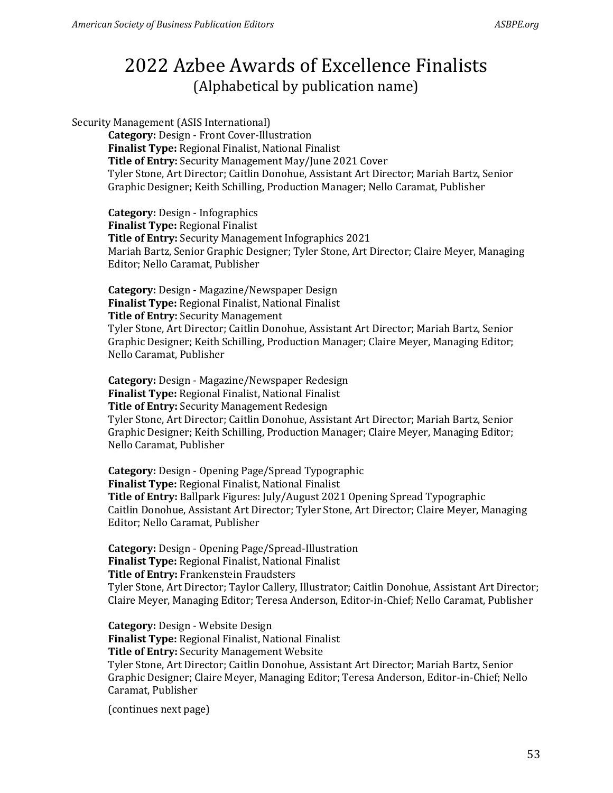Security Management (ASIS International)

**Category:** Design - Front Cover-Illustration **Finalist Type:** Regional Finalist, National Finalist **Title of Entry:** Security Management May/June 2021 Cover Tyler Stone, Art Director; Caitlin Donohue, Assistant Art Director; Mariah Bartz, Senior Graphic Designer; Keith Schilling, Production Manager; Nello Caramat, Publisher

**Category:** Design - Infographics **Finalist Type:** Regional Finalist **Title of Entry:** Security Management Infographics 2021 Mariah Bartz, Senior Graphic Designer; Tyler Stone, Art Director; Claire Meyer, Managing Editor; Nello Caramat, Publisher

**Category:** Design - Magazine/Newspaper Design **Finalist Type:** Regional Finalist, National Finalist **Title of Entry:** Security Management Tyler Stone, Art Director; Caitlin Donohue, Assistant Art Director; Mariah Bartz, Senior Graphic Designer; Keith Schilling, Production Manager; Claire Meyer, Managing Editor; Nello Caramat, Publisher

**Category:** Design - Magazine/Newspaper Redesign **Finalist Type:** Regional Finalist, National Finalist **Title of Entry:** Security Management Redesign Tyler Stone, Art Director; Caitlin Donohue, Assistant Art Director; Mariah Bartz, Senior Graphic Designer; Keith Schilling, Production Manager; Claire Meyer, Managing Editor; Nello Caramat, Publisher

**Category:** Design - Opening Page/Spread Typographic **Finalist Type:** Regional Finalist, National Finalist **Title of Entry:** Ballpark Figures: July/August 2021 Opening Spread Typographic Caitlin Donohue, Assistant Art Director; Tyler Stone, Art Director; Claire Meyer, Managing Editor; Nello Caramat, Publisher

**Category:** Design - Opening Page/Spread-Illustration **Finalist Type:** Regional Finalist, National Finalist **Title of Entry:** Frankenstein Fraudsters

Tyler Stone, Art Director; Taylor Callery, Illustrator; Caitlin Donohue, Assistant Art Director; Claire Meyer, Managing Editor; Teresa Anderson, Editor-in-Chief; Nello Caramat, Publisher

**Category:** Design - Website Design **Finalist Type:** Regional Finalist, National Finalist **Title of Entry:** Security Management Website Tyler Stone, Art Director; Caitlin Donohue, Assistant Art Director; Mariah Bartz, Senior Graphic Designer; Claire Meyer, Managing Editor; Teresa Anderson, Editor-in-Chief; Nello Caramat, Publisher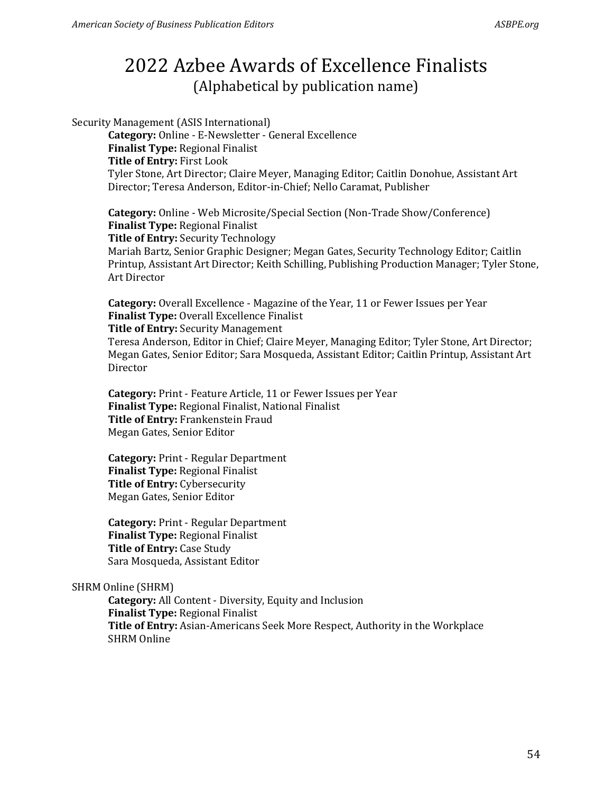Security Management (ASIS International) **Category:** Online - E-Newsletter - General Excellence **Finalist Type:** Regional Finalist **Title of Entry:** First Look Tyler Stone, Art Director; Claire Meyer, Managing Editor; Caitlin Donohue, Assistant Art Director; Teresa Anderson, Editor-in-Chief; Nello Caramat, Publisher

**Category:** Online - Web Microsite/Special Section (Non-Trade Show/Conference) **Finalist Type:** Regional Finalist **Title of Entry:** Security Technology Mariah Bartz, Senior Graphic Designer; Megan Gates, Security Technology Editor; Caitlin Printup, Assistant Art Director; Keith Schilling, Publishing Production Manager; Tyler Stone, Art Director

**Category:** Overall Excellence - Magazine of the Year, 11 or Fewer Issues per Year **Finalist Type:** Overall Excellence Finalist

**Title of Entry:** Security Management

Teresa Anderson, Editor in Chief; Claire Meyer, Managing Editor; Tyler Stone, Art Director; Megan Gates, Senior Editor; Sara Mosqueda, Assistant Editor; Caitlin Printup, Assistant Art Director

**Category:** Print - Feature Article, 11 or Fewer Issues per Year **Finalist Type:** Regional Finalist, National Finalist **Title of Entry:** Frankenstein Fraud Megan Gates, Senior Editor

**Category:** Print - Regular Department **Finalist Type:** Regional Finalist **Title of Entry:** Cybersecurity Megan Gates, Senior Editor

**Category:** Print - Regular Department **Finalist Type:** Regional Finalist **Title of Entry:** Case Study Sara Mosqueda, Assistant Editor

### SHRM Online (SHRM)

**Category:** All Content - Diversity, Equity and Inclusion **Finalist Type:** Regional Finalist **Title of Entry:** Asian-Americans Seek More Respect, Authority in the Workplace SHRM Online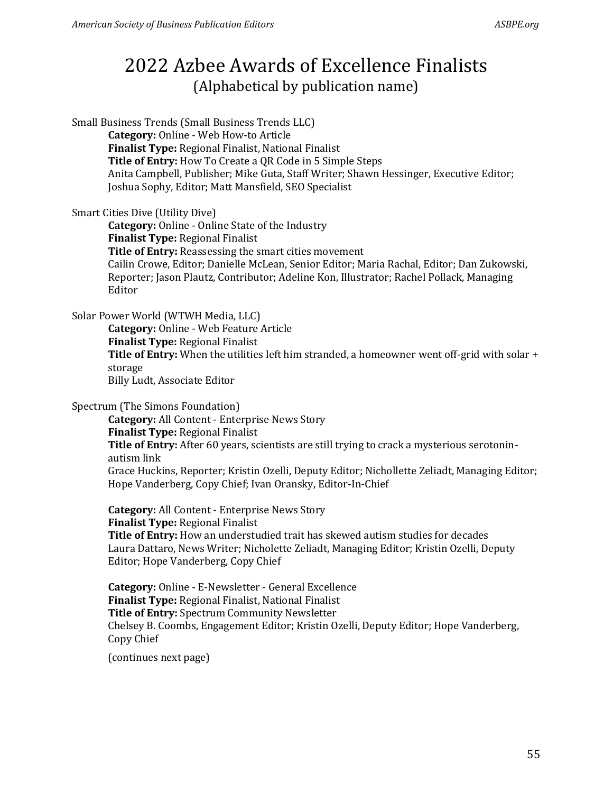Small Business Trends (Small Business Trends LLC) **Category:** Online - Web How-to Article **Finalist Type:** Regional Finalist, National Finalist **Title of Entry:** How To Create a QR Code in 5 Simple Steps Anita Campbell, Publisher; Mike Guta, Staff Writer; Shawn Hessinger, Executive Editor; Joshua Sophy, Editor; Matt Mansfield, SEO Specialist

#### Smart Cities Dive (Utility Dive)

**Category:** Online - Online State of the Industry **Finalist Type:** Regional Finalist **Title of Entry:** Reassessing the smart cities movement Cailin Crowe, Editor; Danielle McLean, Senior Editor; Maria Rachal, Editor; Dan Zukowski, Reporter; Jason Plautz, Contributor; Adeline Kon, Illustrator; Rachel Pollack, Managing Editor

Solar Power World (WTWH Media, LLC)

**Category:** Online - Web Feature Article **Finalist Type:** Regional Finalist **Title of Entry:** When the utilities left him stranded, a homeowner went off-grid with solar + storage Billy Ludt, Associate Editor

#### Spectrum (The Simons Foundation)

**Category:** All Content - Enterprise News Story **Finalist Type:** Regional Finalist **Title of Entry:** After 60 years, scientists are still trying to crack a mysterious serotoninautism link Grace Huckins, Reporter; Kristin Ozelli, Deputy Editor; Nichollette Zeliadt, Managing Editor; Hope Vanderberg, Copy Chief; Ivan Oransky, Editor-In-Chief

**Category:** All Content - Enterprise News Story **Finalist Type:** Regional Finalist **Title of Entry:** How an understudied trait has skewed autism studies for decades Laura Dattaro, News Writer; Nicholette Zeliadt, Managing Editor; Kristin Ozelli, Deputy Editor; Hope Vanderberg, Copy Chief

**Category:** Online - E-Newsletter - General Excellence **Finalist Type:** Regional Finalist, National Finalist **Title of Entry:** Spectrum Community Newsletter Chelsey B. Coombs, Engagement Editor; Kristin Ozelli, Deputy Editor; Hope Vanderberg, Copy Chief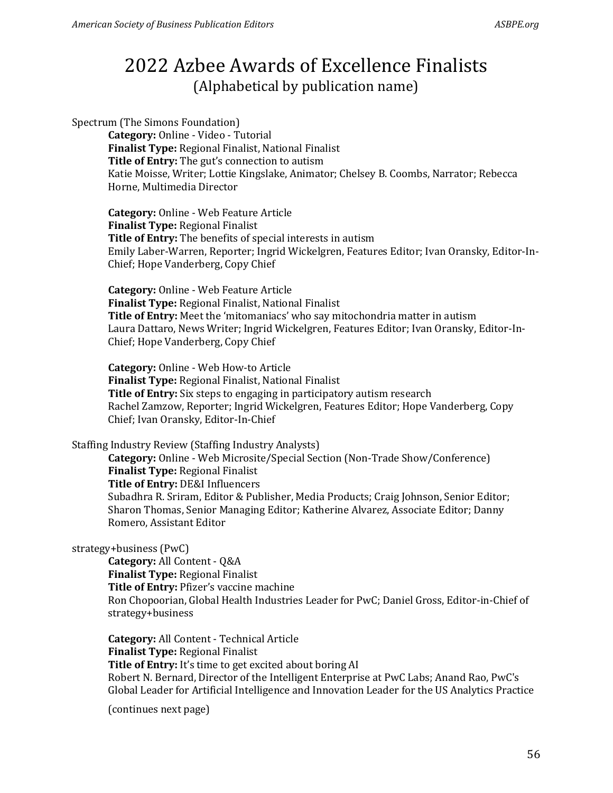Spectrum (The Simons Foundation)

**Category:** Online - Video - Tutorial **Finalist Type:** Regional Finalist, National Finalist **Title of Entry:** The gut's connection to autism Katie Moisse, Writer; Lottie Kingslake, Animator; Chelsey B. Coombs, Narrator; Rebecca Horne, Multimedia Director

**Category:** Online - Web Feature Article **Finalist Type:** Regional Finalist **Title of Entry:** The benefits of special interests in autism Emily Laber-Warren, Reporter; Ingrid Wickelgren, Features Editor; Ivan Oransky, Editor-In-Chief; Hope Vanderberg, Copy Chief

**Category:** Online - Web Feature Article **Finalist Type:** Regional Finalist, National Finalist **Title of Entry:** Meet the 'mitomaniacs' who say mitochondria matter in autism Laura Dattaro, News Writer; Ingrid Wickelgren, Features Editor; Ivan Oransky, Editor-In-Chief; Hope Vanderberg, Copy Chief

**Category:** Online - Web How-to Article **Finalist Type:** Regional Finalist, National Finalist **Title of Entry:** Six steps to engaging in participatory autism research Rachel Zamzow, Reporter; Ingrid Wickelgren, Features Editor; Hope Vanderberg, Copy Chief; Ivan Oransky, Editor-In-Chief

Staffing Industry Review (Staffing Industry Analysts)

**Category:** Online - Web Microsite/Special Section (Non-Trade Show/Conference) **Finalist Type:** Regional Finalist **Title of Entry:** DE&I Influencers Subadhra R. Sriram, Editor & Publisher, Media Products; Craig Johnson, Senior Editor; Sharon Thomas, Senior Managing Editor; Katherine Alvarez, Associate Editor; Danny Romero, Assistant Editor

### strategy+business (PwC)

**Category:** All Content - Q&A **Finalist Type:** Regional Finalist **Title of Entry:** Pfizer's vaccine machine Ron Chopoorian, Global Health Industries Leader for PwC; Daniel Gross, Editor-in-Chief of strategy+business

**Category:** All Content - Technical Article **Finalist Type:** Regional Finalist **Title of Entry:** It's time to get excited about boring AI Robert N. Bernard, Director of the Intelligent Enterprise at PwC Labs; Anand Rao, PwC's Global Leader for Artificial Intelligence and Innovation Leader for the US Analytics Practice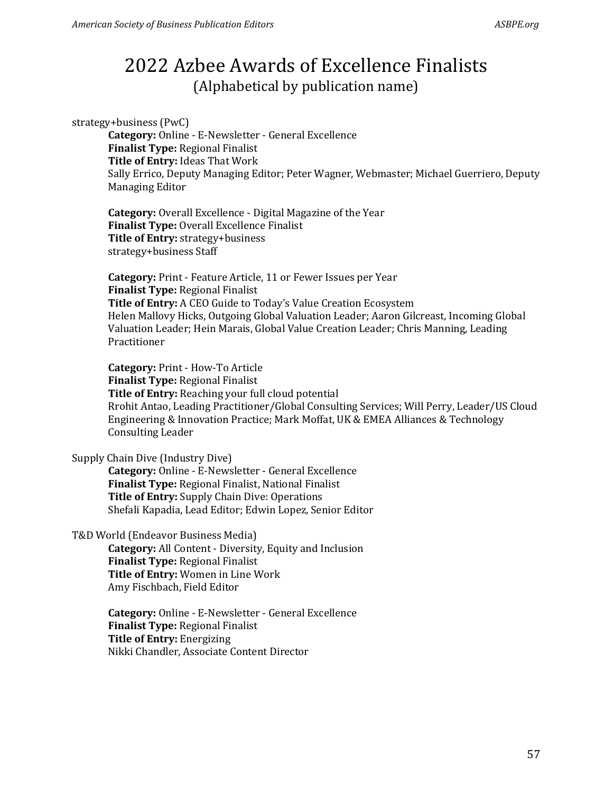strategy+business (PwC)

**Category:** Online - E-Newsletter - General Excellence **Finalist Type:** Regional Finalist **Title of Entry:** Ideas That Work Sally Errico, Deputy Managing Editor; Peter Wagner, Webmaster; Michael Guerriero, Deputy Managing Editor

**Category:** Overall Excellence - Digital Magazine of the Year **Finalist Type:** Overall Excellence Finalist **Title of Entry:** strategy+business strategy+business Staff

**Category:** Print - Feature Article, 11 or Fewer Issues per Year **Finalist Type:** Regional Finalist **Title of Entry:** A CEO Guide to Today's Value Creation Ecosystem Helen Mallovy Hicks, Outgoing Global Valuation Leader; Aaron Gilcreast, Incoming Global Valuation Leader; Hein Marais, Global Value Creation Leader; Chris Manning, Leading Practitioner

**Category:** Print - How-To Article **Finalist Type:** Regional Finalist **Title of Entry:** Reaching your full cloud potential Rrohit Antao, Leading Practitioner/Global Consulting Services; Will Perry, Leader/US Cloud Engineering & Innovation Practice; Mark Moffat, UK & EMEA Alliances & Technology Consulting Leader

Supply Chain Dive (Industry Dive)

**Category:** Online - E-Newsletter - General Excellence **Finalist Type:** Regional Finalist, National Finalist **Title of Entry:** Supply Chain Dive: Operations Shefali Kapadia, Lead Editor; Edwin Lopez, Senior Editor

T&D World (Endeavor Business Media)

**Category:** All Content - Diversity, Equity and Inclusion **Finalist Type:** Regional Finalist **Title of Entry:** Women in Line Work Amy Fischbach, Field Editor

**Category:** Online - E-Newsletter - General Excellence **Finalist Type:** Regional Finalist **Title of Entry:** Energizing Nikki Chandler, Associate Content Director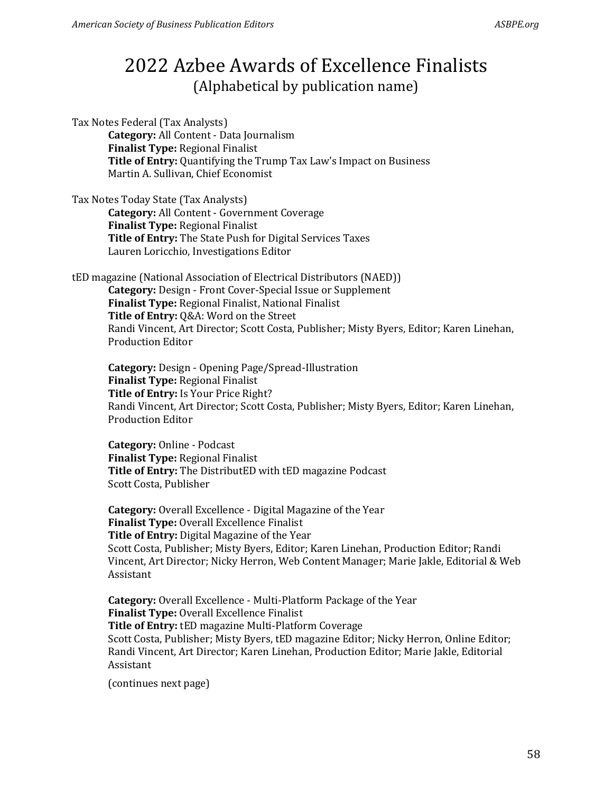Tax Notes Federal (Tax Analysts) **Category:** All Content - Data Journalism **Finalist Type:** Regional Finalist **Title of Entry:** Quantifying the Trump Tax Law's Impact on Business Martin A. Sullivan, Chief Economist

Tax Notes Today State (Tax Analysts) **Category:** All Content - Government Coverage **Finalist Type:** Regional Finalist **Title of Entry:** The State Push for Digital Services Taxes Lauren Loricchio, Investigations Editor

tED magazine (National Association of Electrical Distributors (NAED)) **Category:** Design - Front Cover-Special Issue or Supplement **Finalist Type:** Regional Finalist, National Finalist **Title of Entry:** Q&A: Word on the Street Randi Vincent, Art Director; Scott Costa, Publisher; Misty Byers, Editor; Karen Linehan, Production Editor

**Category:** Design - Opening Page/Spread-Illustration **Finalist Type:** Regional Finalist **Title of Entry:** Is Your Price Right? Randi Vincent, Art Director; Scott Costa, Publisher; Misty Byers, Editor; Karen Linehan, Production Editor

**Category:** Online - Podcast **Finalist Type:** Regional Finalist **Title of Entry:** The DistributED with tED magazine Podcast Scott Costa, Publisher

**Category:** Overall Excellence - Digital Magazine of the Year **Finalist Type:** Overall Excellence Finalist **Title of Entry:** Digital Magazine of the Year Scott Costa, Publisher; Misty Byers, Editor; Karen Linehan, Production Editor; Randi Vincent, Art Director; Nicky Herron, Web Content Manager; Marie Jakle, Editorial & Web Assistant

**Category:** Overall Excellence - Multi-Platform Package of the Year **Finalist Type:** Overall Excellence Finalist **Title of Entry:** tED magazine Multi-Platform Coverage Scott Costa, Publisher; Misty Byers, tED magazine Editor; Nicky Herron, Online Editor; Randi Vincent, Art Director; Karen Linehan, Production Editor; Marie Jakle, Editorial Assistant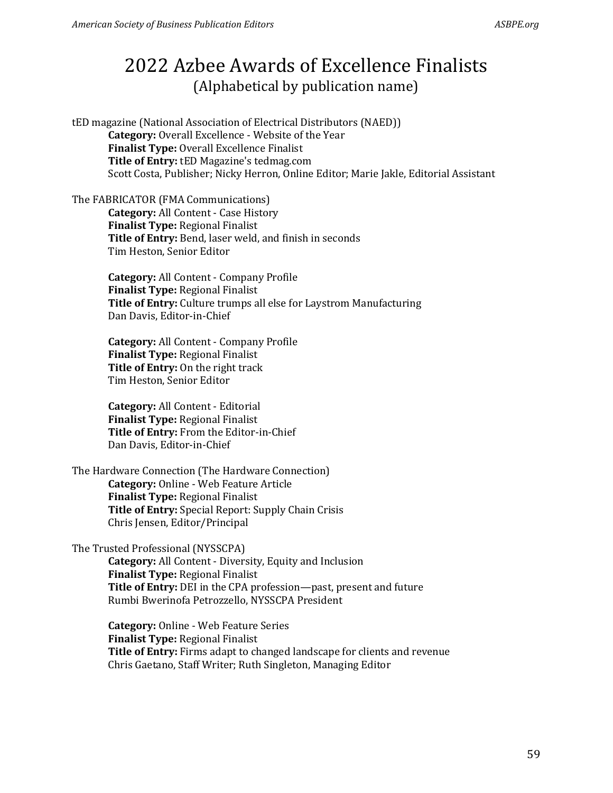tED magazine (National Association of Electrical Distributors (NAED)) **Category:** Overall Excellence - Website of the Year **Finalist Type:** Overall Excellence Finalist **Title of Entry:** tED Magazine's tedmag.com Scott Costa, Publisher; Nicky Herron, Online Editor; Marie Jakle, Editorial Assistant

The FABRICATOR (FMA Communications) **Category:** All Content - Case History **Finalist Type:** Regional Finalist **Title of Entry:** Bend, laser weld, and finish in seconds Tim Heston, Senior Editor

> **Category:** All Content - Company Profile **Finalist Type:** Regional Finalist **Title of Entry:** Culture trumps all else for Laystrom Manufacturing Dan Davis, Editor-in-Chief

**Category:** All Content - Company Profile **Finalist Type:** Regional Finalist **Title of Entry:** On the right track Tim Heston, Senior Editor

**Category:** All Content - Editorial **Finalist Type:** Regional Finalist **Title of Entry:** From the Editor-in-Chief Dan Davis, Editor-in-Chief

The Hardware Connection (The Hardware Connection) **Category:** Online - Web Feature Article **Finalist Type:** Regional Finalist **Title of Entry:** Special Report: Supply Chain Crisis Chris Jensen, Editor/Principal

#### The Trusted Professional (NYSSCPA)

**Category:** All Content - Diversity, Equity and Inclusion **Finalist Type:** Regional Finalist **Title of Entry:** DEI in the CPA profession—past, present and future Rumbi Bwerinofa Petrozzello, NYSSCPA President

**Category:** Online - Web Feature Series **Finalist Type:** Regional Finalist **Title of Entry:** Firms adapt to changed landscape for clients and revenue Chris Gaetano, Staff Writer; Ruth Singleton, Managing Editor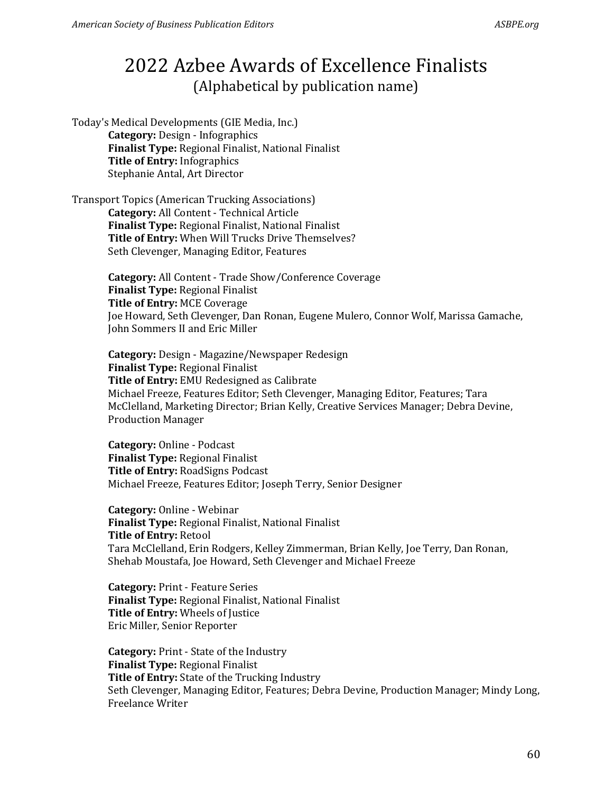Today's Medical Developments (GIE Media, Inc.) **Category:** Design - Infographics **Finalist Type:** Regional Finalist, National Finalist **Title of Entry:** Infographics Stephanie Antal, Art Director

Transport Topics (American Trucking Associations) **Category:** All Content - Technical Article **Finalist Type:** Regional Finalist, National Finalist **Title of Entry:** When Will Trucks Drive Themselves? Seth Clevenger, Managing Editor, Features

> **Category:** All Content - Trade Show/Conference Coverage **Finalist Type:** Regional Finalist **Title of Entry:** MCE Coverage Joe Howard, Seth Clevenger, Dan Ronan, Eugene Mulero, Connor Wolf, Marissa Gamache, John Sommers II and Eric Miller

**Category:** Design - Magazine/Newspaper Redesign **Finalist Type:** Regional Finalist **Title of Entry:** EMU Redesigned as Calibrate Michael Freeze, Features Editor; Seth Clevenger, Managing Editor, Features; Tara McClelland, Marketing Director; Brian Kelly, Creative Services Manager; Debra Devine, Production Manager

**Category:** Online - Podcast **Finalist Type:** Regional Finalist **Title of Entry:** RoadSigns Podcast Michael Freeze, Features Editor; Joseph Terry, Senior Designer

**Category:** Online - Webinar **Finalist Type:** Regional Finalist, National Finalist **Title of Entry:** Retool Tara McClelland, Erin Rodgers, Kelley Zimmerman, Brian Kelly, Joe Terry, Dan Ronan, Shehab Moustafa, Joe Howard, Seth Clevenger and Michael Freeze

**Category:** Print - Feature Series **Finalist Type:** Regional Finalist, National Finalist **Title of Entry:** Wheels of Justice Eric Miller, Senior Reporter

**Category:** Print - State of the Industry **Finalist Type:** Regional Finalist **Title of Entry:** State of the Trucking Industry Seth Clevenger, Managing Editor, Features; Debra Devine, Production Manager; Mindy Long, Freelance Writer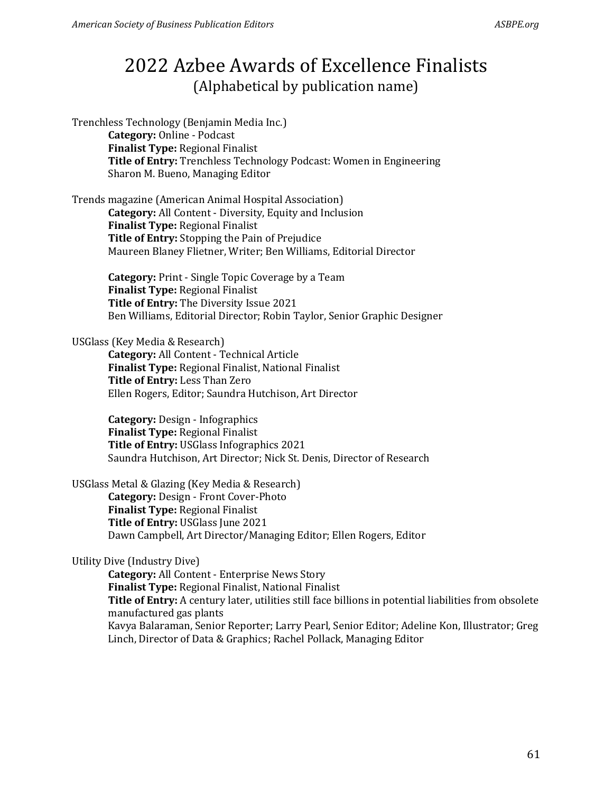Trenchless Technology (Benjamin Media Inc.) **Category:** Online - Podcast **Finalist Type:** Regional Finalist **Title of Entry:** Trenchless Technology Podcast: Women in Engineering Sharon M. Bueno, Managing Editor

Trends magazine (American Animal Hospital Association) **Category:** All Content - Diversity, Equity and Inclusion **Finalist Type:** Regional Finalist **Title of Entry:** Stopping the Pain of Prejudice Maureen Blaney Flietner, Writer; Ben Williams, Editorial Director

> **Category:** Print - Single Topic Coverage by a Team **Finalist Type:** Regional Finalist **Title of Entry:** The Diversity Issue 2021 Ben Williams, Editorial Director; Robin Taylor, Senior Graphic Designer

### USGlass (Key Media & Research)

**Category:** All Content - Technical Article **Finalist Type:** Regional Finalist, National Finalist **Title of Entry:** Less Than Zero Ellen Rogers, Editor; Saundra Hutchison, Art Director

**Category:** Design - Infographics **Finalist Type:** Regional Finalist **Title of Entry:** USGlass Infographics 2021 Saundra Hutchison, Art Director; Nick St. Denis, Director of Research

USGlass Metal & Glazing (Key Media & Research)

**Category:** Design - Front Cover-Photo **Finalist Type:** Regional Finalist **Title of Entry:** USGlass June 2021 Dawn Campbell, Art Director/Managing Editor; Ellen Rogers, Editor

### Utility Dive (Industry Dive)

**Category:** All Content - Enterprise News Story **Finalist Type:** Regional Finalist, National Finalist **Title of Entry:** A century later, utilities still face billions in potential liabilities from obsolete manufactured gas plants Kavya Balaraman, Senior Reporter; Larry Pearl, Senior Editor; Adeline Kon, Illustrator; Greg Linch, Director of Data & Graphics; Rachel Pollack, Managing Editor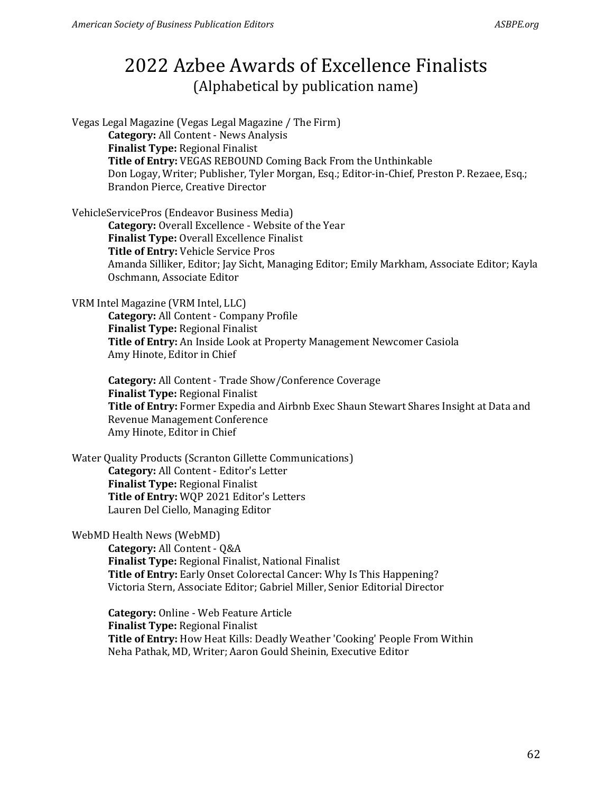Vegas Legal Magazine (Vegas Legal Magazine / The Firm) **Category:** All Content - News Analysis **Finalist Type:** Regional Finalist **Title of Entry:** VEGAS REBOUND Coming Back From the Unthinkable Don Logay, Writer; Publisher, Tyler Morgan, Esq.; Editor-in-Chief, Preston P. Rezaee, Esq.; Brandon Pierce, Creative Director

VehicleServicePros (Endeavor Business Media)

**Category:** Overall Excellence - Website of the Year **Finalist Type:** Overall Excellence Finalist **Title of Entry:** Vehicle Service Pros Amanda Silliker, Editor; Jay Sicht, Managing Editor; Emily Markham, Associate Editor; Kayla Oschmann, Associate Editor

VRM Intel Magazine (VRM Intel, LLC)

**Category:** All Content - Company Profile **Finalist Type:** Regional Finalist **Title of Entry:** An Inside Look at Property Management Newcomer Casiola Amy Hinote, Editor in Chief

**Category:** All Content - Trade Show/Conference Coverage **Finalist Type:** Regional Finalist **Title of Entry:** Former Expedia and Airbnb Exec Shaun Stewart Shares Insight at Data and Revenue Management Conference Amy Hinote, Editor in Chief

Water Quality Products (Scranton Gillette Communications) **Category:** All Content - Editor's Letter **Finalist Type:** Regional Finalist **Title of Entry:** WQP 2021 Editor's Letters Lauren Del Ciello, Managing Editor

WebMD Health News (WebMD)

**Category:** All Content - Q&A **Finalist Type:** Regional Finalist, National Finalist **Title of Entry:** Early Onset Colorectal Cancer: Why Is This Happening? Victoria Stern, Associate Editor; Gabriel Miller, Senior Editorial Director

**Category:** Online - Web Feature Article **Finalist Type:** Regional Finalist **Title of Entry:** How Heat Kills: Deadly Weather 'Cooking' People From Within Neha Pathak, MD, Writer; Aaron Gould Sheinin, Executive Editor